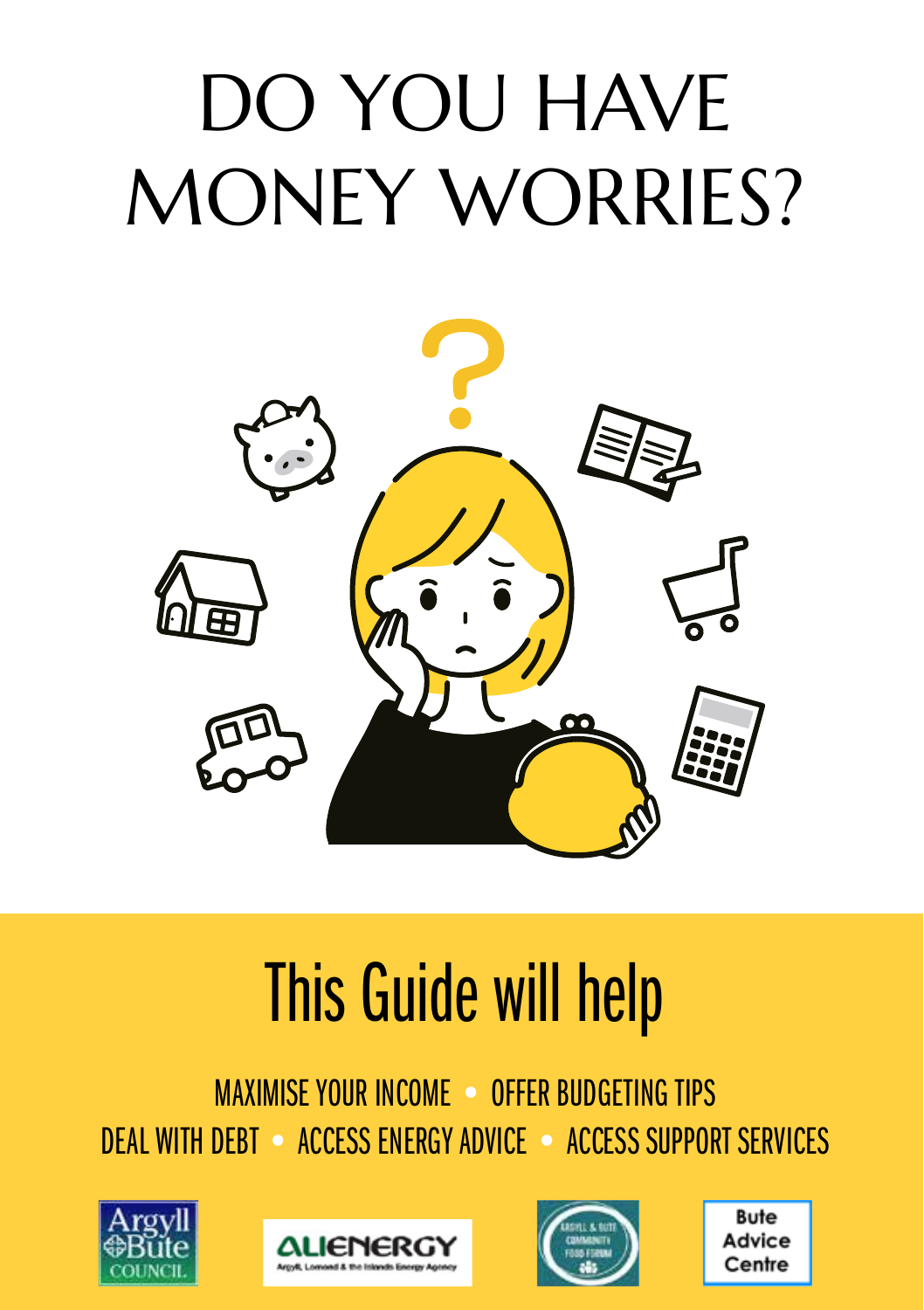# DO YOU HAVE MONEY WORRIES?



# This Guide will help

MAXIMISE YOUR INCOME • OFFER BUDGETING TIPS DEAL WITH DEBT • ACCESS ENERGY ADVICE • ACCESS SUPPORT SERVICES







**Bute** Advice Centre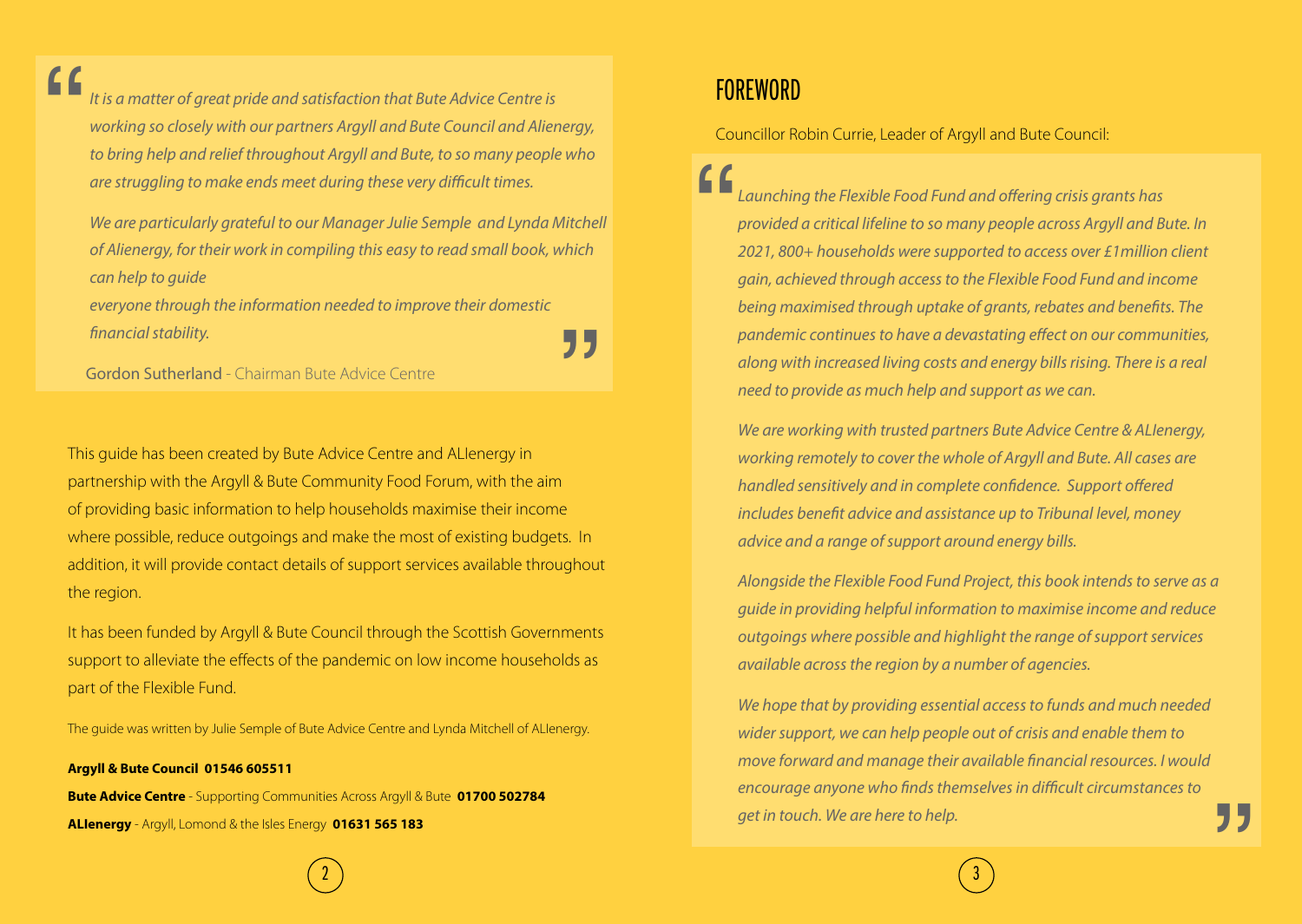*It is a matter of great pride and satisfaction that Bute Advice Centre is working so closely with our partners Argyll and Bute Council and Alienergy, to bring help and relief throughout Argyll and Bute, to so many people who are struggling to make ends meet during these very difficult times.*  $\begin{array}{c}\n\bullet \\
\bullet \\
\text{tris a} \\
\text{work} \\
\bullet\n\end{array}$ 

*We are particularly grateful to our Manager Julie Semple and Lynda Mitchell of Alienergy, for their work in compiling this easy to read small book, which can help to guide* 

*everyone through the information needed to improve their domestic financial stability.*

Gordon Sutherland - Chairman Bute Advice Centre

This guide has been created by Bute Advice Centre and ALIenergy in partnership with the Argyll & Bute Community Food Forum, with the aim of providing basic information to help households maximise their income where possible, reduce outgoings and make the most of existing budgets. In addition, it will provide contact details of support services available throughout the region.

It has been funded by Argyll & Bute Council through the Scottish Governments support to alleviate the effects of the pandemic on low income households as part of the Flexible Fund.

The guide was written by Julie Semple of Bute Advice Centre and Lynda Mitchell of ALIenergy.

**Argyll & Bute Council 01546 605511 Bute Advice Centre** - Supporting Communities Across Argyll & Bute **01700 502784**

**ALIenergy** - Argyll, Lomond & the Isles Energy **01631 565 183**

# **FOREWORD**

77

Councillor Robin Currie, Leader of Argyll and Bute Council:

" *Launching the Flexible Food Fund and offering crisis grants has provided a critical lifeline to so many people across Argyll and Bute. In 2021, 800+ households were supported to access over £1million client gain, achieved through access to the Flexible Food Fund and income being maximised through uptake of grants, rebates and benefits. The pandemic continues to have a devastating effect on our communities, along with increased living costs and energy bills rising. There is a real need to provide as much help and support as we can.*

*We are working with trusted partners Bute Advice Centre & ALIenergy, working remotely to cover the whole of Argyll and Bute. All cases are handled sensitively and in complete confidence. Support offered includes benefit advice and assistance up to Tribunal level, money advice and a range of support around energy bills.* 

*Alongside the Flexible Food Fund Project, this book intends to serve as a guide in providing helpful information to maximise income and reduce outgoings where possible and highlight the range of support services available across the region by a number of agencies.* 

"<br>" *We hope that by providing essential access to funds and much needed wider support, we can help people out of crisis and enable them to move forward and manage their available financial resources. I would encourage anyone who finds themselves in difficult circumstances to get in touch. We are here to help.*

2) and the contract of  $\overline{a}$  and  $\overline{a}$  (contract of  $\overline{a}$  ) and  $\overline{a}$  (contract of  $\overline{a}$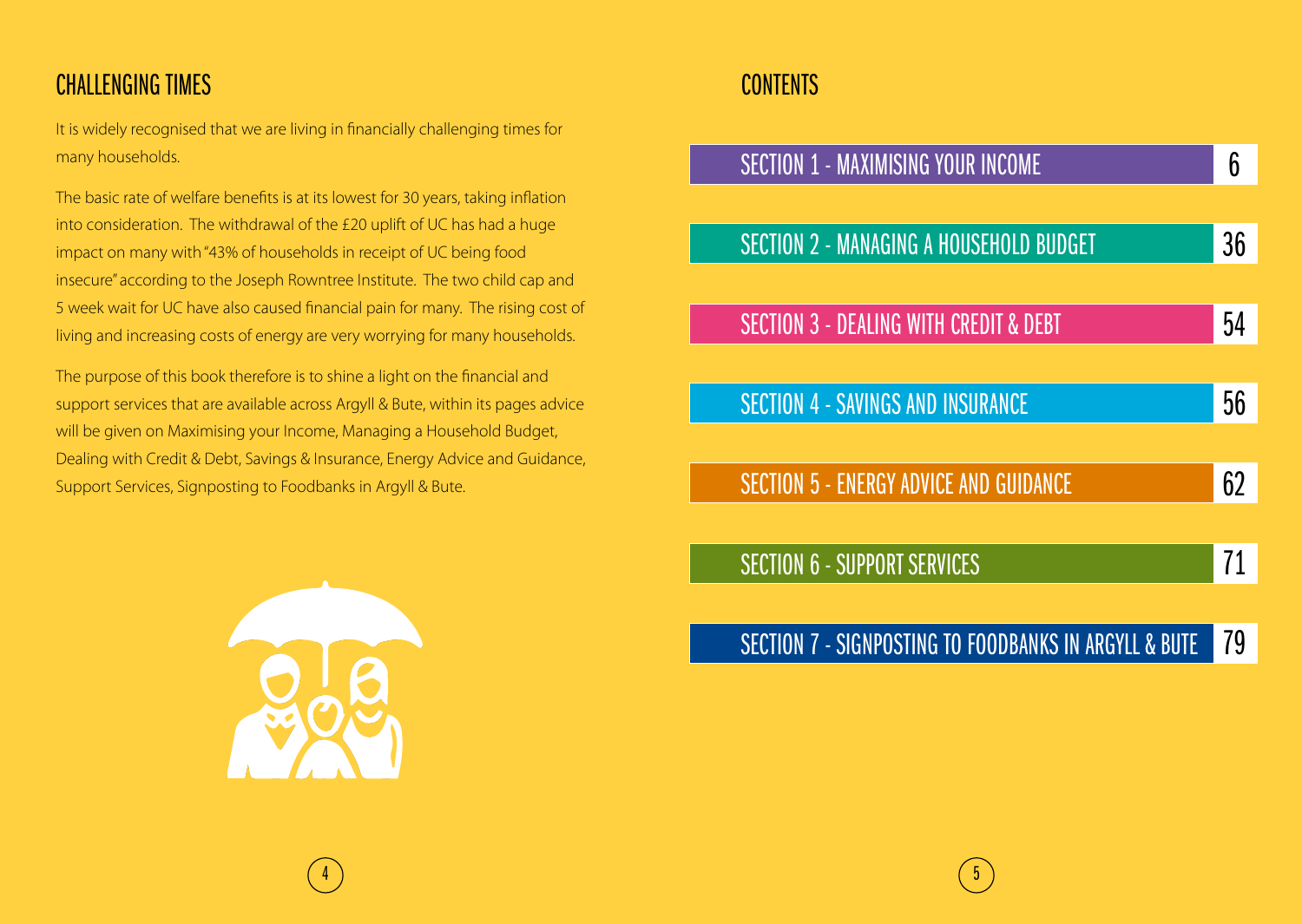# CHALLENGING TIMES

It is widely recognised that we are living in financially challenging times for many households.

The basic rate of welfare benefits is at its lowest for 30 years, taking inflation into consideration. The withdrawal of the £20 uplift of UC has had a huge impact on many with "43% of households in receipt of UC being food insecure" according to the Joseph Rowntree Institute. The two child cap and 5 week wait for UC have also caused financial pain for many. The rising cost of living and increasing costs of energy are very worrying for many households.

The purpose of this book therefore is to shine a light on the financial and support services that are available across Argyll & Bute, within its pages advice will be given on Maximising your Income, Managing a Household Budget, Dealing with Credit & Debt, Savings & Insurance, Energy Advice and Guidance, Support Services, Signposting to Foodbanks in Argyll & Bute.



## **CONTENTS**

| <b>SECTION 1 - MAXIMISING YOUR INCOME</b>             | ჩ  |
|-------------------------------------------------------|----|
|                                                       |    |
| <b>SECTION 2 - MANAGING A HOUSEHOLD BUDGET</b>        | 36 |
|                                                       |    |
| <b>SECTION 3 - DEALING WITH CREDIT &amp; DEBT</b>     | 54 |
|                                                       |    |
| <b>SECTION 4 - SAVINGS AND INSURANCE</b>              | 56 |
|                                                       |    |
| <b>SECTION 5 - ENERGY ADVICE AND GUIDANCE</b>         | 62 |
|                                                       |    |
| <b>SECTION 6 - SUPPORT SERVICES</b>                   |    |
|                                                       |    |
| SECTION 7 - SIGNPOSTING TO FOODBANKS IN ARGYLL & BUTE |    |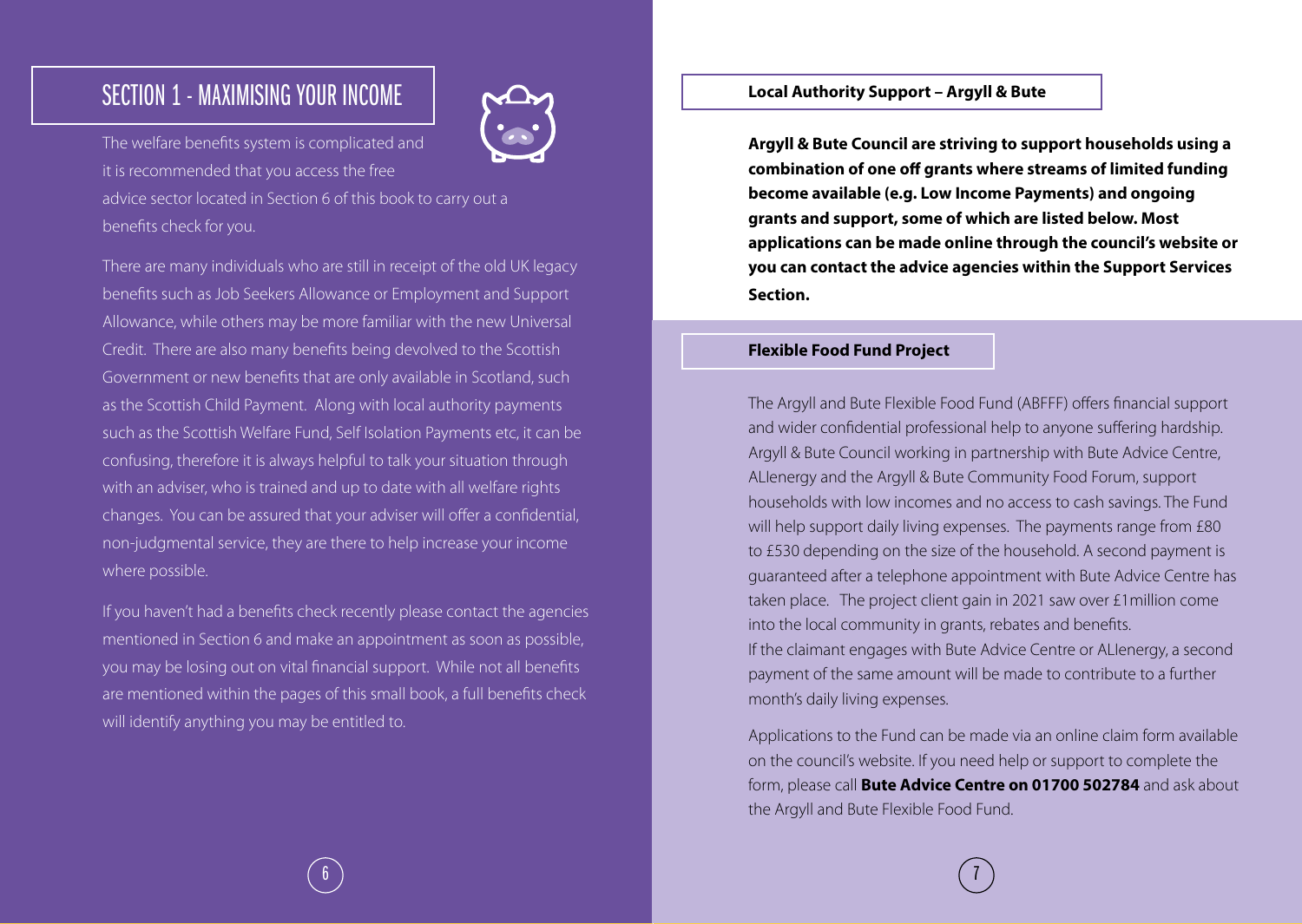# SECTION 1 - MAXIMISING YOUR INCOME



The welfare benefits system is complicated and it is recommended that you access the free advice sector located in Section 6 of this book to carry out a benefits check for you.

There are many individuals who are still in receipt of the old UK legacy benefits such as Job Seekers Allowance or Employment and Support Allowance, while others may be more familiar with the new Universal Credit. There are also many benefits being devolved to the Scottish Government or new benefits that are only available in Scotland, such as the Scottish Child Payment. Along with local authority payments such as the Scottish Welfare Fund, Self Isolation Payments etc, it can be confusing, therefore it is always helpful to talk your situation through with an adviser, who is trained and up to date with all welfare rights changes. You can be assured that your adviser will offer a confidential, non-judgmental service, they are there to help increase your income where possible.

If you haven't had a benefits check recently please contact the agencies mentioned in Section 6 and make an appointment as soon as possible, you may be losing out on vital financial support. While not all benefits are mentioned within the pages of this small book, a full benefits check will identify anything you may be entitled to.

#### **Local Authority Support – Argyll & Bute**

**Argyll & Bute Council are striving to support households using a combination of one off grants where streams of limited funding become available (e.g. Low Income Payments) and ongoing grants and support, some of which are listed below. Most applications can be made online through the council's website or you can contact the advice agencies within the Support Services Section.**

#### **Flexible Food Fund Project**

The Argyll and Bute Flexible Food Fund (ABFFF) offers financial support and wider confidential professional help to anyone suffering hardship. Argyll & Bute Council working in partnership with Bute Advice Centre, ALIenergy and the Argyll & Bute Community Food Forum, support households with low incomes and no access to cash savings. The Fund will help support daily living expenses. The payments range from £80 to £530 depending on the size of the household. A second payment is guaranteed after a telephone appointment with Bute Advice Centre has taken place. The project client gain in 2021 saw over £1million come into the local community in grants, rebates and benefits. If the claimant engages with Bute Advice Centre or ALIenergy, a second payment of the same amount will be made to contribute to a further month's daily living expenses.

Applications to the Fund can be made via an online claim form available on the council's website. If you need help or support to complete the form, please call **Bute Advice Centre on 01700 502784** and ask about the Argyll and Bute Flexible Food Fund.

 $\begin{array}{|c|c|c|c|c|c|}\hline \text{\textbf{6}} & \text{\textbf{7}} & \text{\textbf{8}} & \text{\textbf{9}} & \text{\textbf{10}} & \text{\textbf{12}} & \text{\textbf{12}} & \text{\textbf{13}} & \text{\textbf{14}} & \text{\textbf{15}} & \text{\textbf{12}} & \text{\textbf{13}} & \text{\textbf{14}} & \text{\textbf{15}} & \text{\textbf{12}} & \text{\textbf{13}} & \text{\textbf{14}} & \text{\textbf{15}} & \text{\textbf{14}} & \text{\textbf{15}} & \text{\$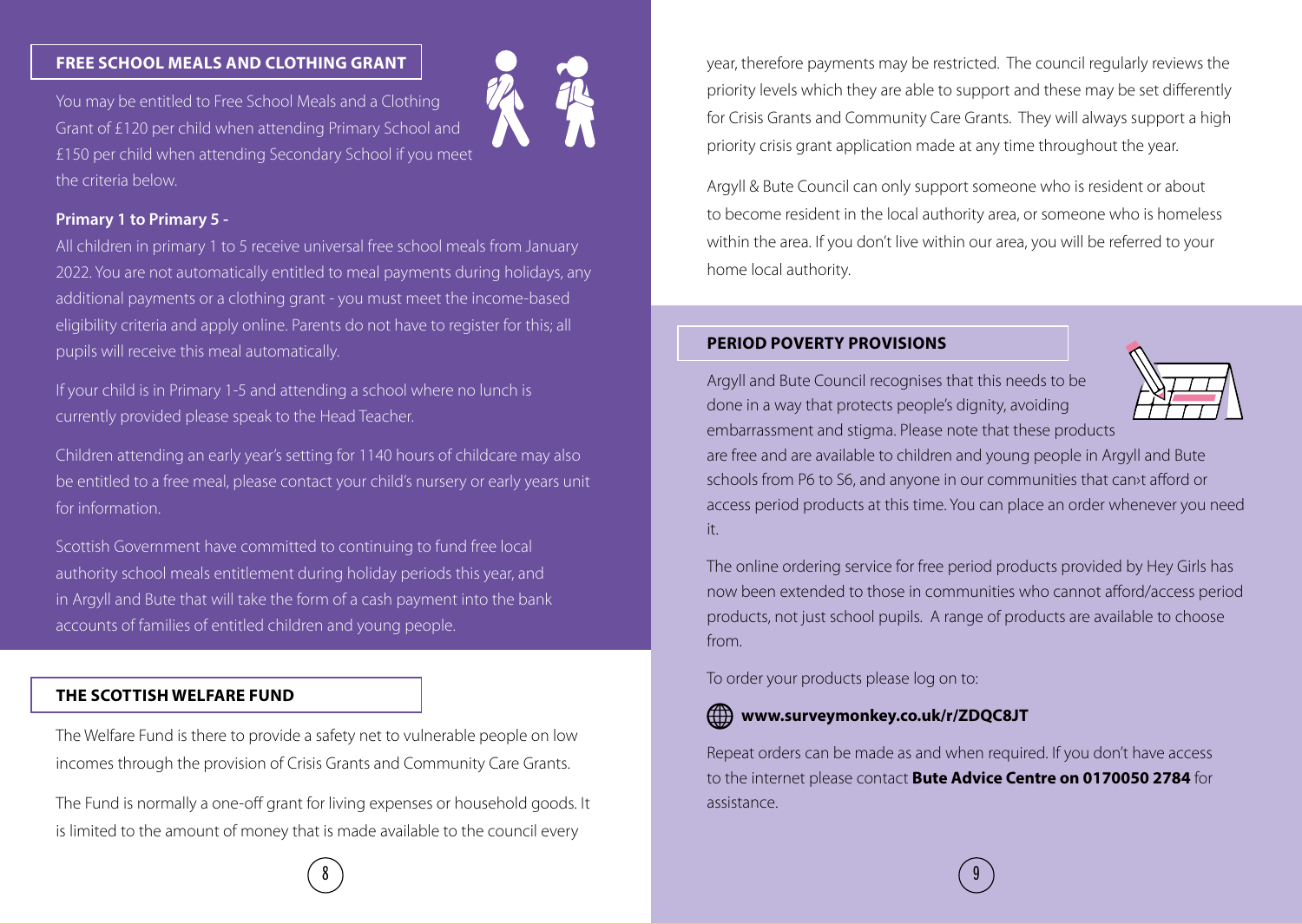#### **FREE SCHOOL MEALS AND CLOTHING GRANT**

You may be entitled to Free School Meals and a Clothing Grant of £120 per child when attending Primary School and £150 per child when attending Secondary School if you meet the criteria below.



#### **Primary 1 to Primary 5 -**

All children in primary 1 to 5 receive universal free school meals from January 2022. You are not automatically entitled to meal payments during holidays, any additional payments or a clothing grant - you must meet the income-based eligibility criteria and apply online. Parents do not have to register for this; all pupils will receive this meal automatically.

If your child is in Primary 1-5 and attending a school where no lunch is currently provided please speak to the Head Teacher.

Children attending an early year's setting for 1140 hours of childcare may also be entitled to a free meal, please contact your child's nursery or early years unit for information.

Scottish Government have committed to continuing to fund free local authority school meals entitlement during holiday periods this year, and in Argyll and Bute that will take the form of a cash payment into the bank accounts of families of entitled children and young people.

#### **THE SCOTTISH WELFARE FUND**

The Welfare Fund is there to provide a safety net to vulnerable people on low incomes through the provision of Crisis Grants and Community Care Grants.

The Fund is normally a one-off grant for living expenses or household goods. It is limited to the amount of money that is made available to the council every

year, therefore payments may be restricted. The council regularly reviews the priority levels which they are able to support and these may be set differently for Crisis Grants and Community Care Grants. They will always support a high priority crisis grant application made at any time throughout the year.

Argyll & Bute Council can only support someone who is resident or about to become resident in the local authority area, or someone who is homeless within the area. If you don't live within our area, you will be referred to your home local authority.

#### **PERIOD POVERTY PROVISIONS**

Argyll and Bute Council recognises that this needs to be done in a way that protects people's dignity, avoiding embarrassment and stigma. Please note that these products



are free and are available to children and young people in Argyll and Bute schools from P6 to S6, and anyone in our communities that can›t afford or access period products at this time. You can place an order whenever you need it.

The online ordering service for free period products provided by Hey Girls has now been extended to those in communities who cannot afford/access period products, not just school pupils. A range of products are available to choose from.

To order your products please log on to:

#### **www.surveymonkey.co.uk/r/ZDQC8JT**

Repeat orders can be made as and when required. If you don't have access to the internet please contact **Bute Advice Centre on 0170050 2784** for assistance.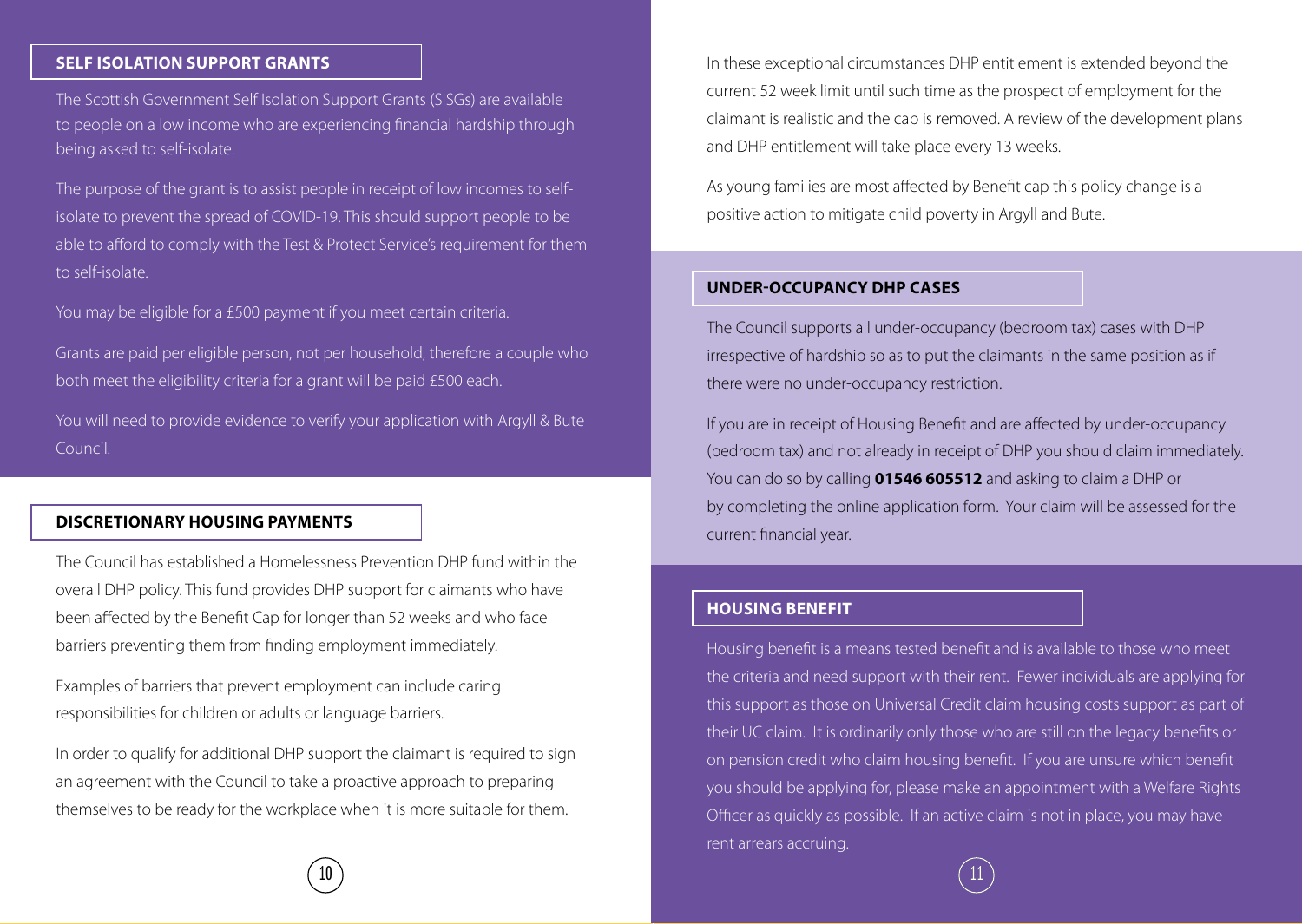#### **SELF ISOLATION SUPPORT GRANTS**

The Scottish Government Self Isolation Support Grants (SISGs) are available to people on a low income who are experiencing financial hardship through being asked to self-isolate.

The purpose of the grant is to assist people in receipt of low incomes to selfisolate to prevent the spread of COVID-19. This should support people to be able to afford to comply with the Test & Protect Service's requirement for them to self-isolate.

You may be eligible for a £500 payment if you meet certain criteria.

Grants are paid per eligible person, not per household, therefore a couple who both meet the eligibility criteria for a grant will be paid £500 each.

You will need to provide evidence to verify your application with Argyll & Bute Council.

#### **DISCRETIONARY HOUSING PAYMENTS**

The Council has established a Homelessness Prevention DHP fund within the overall DHP policy. This fund provides DHP support for claimants who have been affected by the Benefit Cap for longer than 52 weeks and who face barriers preventing them from finding employment immediately.

Examples of barriers that prevent employment can include caring responsibilities for children or adults or language barriers.

In order to qualify for additional DHP support the claimant is required to sign an agreement with the Council to take a proactive approach to preparing themselves to be ready for the workplace when it is more suitable for them.

In these exceptional circumstances DHP entitlement is extended beyond the current 52 week limit until such time as the prospect of employment for the claimant is realistic and the cap is removed. A review of the development plans and DHP entitlement will take place every 13 weeks.

As young families are most affected by Benefit cap this policy change is a positive action to mitigate child poverty in Argyll and Bute.

#### **UNDER-OCCUPANCY DHP CASES**

The Council supports all under-occupancy (bedroom tax) cases with DHP irrespective of hardship so as to put the claimants in the same position as if there were no under-occupancy restriction.

If you are in receipt of Housing Benefit and are affected by under-occupancy (bedroom tax) and not already in receipt of DHP you should claim immediately. You can do so by calling **01546 605512** and asking to claim a DHP or by completing the online application form. Your claim will be assessed for the current financial year.

#### **HOUSING BENEFIT**

Housing benefit is a means tested benefit and is available to those who meet the criteria and need support with their rent. Fewer individuals are applying for this support as those on Universal Credit claim housing costs support as part of their UC claim. It is ordinarily only those who are still on the legacy benefits or on pension credit who claim housing benefit. If you are unsure which benefit you should be applying for, please make an appointment with a Welfare Rights Officer as quickly as possible. If an active claim is not in place, you may have rent arrears accruing.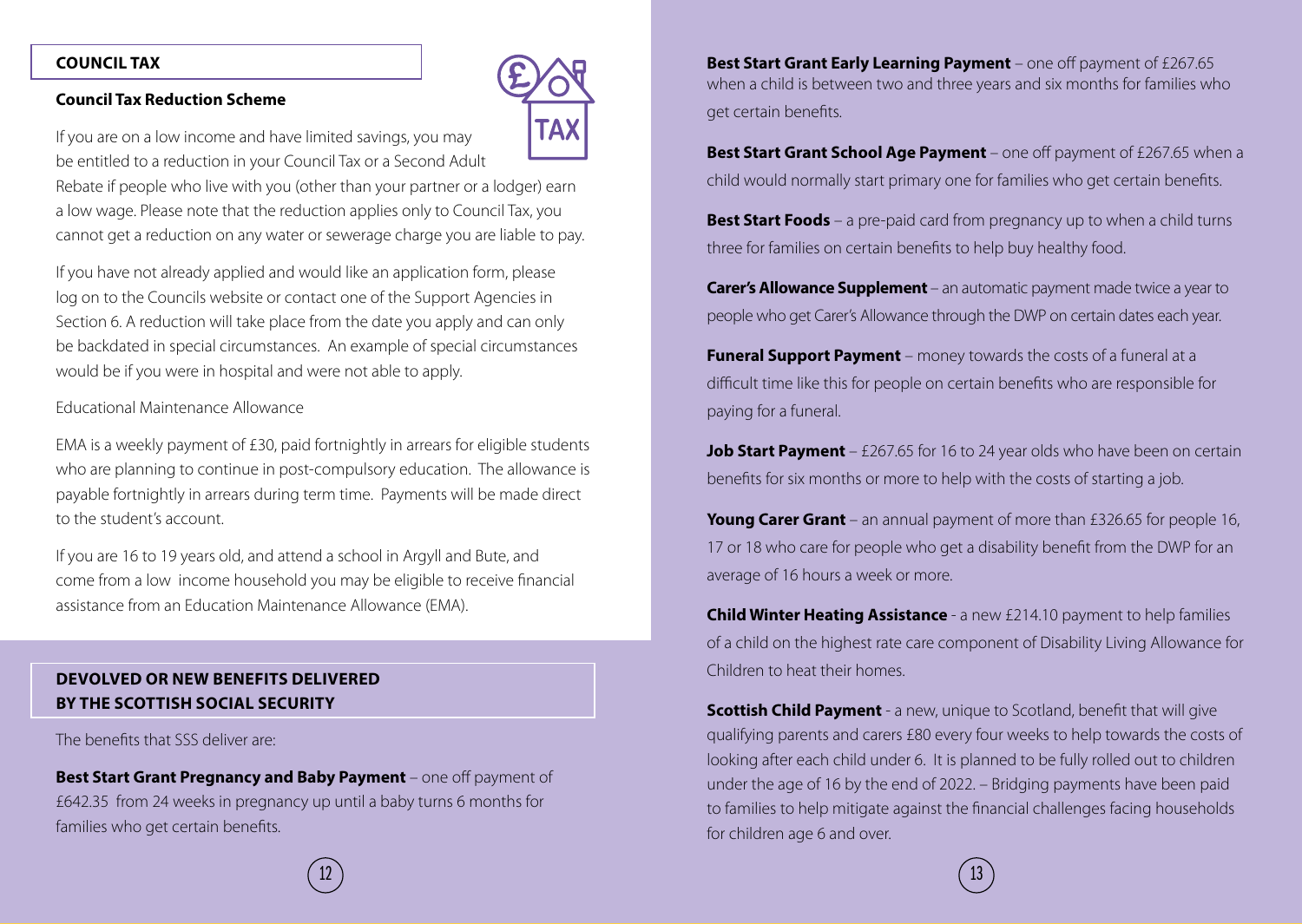#### **COUNCIL TAX**

#### **Council Tax Reduction Scheme**



If you are on a low income and have limited savings, you may be entitled to a reduction in your Council Tax or a Second Adult

Rebate if people who live with you (other than your partner or a lodger) earn a low wage. Please note that the reduction applies only to Council Tax, you cannot get a reduction on any water or sewerage charge you are liable to pay.

If you have not already applied and would like an application form, please log on to the Councils website or contact one of the Support Agencies in Section 6. A reduction will take place from the date you apply and can only be backdated in special circumstances. An example of special circumstances would be if you were in hospital and were not able to apply.

#### Educational Maintenance Allowance

EMA is a weekly payment of £30, paid fortnightly in arrears for eligible students who are planning to continue in post-compulsory education. The allowance is payable fortnightly in arrears during term time. Payments will be made direct to the student's account.

If you are 16 to 19 years old, and attend a school in Argyll and Bute, and come from a low income household you may be eligible to receive financial assistance from an Education Maintenance Allowance (EMA).

#### **DEVOLVED OR NEW BENEFITS DELIVERED BY THE SCOTTISH SOCIAL SECURITY**

The benefits that SSS deliver are:

**Best Start Grant Pregnancy and Baby Payment** – one off payment of £642.35 from 24 weeks in pregnancy up until a baby turns 6 months for families who get certain benefits.

**Best Start Grant Early Learning Payment** – one off payment of £267.65 when a child is between two and three years and six months for families who get certain benefits.

**Best Start Grant School Age Payment** – one off payment of £267.65 when a child would normally start primary one for families who get certain benefits.

**Best Start Foods** – a pre-paid card from pregnancy up to when a child turns three for families on certain benefits to help buy healthy food.

**Carer's Allowance Supplement** – an automatic payment made twice a year to people who get Carer's Allowance through the DWP on certain dates each year.

**Funeral Support Payment** – money towards the costs of a funeral at a difficult time like this for people on certain benefits who are responsible for paying for a funeral.

**Job Start Payment** – £267.65 for 16 to 24 year olds who have been on certain benefits for six months or more to help with the costs of starting a job.

**Young Carer Grant** – an annual payment of more than £326.65 for people 16, 17 or 18 who care for people who get a disability benefit from the DWP for an average of 16 hours a week or more.

**Child Winter Heating Assistance** - a new £214.10 payment to help families of a child on the highest rate care component of Disability Living Allowance for Children to heat their homes.

**Scottish Child Payment** - a new, unique to Scotland, benefit that will give qualifying parents and carers £80 every four weeks to help towards the costs of looking after each child under 6. It is planned to be fully rolled out to children under the age of 16 by the end of 2022. – Bridging payments have been paid to families to help mitigate against the financial challenges facing households for children age 6 and over.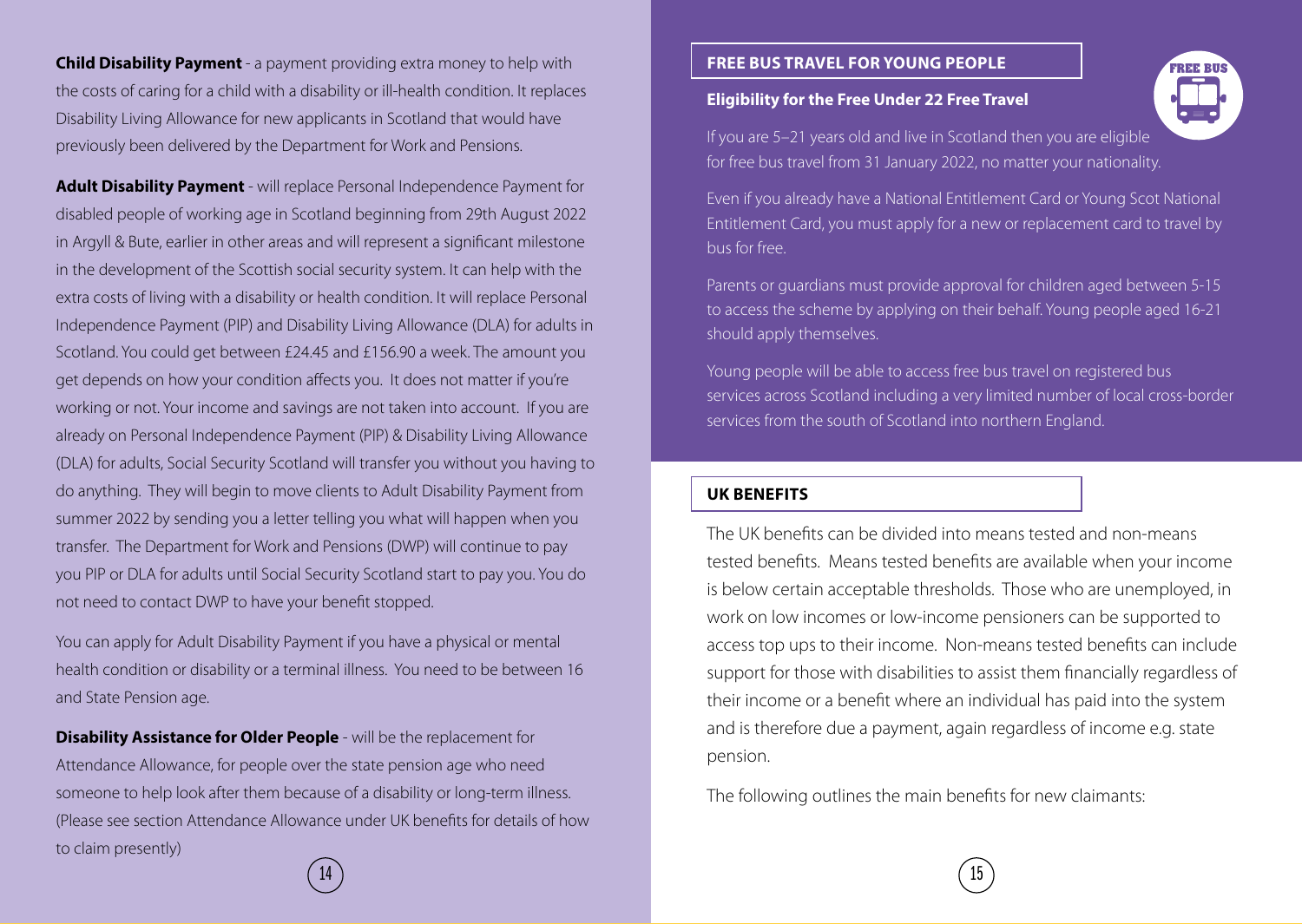**Child Disability Payment** - a payment providing extra money to help with the costs of caring for a child with a disability or ill-health condition. It replaces Disability Living Allowance for new applicants in Scotland that would have previously been delivered by the Department for Work and Pensions.

**Adult Disability Payment** - will replace Personal Independence Payment for disabled people of working age in Scotland beginning from 29th August 2022 in Argyll & Bute, earlier in other areas and will represent a significant milestone in the development of the Scottish social security system. It can help with the extra costs of living with a disability or health condition. It will replace Personal Independence Payment (PIP) and Disability Living Allowance (DLA) for adults in Scotland. You could get between £24.45 and £156.90 a week. The amount you get depends on how your condition affects you. It does not matter if you're working or not. Your income and savings are not taken into account. If you are already on Personal Independence Payment (PIP) & Disability Living Allowance (DLA) for adults, Social Security Scotland will transfer you without you having to do anything. They will begin to move clients to Adult Disability Payment from summer 2022 by sending you a letter telling you what will happen when you transfer. The Department for Work and Pensions (DWP) will continue to pay you PIP or DLA for adults until Social Security Scotland start to pay you. You do not need to contact DWP to have your benefit stopped.

You can apply for Adult Disability Payment if you have a physical or mental health condition or disability or a terminal illness. You need to be between 16 and State Pension age.

**Disability Assistance for Older People** - will be the replacement for Attendance Allowance, for people over the state pension age who need someone to help look after them because of a disability or long-term illness. (Please see section Attendance Allowance under UK benefits for details of how to claim presently)

#### **FREE BUS TRAVEL FOR YOUNG PEOPLE**

#### **Eligibility for the Free Under 22 Free Travel**

If you are 5–21 years old and live in Scotland then you are eligible for free bus travel from 31 January 2022, no matter your nationality.

Even if you already have a National Entitlement Card or Young Scot National Entitlement Card, you must apply for a new or replacement card to travel by bus for free.

Parents or guardians must provide approval for children aged between 5-15 to access the scheme by applying on their behalf. Young people aged 16-21 should apply themselves.

Young people will be able to access free bus travel on registered bus services across Scotland including a very limited number of local cross-border services from the south of Scotland into northern England.

#### **UK BENEFITS**

The UK benefits can be divided into means tested and non-means tested benefits. Means tested benefits are available when your income is below certain acceptable thresholds. Those who are unemployed, in work on low incomes or low-income pensioners can be supported to access top ups to their income. Non-means tested benefits can include support for those with disabilities to assist them financially regardless of their income or a benefit where an individual has paid into the system and is therefore due a payment, again regardless of income e.g. state pension.

The following outlines the main benefits for new claimants:

 $\left( \begin{array}{c} 15 \end{array} \right)$ 

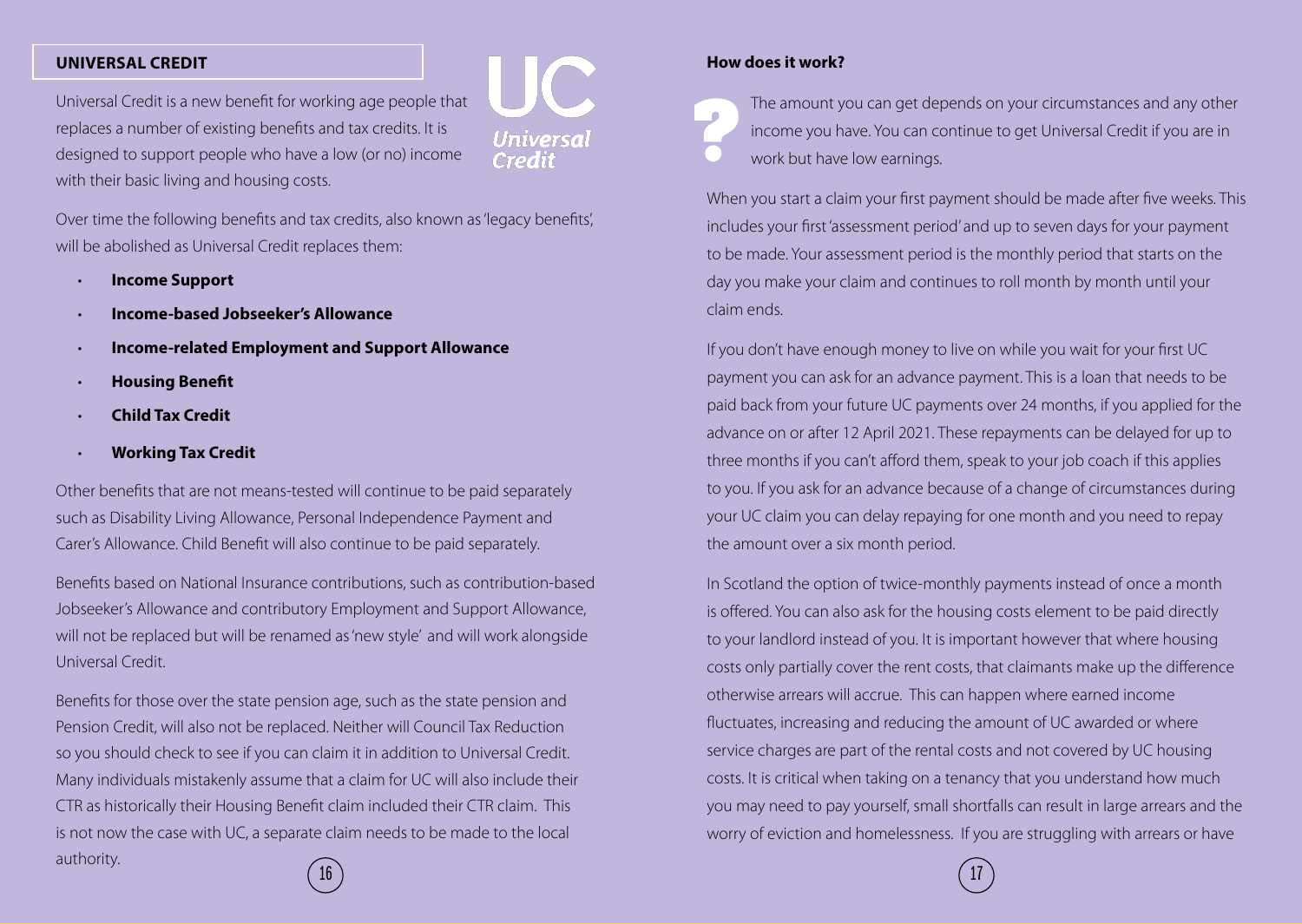#### **UNIVERSAL CREDIT**

Universal Credit is a new benefit for working age people that replaces a number of existing benefits and tax credits. It is designed to support people who have a low (or no) income with their basic living and housing costs.

Universai

Over time the following benefits and tax credits, also known as 'legacy benefits', will be abolished as Universal Credit replaces them:

- **Income Support**
- **Income-based Jobseeker's Allowance**
- **Income-related Employment and Support Allowance**
- **Housing Benefit**
- **Child Tax Credit**
- **Working Tax Credit**

Other benefits that are not means-tested will continue to be paid separately such as Disability Living Allowance, Personal Independence Payment and Carer's Allowance. Child Benefit will also continue to be paid separately.

Benefits based on National Insurance contributions, such as contribution-based Jobseeker's Allowance and contributory Employment and Support Allowance, will not be replaced but will be renamed as 'new style' and will work alongside Universal Credit.

Benefits for those over the state pension age, such as the state pension and Pension Credit, will also not be replaced. Neither will Council Tax Reduction so you should check to see if you can claim it in addition to Universal Credit. Many individuals mistakenly assume that a claim for UC will also include their CTR as historically their Housing Benefit claim included their CTR claim. This is not now the case with UC, a separate claim needs to be made to the local authority.

#### **How does it work?**

The amount you can get depends on your circumstances and any other income you have. You can continue to get Universal Credit if you are in work but have low earnings. **?**

When you start a claim your first payment should be made after five weeks. This includes your first 'assessment period' and up to seven days for your payment to be made. Your assessment period is the monthly period that starts on the day you make your claim and continues to roll month by month until your claim ends.

If you don't have enough money to live on while you wait for your first UC payment you can ask for an advance payment. This is a loan that needs to be paid back from your future UC payments over 24 months, if you applied for the advance on or after 12 April 2021. These repayments can be delayed for up to three months if you can't afford them, speak to your job coach if this applies to you. If you ask for an advance because of a change of circumstances during your UC claim you can delay repaying for one month and you need to repay the amount over a six month period.

In Scotland the option of twice-monthly payments instead of once a month is offered. You can also ask for the housing costs element to be paid directly to your landlord instead of you. It is important however that where housing costs only partially cover the rent costs, that claimants make up the difference otherwise arrears will accrue. This can happen where earned income fluctuates, increasing and reducing the amount of UC awarded or where service charges are part of the rental costs and not covered by UC housing costs. It is critical when taking on a tenancy that you understand how much you may need to pay yourself, small shortfalls can result in large arrears and the worry of eviction and homelessness. If you are struggling with arrears or have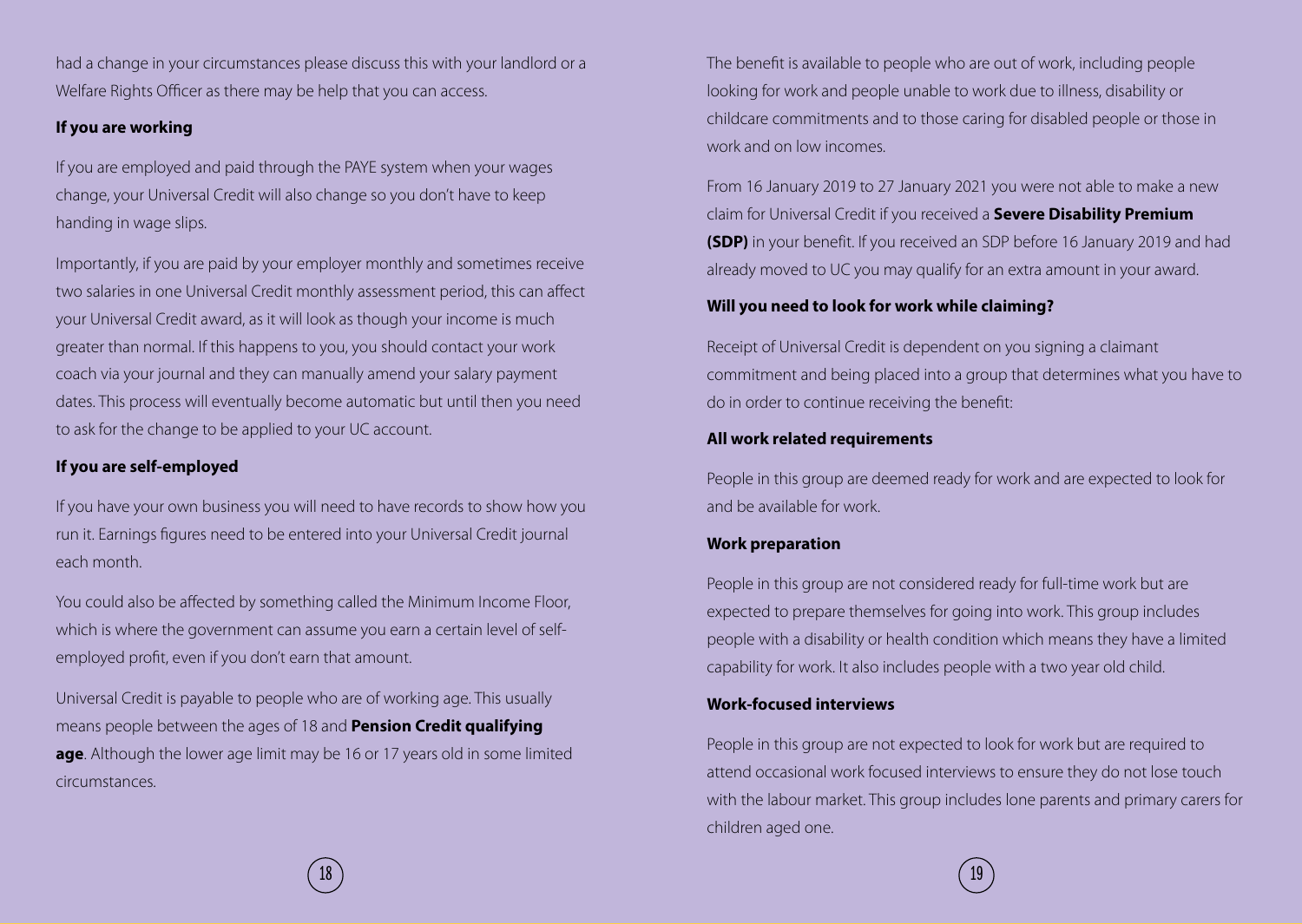had a change in your circumstances please discuss this with your landlord or a Welfare Rights Officer as there may be help that you can access.

#### **If you are working**

If you are employed and paid through the PAYE system when your wages change, your Universal Credit will also change so you don't have to keep handing in wage slips.

Importantly, if you are paid by your employer monthly and sometimes receive two salaries in one Universal Credit monthly assessment period, this can affect your Universal Credit award, as it will look as though your income is much greater than normal. If this happens to you, you should contact your work coach via your journal and they can manually amend your salary payment dates. This process will eventually become automatic but until then you need to ask for the change to be applied to your UC account.

#### **If you are self-employed**

If you have your own business you will need to have records to show how you run it. Earnings figures need to be entered into your Universal Credit journal each month.

You could also be affected by something called the Minimum Income Floor, which is where the government can assume you earn a certain level of selfemployed profit, even if you don't earn that amount.

Universal Credit is payable to people who are of working age. This usually means people between the ages of 18 and **Pension Credit qualifying age**. Although the lower age limit may be 16 or 17 years old in some limited circumstances.

The benefit is available to people who are out of work, including people looking for work and people unable to work due to illness, disability or childcare commitments and to those caring for disabled people or those in work and on low incomes.

From 16 January 2019 to 27 January 2021 you were not able to make a new claim for Universal Credit if you received a **Severe Disability Premium (SDP)** in your benefit. If you received an SDP before 16 January 2019 and had already moved to UC you may qualify for an extra amount in your award.

#### **Will you need to look for work while claiming?**

Receipt of Universal Credit is dependent on you signing a claimant commitment and being placed into a group that determines what you have to do in order to continue receiving the benefit:

#### **All work related requirements**

People in this group are deemed ready for work and are expected to look for and be available for work.

#### **Work preparation**

People in this group are not considered ready for full-time work but are expected to prepare themselves for going into work. This group includes people with a disability or health condition which means they have a limited capability for work. It also includes people with a two year old child.

#### **Work-focused interviews**

People in this group are not expected to look for work but are required to attend occasional work focused interviews to ensure they do not lose touch with the labour market. This group includes lone parents and primary carers for children aged one.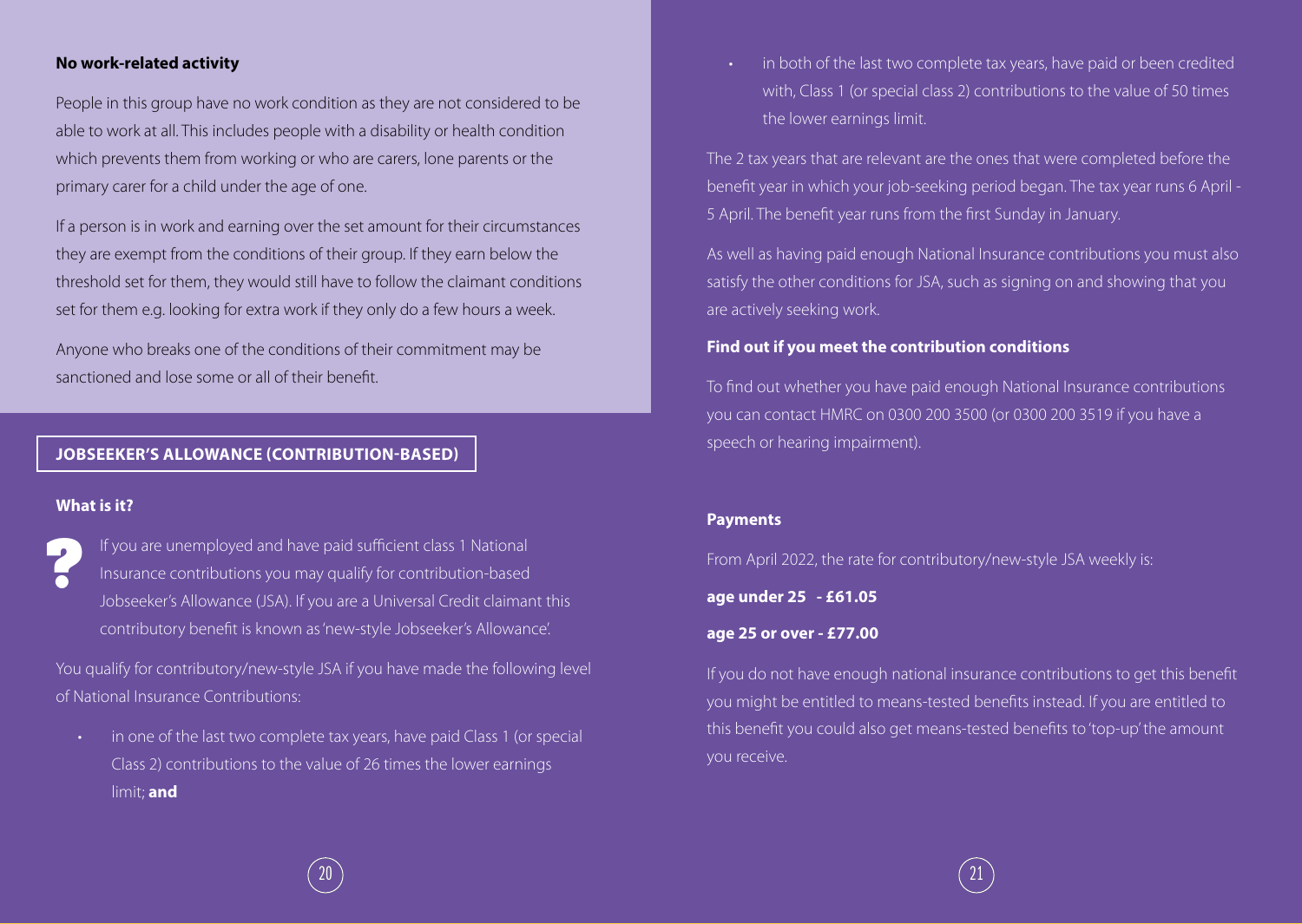#### **No work-related activity**

People in this group have no work condition as they are not considered to be able to work at all. This includes people with a disability or health condition which prevents them from working or who are carers, lone parents or the primary carer for a child under the age of one.

If a person is in work and earning over the set amount for their circumstances they are exempt from the conditions of their group. If they earn below the threshold set for them, they would still have to follow the claimant conditions set for them e.g. looking for extra work if they only do a few hours a week.

Anyone who breaks one of the conditions of their commitment may be sanctioned and lose some or all of their benefit.

#### **JOBSEEKER'S ALLOWANCE (CONTRIBUTION-BASED)**

#### **What is it?**

If you are unemployed and have paid sufficient class 1 National Insurance contributions you may qualify for contribution-based Jobseeker's Allowance (JSA). If you are a Universal Credit claimant this contributory benefit is known as 'new-style Jobseeker's Allowance'. **?**

You qualify for contributory/new-style JSA if you have made the following level of National Insurance Contributions:

• in one of the last two complete tax years, have paid Class 1 (or special Class 2) contributions to the value of 26 times the lower earnings limit; **and**

in both of the last two complete tax years, have paid or been credited with, Class 1 (or special class 2) contributions to the value of 50 times the lower earnings limit.

The 2 tax years that are relevant are the ones that were completed before the benefit year in which your job-seeking period began. The tax year runs 6 April - 5 April. The benefit year runs from the first Sunday in January.

As well as having paid enough National Insurance contributions you must also satisfy the other conditions for JSA, such as signing on and showing that you are actively seeking work.

#### **Find out if you meet the contribution conditions**

To find out whether you have paid enough National Insurance contributions you can contact HMRC on 0300 200 3500 (or 0300 200 3519 if you have a speech or hearing impairment).

#### **Payments**

From April 2022, the rate for contributory/new-style JSA weekly is:

**age under 25 - £61.05**

#### **age 25 or over - £77.00**

If you do not have enough national insurance contributions to get this benefit you might be entitled to means-tested benefits instead. If you are entitled to this benefit you could also get means-tested benefits to 'top-up' the amount you receive.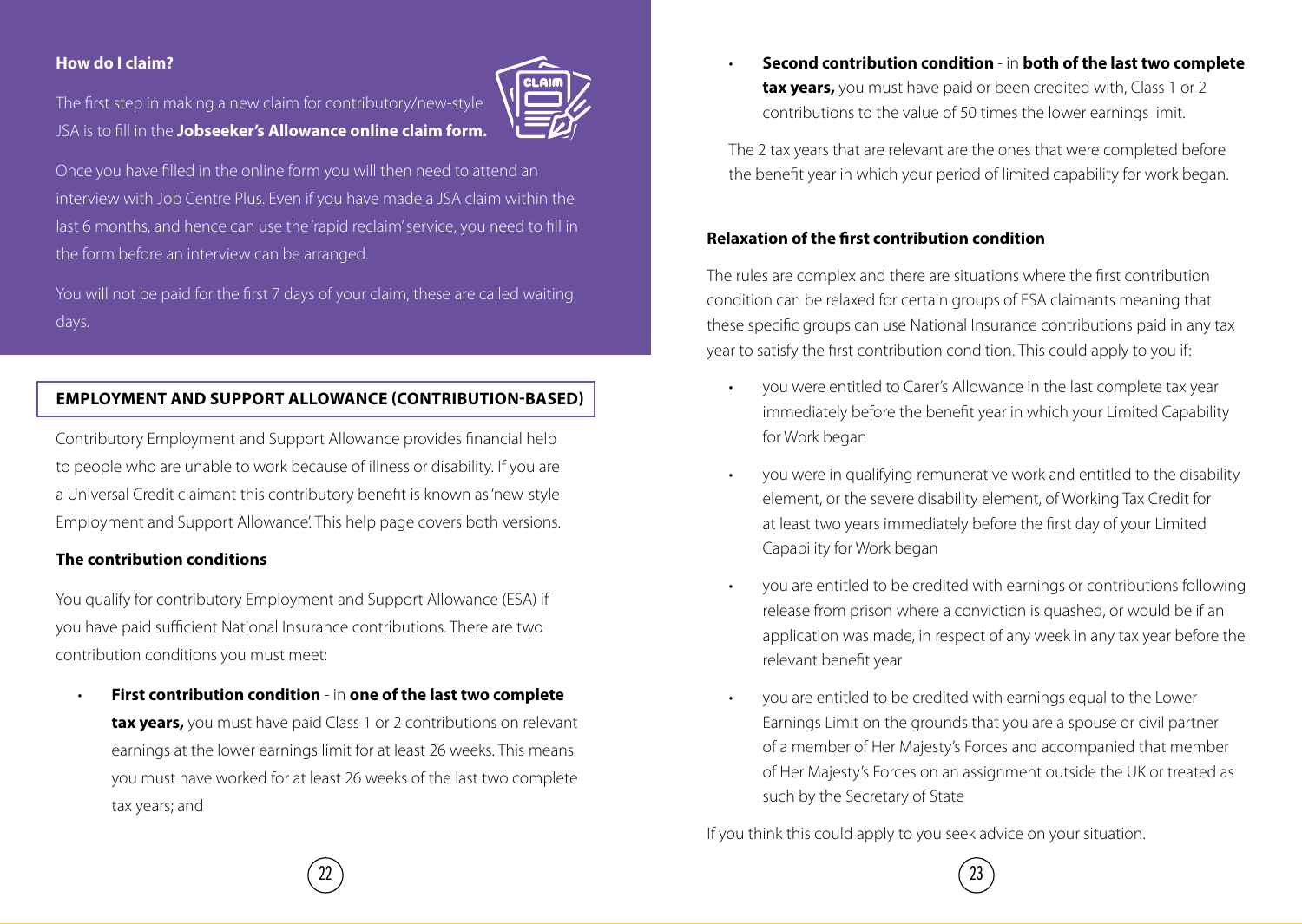#### **How do I claim?**

The first step in making a new claim for contributory/new-style JSA is to fill in the **Jobseeker's Allowance online claim form.**



Once you have filled in the online form you will then need to attend an interview with Job Centre Plus. Even if you have made a JSA claim within the last 6 months, and hence can use the 'rapid reclaim' service, you need to fill in the form before an interview can be arranged.

You will not be paid for the first 7 days of your claim, these are called waiting days.

#### **EMPLOYMENT AND SUPPORT ALLOWANCE (CONTRIBUTION-BASED)**

Contributory Employment and Support Allowance provides financial help to people who are unable to work because of illness or disability. If you are a Universal Credit claimant this contributory benefit is known as 'new-style Employment and Support Allowance'. This help page covers both versions.

#### **The contribution conditions**

You qualify for contributory Employment and Support Allowance (ESA) if you have paid sufficient National Insurance contributions. There are two contribution conditions you must meet:

• **First contribution condition** - in **one of the last two complete tax years,** you must have paid Class 1 or 2 contributions on relevant earnings at the lower earnings limit for at least 26 weeks. This means you must have worked for at least 26 weeks of the last two complete tax years; and

• **Second contribution condition** - in **both of the last two complete tax years,** you must have paid or been credited with, Class 1 or 2 contributions to the value of 50 times the lower earnings limit.

The 2 tax years that are relevant are the ones that were completed before the benefit year in which your period of limited capability for work began.

#### **Relaxation of the first contribution condition**

The rules are complex and there are situations where the first contribution condition can be relaxed for certain groups of ESA claimants meaning that these specific groups can use National Insurance contributions paid in any tax year to satisfy the first contribution condition. This could apply to you if:

- you were entitled to Carer's Allowance in the last complete tax year immediately before the benefit year in which your Limited Capability for Work began
- you were in qualifying remunerative work and entitled to the disability element, or the severe disability element, of Working Tax Credit for at least two years immediately before the first day of your Limited Capability for Work began
- you are entitled to be credited with earnings or contributions following release from prison where a conviction is quashed, or would be if an application was made, in respect of any week in any tax year before the relevant benefit year
- you are entitled to be credited with earnings equal to the Lower Earnings Limit on the grounds that you are a spouse or civil partner of a member of Her Majesty's Forces and accompanied that member of Her Majesty's Forces on an assignment outside the UK or treated as such by the Secretary of State

If you think this could apply to you seek advice on your situation.

 $(23)$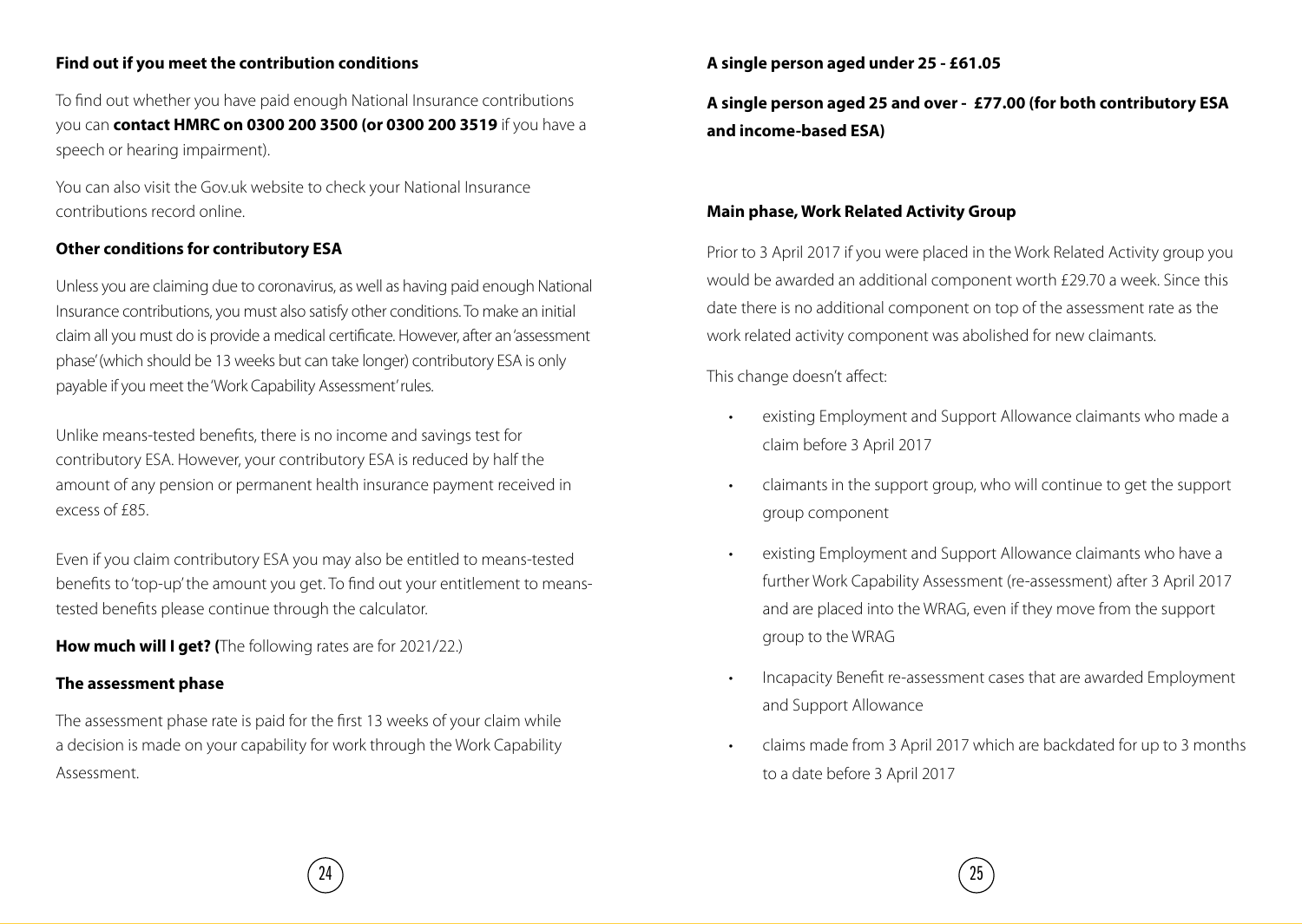#### **Find out if you meet the contribution conditions**

To find out whether you have paid enough National Insurance contributions you can **contact HMRC on 0300 200 3500 (or 0300 200 3519** if you have a speech or hearing impairment).

You can also visit the Gov.uk website to check your National Insurance contributions record online.

#### **Other conditions for contributory ESA**

Unless you are claiming due to coronavirus, as well as having paid enough National Insurance contributions, you must also satisfy other conditions. To make an initial claim all you must do is provide a medical certificate. However, after an 'assessment phase' (which should be 13 weeks but can take longer) contributory ESA is only payable if you meet the 'Work Capability Assessment' rules.

Unlike means-tested benefits, there is no income and savings test for contributory ESA. However, your contributory ESA is reduced by half the amount of any pension or permanent health insurance payment received in excess of £85.

Even if you claim contributory ESA you may also be entitled to means-tested benefits to 'top-up' the amount you get. To find out your entitlement to meanstested benefits please continue through the calculator.

**How much will I get? (**The following rates are for 2021/22.)

#### **The assessment phase**

The assessment phase rate is paid for the first 13 weeks of your claim while a decision is made on your capability for work through the Work Capability Assessment.

#### **A single person aged under 25 - £61.05**

**A single person aged 25 and over - £77.00 (for both contributory ESA and income-based ESA)**

#### **Main phase, Work Related Activity Group**

Prior to 3 April 2017 if you were placed in the Work Related Activity group you would be awarded an additional component worth £29.70 a week. Since this date there is no additional component on top of the assessment rate as the work related activity component was abolished for new claimants.

This change doesn't affect:

- existing Employment and Support Allowance claimants who made a claim before 3 April 2017
- claimants in the support group, who will continue to get the support group component
- existing Employment and Support Allowance claimants who have a further Work Capability Assessment (re-assessment) after 3 April 2017 and are placed into the WRAG, even if they move from the support group to the WRAG
- Incapacity Benefit re-assessment cases that are awarded Employment and Support Allowance
- claims made from 3 April 2017 which are backdated for up to 3 months to a date before 3 April 2017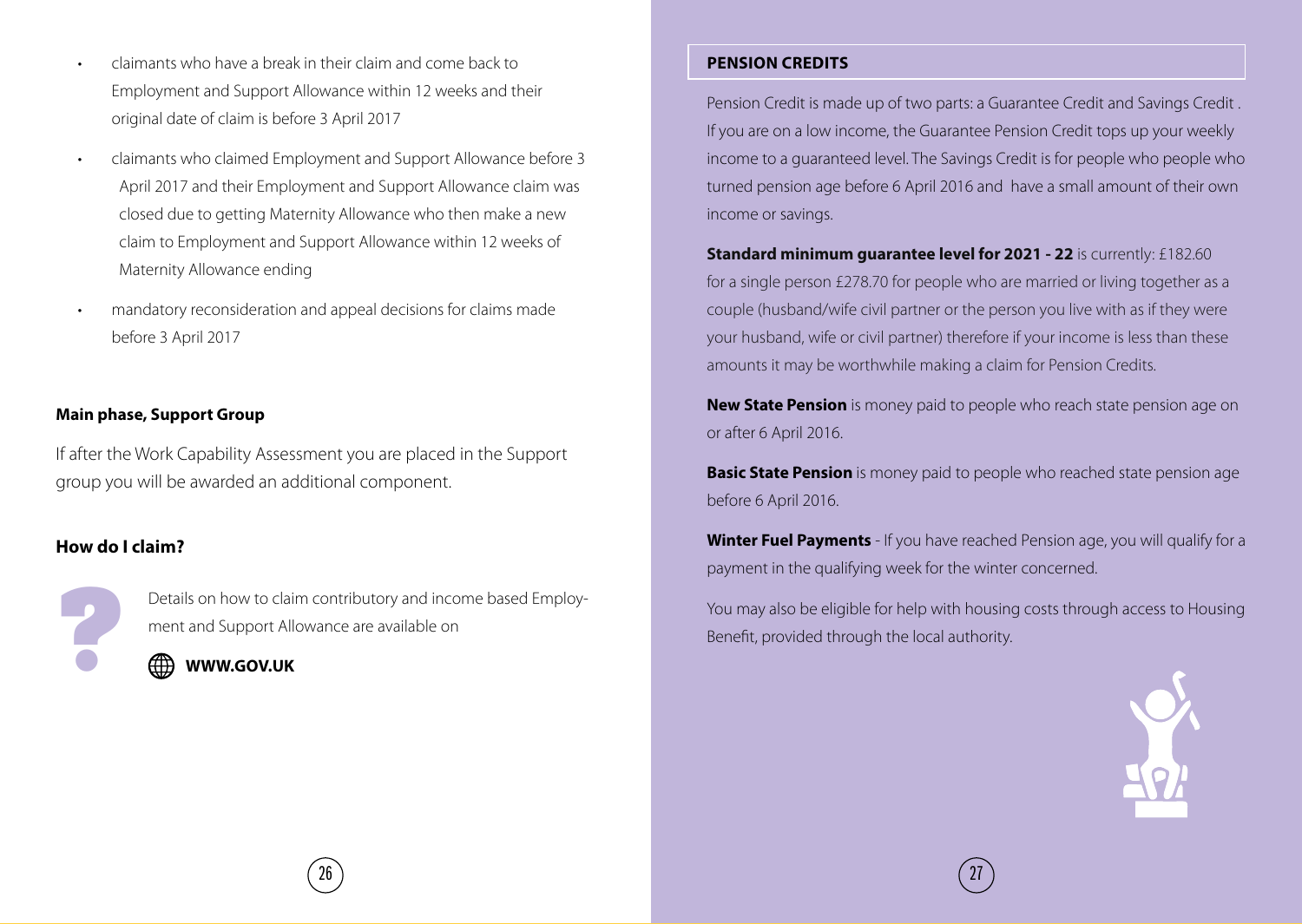• claimants who have a break in their claim and come back to Employment and Support Allowance within 12 weeks and their original date of claim is before 3 April 2017

- claimants who claimed Employment and Support Allowance before 3 April 2017 and their Employment and Support Allowance claim was closed due to getting Maternity Allowance who then make a new claim to Employment and Support Allowance within 12 weeks of Maternity Allowance ending
- mandatory reconsideration and appeal decisions for claims made before 3 April 2017

#### **Main phase, Support Group**

If after the Work Capability Assessment you are placed in the Support group you will be awarded an additional component.

#### **How do I claim?**

Details on how to claim contributory and income based Employment and Support Allowance are available on



#### **PENSION CREDITS**

Pension Credit is made up of two parts: a Guarantee Credit and Savings Credit . If you are on a low income, the Guarantee Pension Credit tops up your weekly income to a guaranteed level. The Savings Credit is for people who people who turned pension age before 6 April 2016 and have a small amount of their own income or savings.

**Standard minimum guarantee level for 2021 - 22** is currently: £182.60 for a single person £278.70 for people who are married or living together as a couple (husband/wife civil partner or the person you live with as if they were your husband, wife or civil partner) therefore if your income is less than these amounts it may be worthwhile making a claim for Pension Credits.

**New State Pension** is money paid to people who reach state pension age on or after 6 April 2016.

**Basic State Pension** is money paid to people who reached state pension age before 6 April 2016.

**Winter Fuel Payments** - If you have reached Pension age, you will qualify for a payment in the qualifying week for the winter concerned.

Details on how to claim contributory and income based Employ-<br> **PHOTE 1999** MONTH TO MANUSING THE SERVICE STATE of the Benefit, provided through the local authority.<br> **A**<br> **PHOTE 1999 MONTH TO MANUSING THE SERVICE STATE S** 

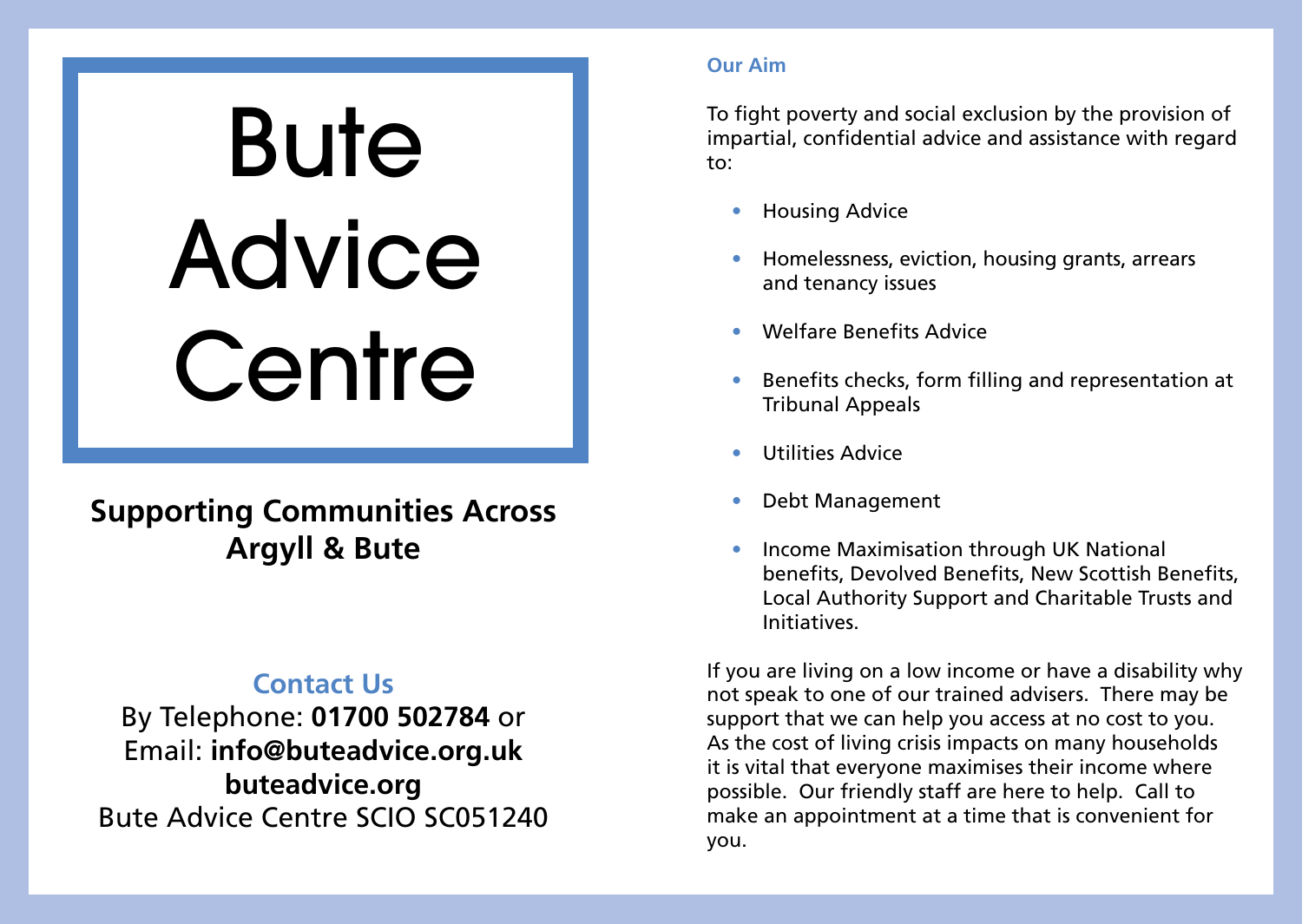# **Bute** Advice **Centre**

# **Supporting Communities Across Argyll & Bute**

## **Contact Us**

By Telephone: **01700 502784** or Email: **info@buteadvice.org.uk buteadvice.org** Bute Advice Centre SCIO SC051240

#### **Our Aim**

To fight poverty and social exclusion by the provision of impartial, confidential advice and assistance with regard to:

- Housing Advice
- Homelessness, eviction, housing grants, arrears and tenancy issues
- Welfare Benefits Advice
- Benefits checks, form filling and representation at Tribunal Appeals
- Utilities Advice
- Debt Management
- Income Maximisation through UK National benefits, Devolved Benefits, New Scottish Benefits, Local Authority Support and Charitable Trusts and Initiatives.

If you are living on a low income or have a disability why not speak to one of our trained advisers. There may be support that we can help you access at no cost to you. As the cost of living crisis impacts on many households it is vital that everyone maximises their income where possible. Our friendly staff are here to help. Call to make an appointment at a time that is convenient for you.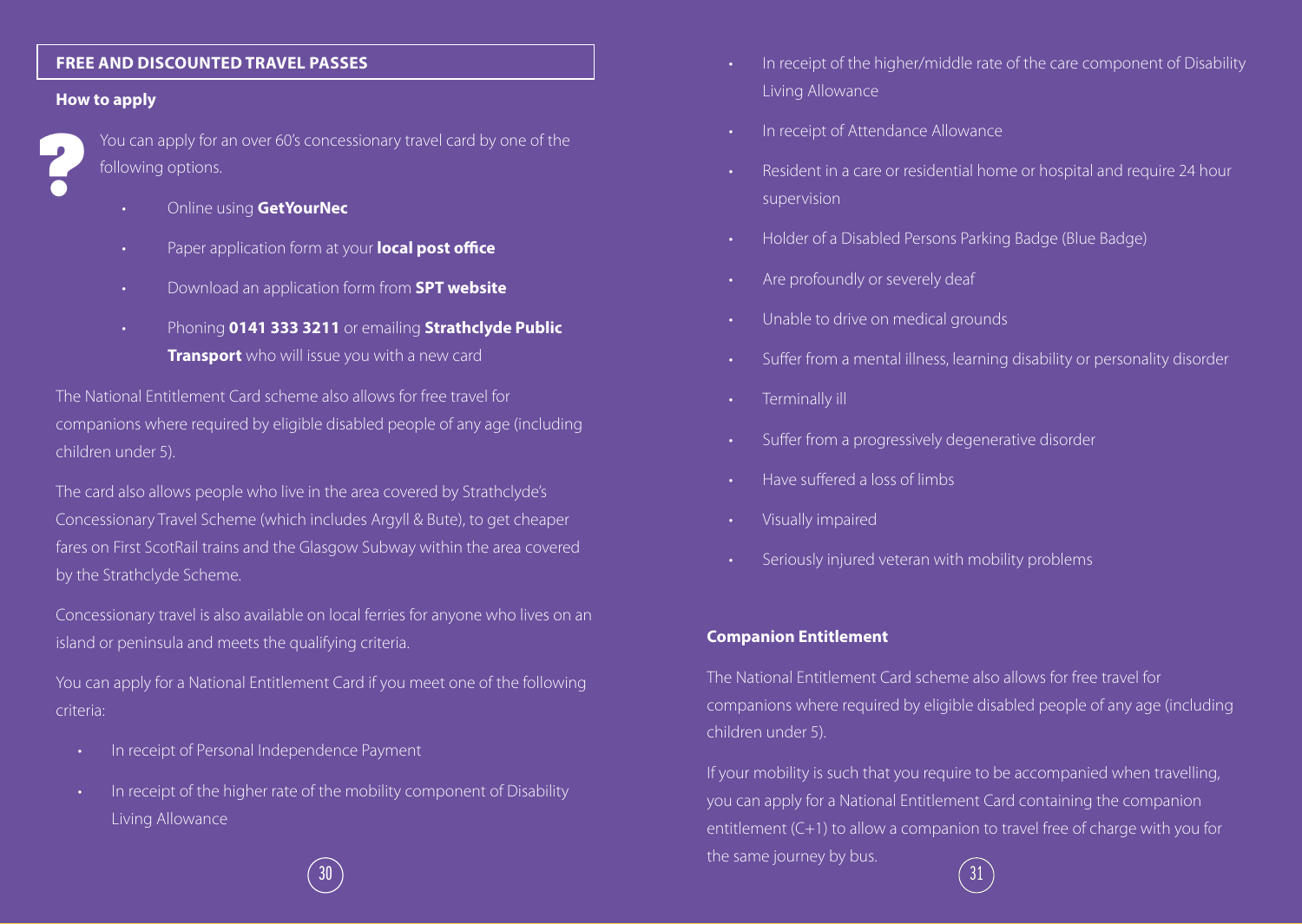#### **FREE AND DISCOUNTED TRAVEL PASSES**

#### **How to apply**



You can apply for an over 60's concessionary travel card by one of the following options.

- Online using **GetYourNec**
- Paper application form at your **local post office**
- Download an application form from **SPT website**
- Phoning **0141 333 3211** or emailing **Strathclyde Public Transport** who will issue you with a new card

The National Entitlement Card scheme also allows for free travel for companions where required by eligible disabled people of any age (including children under 5).

The card also allows people who live in the area covered by Strathclyde's Concessionary Travel Scheme (which includes Argyll & Bute), to get cheaper fares on First ScotRail trains and the Glasgow Subway within the area covered by the Strathclyde Scheme.

Concessionary travel is also available on local ferries for anyone who lives on an island or peninsula and meets the qualifying criteria.

You can apply for a National Entitlement Card if you meet one of the following criteria:

- In receipt of Personal Independence Payment
- In receipt of the higher rate of the mobility component of Disability Living Allowance
- In receipt of the higher/middle rate of the care component of Disability Living Allowance
- In receipt of Attendance Allowance
- Resident in a care or residential home or hospital and require 24 hour supervision
- Holder of a Disabled Persons Parking Badge (Blue Badge)
- Are profoundly or severely deaf
- Unable to drive on medical grounds
- Suffer from a mental illness, learning disability or personality disorder
- Terminally ill
- Suffer from a progressively degenerative disorder
- Have suffered a loss of limbs
- Visually impaired
- Seriously injured veteran with mobility problems

#### **Companion Entitlement**

The National Entitlement Card scheme also allows for free travel for companions where required by eligible disabled people of any age (including children under 5).

If your mobility is such that you require to be accompanied when travelling, you can apply for a National Entitlement Card containing the companion entitlement (C+1) to allow a companion to travel free of charge with you for the same journey by bus.  $30$  ) and the contract of the contract of the contract of the contract of the contract of the contract of the contract of the contract of the contract of the contract of the contract of the contract of the contract of th

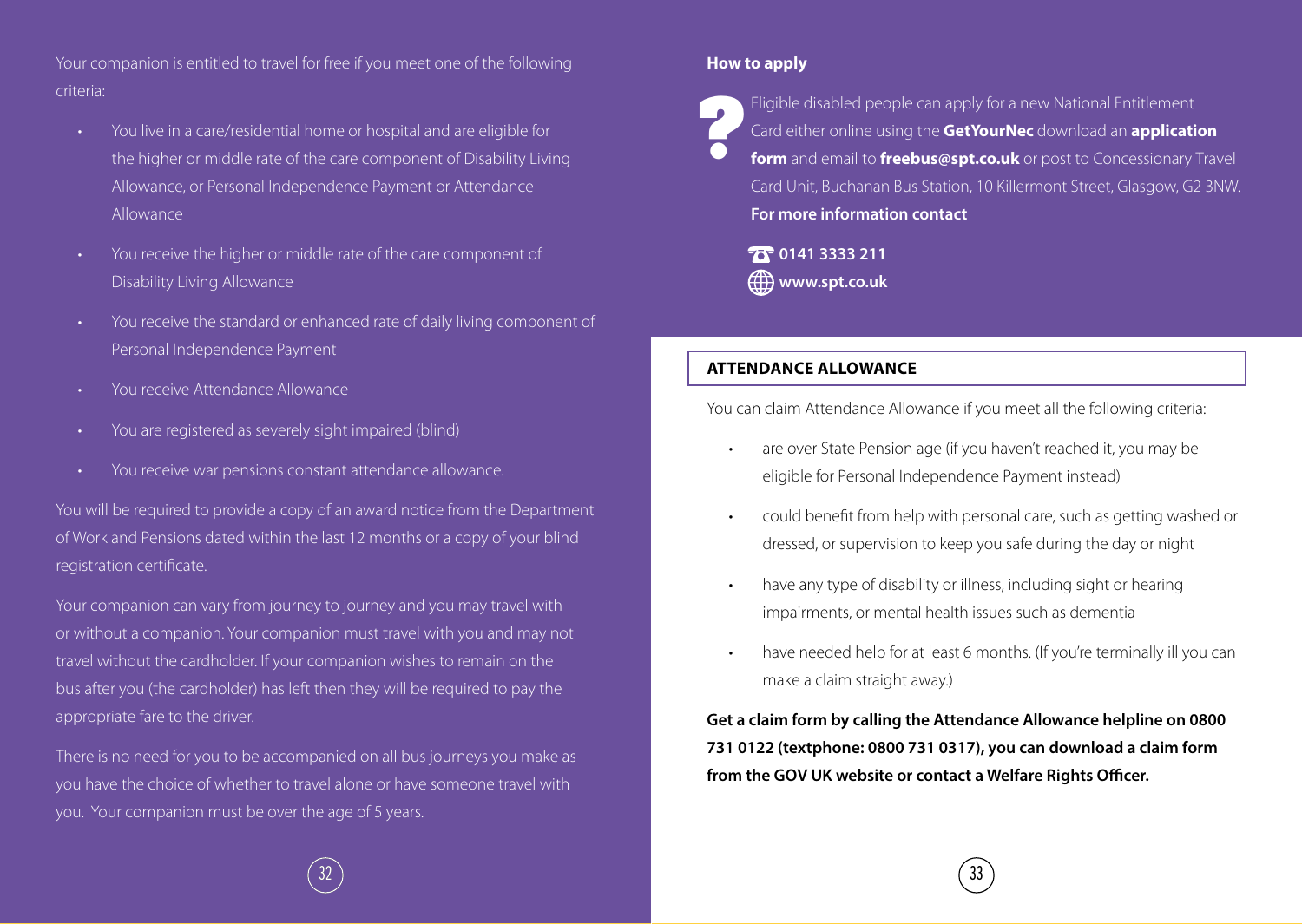Your companion is entitled to travel for free if you meet one of the following criteria:

- You live in a care/residential home or hospital and are eligible for the higher or middle rate of the care component of Disability Living Allowance, or Personal Independence Payment or Attendance Allowance
- You receive the higher or middle rate of the care component of Disability Living Allowance
- You receive the standard or enhanced rate of daily living component of Personal Independence Payment
- You receive Attendance Allowance
- You are registered as severely sight impaired (blind)
- You receive war pensions constant attendance allowance.

You will be required to provide a copy of an award notice from the Department of Work and Pensions dated within the last 12 months or a copy of your blind registration certificate.

Your companion can vary from journey to journey and you may travel with or without a companion. Your companion must travel with you and may not travel without the cardholder. If your companion wishes to remain on the bus after you (the cardholder) has left then they will be required to pay the appropriate fare to the driver.

There is no need for you to be accompanied on all bus journeys you make as you have the choice of whether to travel alone or have someone travel with you. Your companion must be over the age of 5 years.

#### **How to apply**

Eligible disabled people can apply for a new National Entitlement Card either online using the **GetYourNec** download an **application form** and email to **freebus@spt.co.uk** or post to Concessionary Travel Card Unit, Buchanan Bus Station, 10 Killermont Street, Glasgow, G2 3NW. **For more information contact ?**

**T0141 3333 211 www.spt.co.uk**

#### **ATTENDANCE ALLOWANCE**

You can claim Attendance Allowance if you meet all the following criteria:

- are over State Pension age (if you haven't reached it, you may be eligible for Personal Independence Payment instead)
- could benefit from help with personal care, such as getting washed or dressed, or supervision to keep you safe during the day or night
- have any type of disability or illness, including sight or hearing impairments, or mental health issues such as dementia
- have needed help for at least 6 months. (If you're terminally ill you can make a claim straight away.)

**Get a claim form by calling the Attendance Allowance helpline on 0800 731 0122 (textphone: 0800 731 0317), you can download a claim form from the GOV UK website or contact a Welfare Rights Officer.**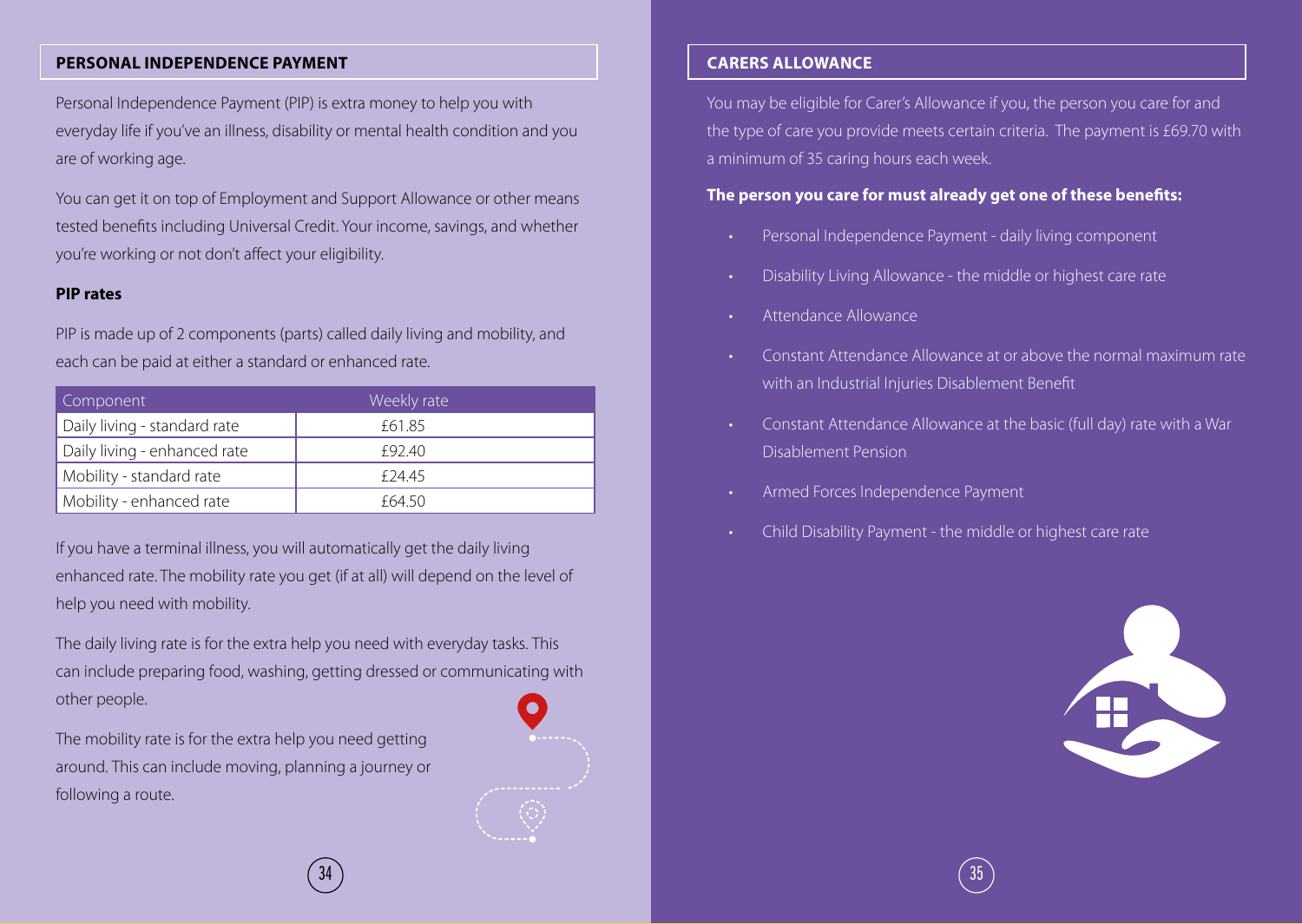#### **PERSONAL INDEPENDENCE PAYMENT**

Personal Independence Payment (PIP) is extra money to help you with everyday life if you've an illness, disability or mental health condition and you are of working age.

You can get it on top of Employment and Support Allowance or other means tested benefits including Universal Credit. Your income, savings, and whether you're working or not don't affect your eligibility.

#### **PIP rates**

PIP is made up of 2 components (parts) called daily living and mobility, and each can be paid at either a standard or enhanced rate.

| Component                    | Weekly rate |
|------------------------------|-------------|
| Daily living - standard rate | £61.85      |
| Daily living - enhanced rate | £92.40      |
| Mobility - standard rate     | £24.45      |
| Mobility - enhanced rate     | £64.50      |

If you have a terminal illness, you will automatically get the daily living enhanced rate. The mobility rate you get (if at all) will depend on the level of help you need with mobility.

The daily living rate is for the extra help you need with everyday tasks. This can include preparing food, washing, getting dressed or communicating with other people.

The mobility rate is for the extra help you need getting around. This can include moving, planning a journey or following a route.

#### **CARERS ALLOWANCE**

You may be eligible for Carer's Allowance if you, the person you care for and the type of care you provide meets certain criteria. The payment is £69.70 with a minimum of 35 caring hours each week.

#### **The person you care for must already get one of these benefits:**

- Personal Independence Payment daily living component
- Disability Living Allowance the middle or highest care rate
- Attendance Allowance
- Constant Attendance Allowance at or above the normal maximum rate with an Industrial Injuries Disablement Benefit
- Constant Attendance Allowance at the basic (full day) rate with a War Disablement Pension
- Armed Forces Independence Payment
- Child Disability Payment the middle or highest care rate



 $34$  ) and the contract of the contract of the contract of the contract of the contract of the contract of the contract of the contract of the contract of the contract of the contract of the contract of the contract of th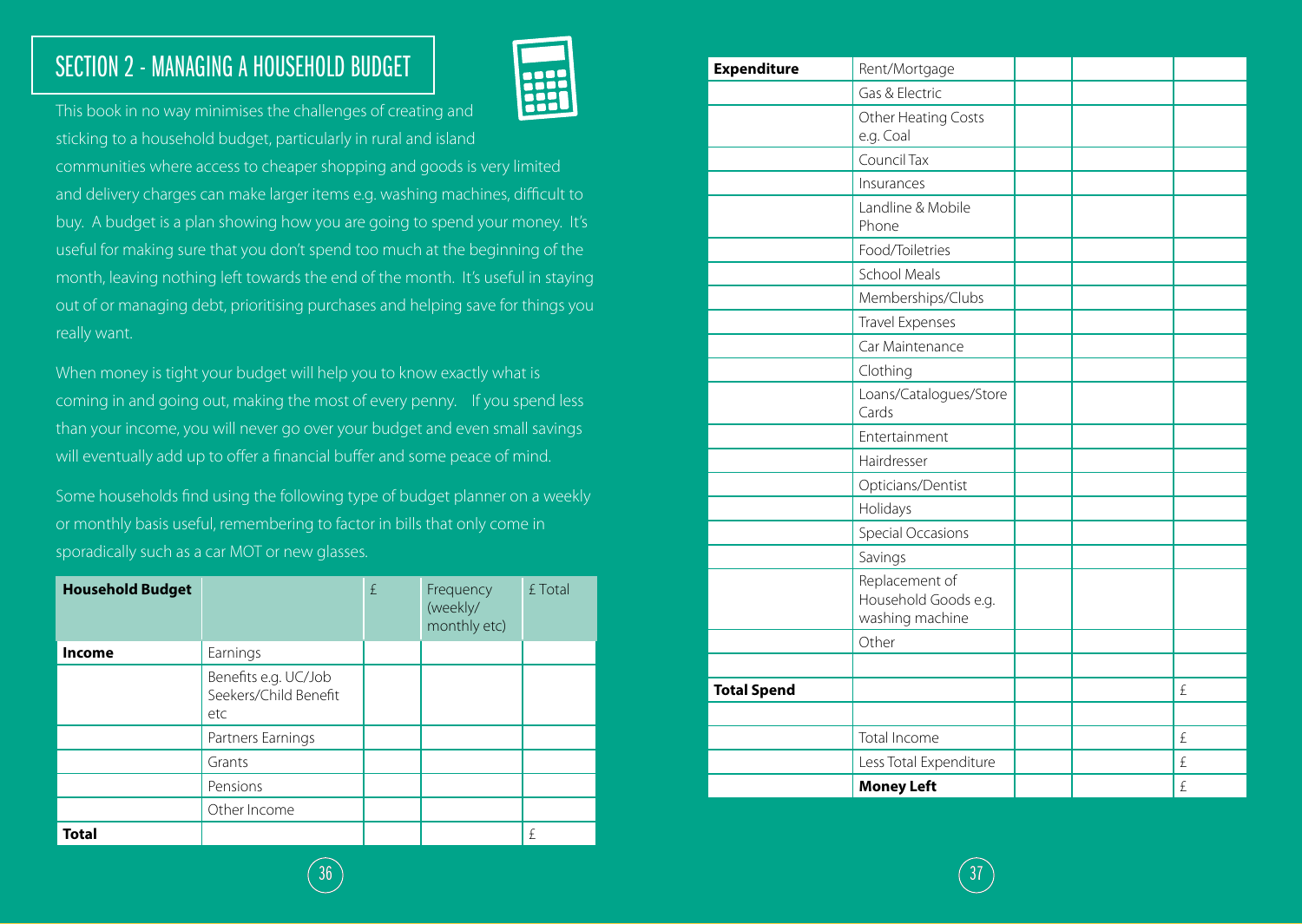# SECTION 2 - MANAGING A HOUSEHOLD BUDGET



This book in no way minimises the challenges of creating and sticking to a household budget, particularly in rural and island communities where access to cheaper shopping and goods is very limited

and delivery charges can make larger items e.g. washing machines, difficult to buy. A budget is a plan showing how you are going to spend your money. It's useful for making sure that you don't spend too much at the beginning of the month, leaving nothing left towards the end of the month. It's useful in staying out of or managing debt, prioritising purchases and helping save for things you really want.

When money is tight your budget will help you to know exactly what is coming in and going out, making the most of every penny. If you spend less than your income, you will never go over your budget and even small savings will eventually add up to offer a financial buffer and some peace of mind.

Some households find using the following type of budget planner on a weekly or monthly basis useful, remembering to factor in bills that only come in sporadically such as a car MOT or new glasses.

| <b>Household Budget</b> |                                                      | £ | Frequency<br>(weekly/<br>monthly etc) | £ Total |
|-------------------------|------------------------------------------------------|---|---------------------------------------|---------|
| Income                  | Earnings                                             |   |                                       |         |
|                         | Benefits e.g. UC/Job<br>Seekers/Child Benefit<br>etc |   |                                       |         |
|                         | Partners Earnings                                    |   |                                       |         |
|                         | Grants                                               |   |                                       |         |
|                         | Pensions                                             |   |                                       |         |
|                         | Other Income                                         |   |                                       |         |
| <b>Total</b>            |                                                      |   |                                       | £       |

| <b>Expenditure</b> | Rent/Mortgage                                             |  |   |
|--------------------|-----------------------------------------------------------|--|---|
|                    | Gas & Electric                                            |  |   |
|                    | Other Heating Costs<br>e.g. Coal                          |  |   |
|                    | Council Tax                                               |  |   |
|                    | Insurances                                                |  |   |
|                    | Landline & Mobile<br>Phone                                |  |   |
|                    | Food/Toiletries                                           |  |   |
|                    | School Meals                                              |  |   |
|                    | Memberships/Clubs                                         |  |   |
|                    | <b>Travel Expenses</b>                                    |  |   |
|                    | Car Maintenance                                           |  |   |
|                    | Clothing                                                  |  |   |
|                    | Loans/Catalogues/Store<br>Cards                           |  |   |
|                    | Entertainment                                             |  |   |
|                    | Hairdresser                                               |  |   |
|                    | Opticians/Dentist                                         |  |   |
|                    | Holidays                                                  |  |   |
|                    | Special Occasions                                         |  |   |
|                    | Savings                                                   |  |   |
|                    | Replacement of<br>Household Goods e.g.<br>washing machine |  |   |
|                    | Other                                                     |  |   |
|                    |                                                           |  |   |
| <b>Total Spend</b> |                                                           |  | £ |
|                    |                                                           |  |   |
|                    | Total Income                                              |  | £ |
|                    | Less Total Expenditure                                    |  | £ |
|                    | <b>Money Left</b>                                         |  | £ |

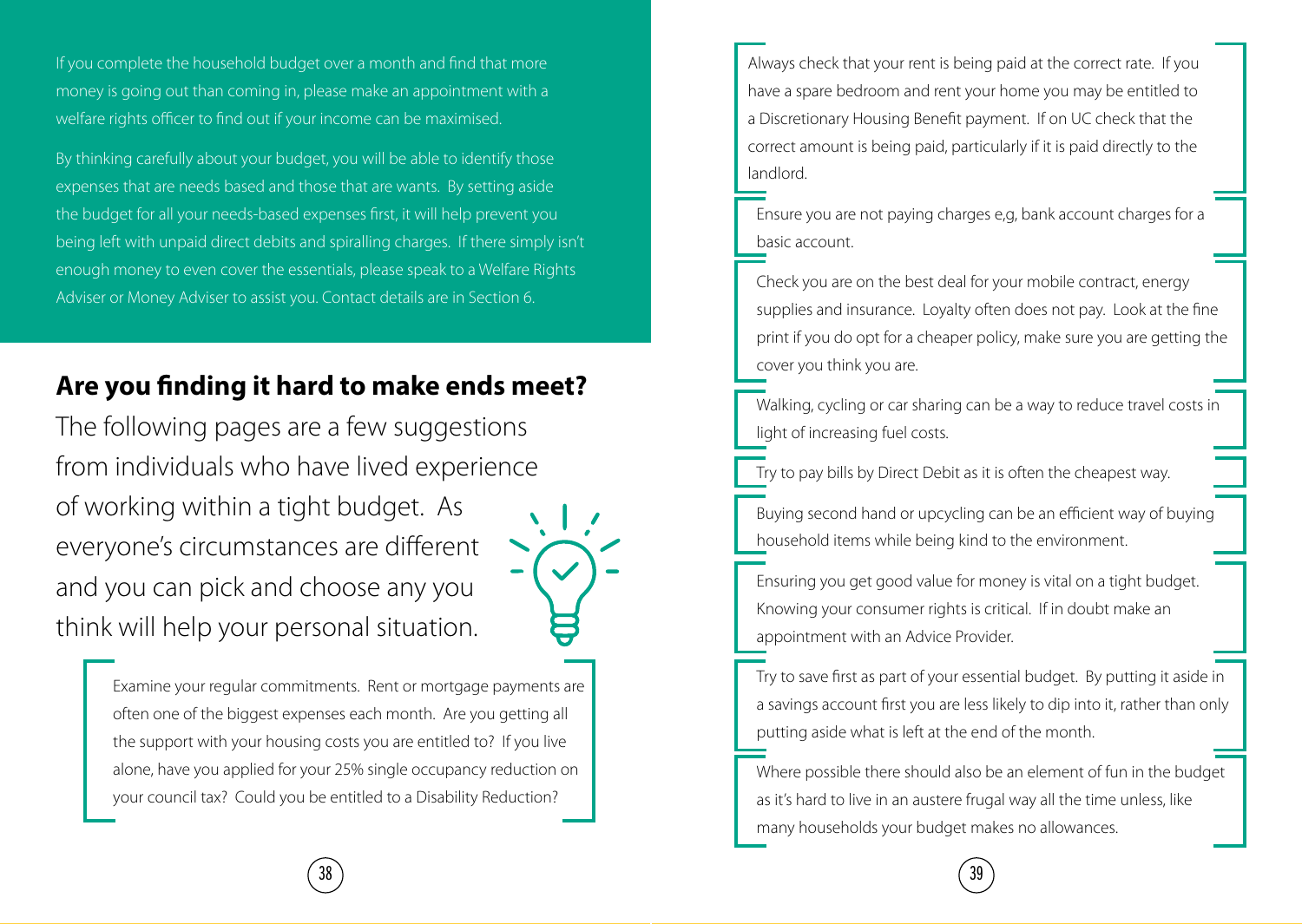If you complete the household budget over a month and find that more money is going out than coming in, please make an appointment with a welfare rights officer to find out if your income can be maximised.

By thinking carefully about your budget, you will be able to identify those expenses that are needs based and those that are wants. By setting aside the budget for all your needs-based expenses first, it will help prevent you being left with unpaid direct debits and spiralling charges. If there simply isn't enough money to even cover the essentials, please speak to a Welfare Rights Adviser or Money Adviser to assist you. Contact details are in Section 6.

# **Are you finding it hard to make ends meet?**

The following pages are a few suggestions from individuals who have lived experience of working within a tight budget. As everyone's circumstances are different and you can pick and choose any you think will help your personal situation.



Examine your regular commitments. Rent or mortgage payments are often one of the biggest expenses each month. Are you getting all the support with your housing costs you are entitled to? If you live alone, have you applied for your 25% single occupancy reduction on your council tax? Could you be entitled to a Disability Reduction?

Always check that your rent is being paid at the correct rate. If you have a spare bedroom and rent your home you may be entitled to a Discretionary Housing Benefit payment. If on UC check that the correct amount is being paid, particularly if it is paid directly to the landlord.

Ensure you are not paying charges e,g, bank account charges for a basic account.

Check you are on the best deal for your mobile contract, energy supplies and insurance. Loyalty often does not pay. Look at the fine print if you do opt for a cheaper policy, make sure you are getting the cover you think you are.

Walking, cycling or car sharing can be a way to reduce travel costs in light of increasing fuel costs.

Try to pay bills by Direct Debit as it is often the cheapest way.

Buying second hand or upcycling can be an efficient way of buying household items while being kind to the environment.

Ensuring you get good value for money is vital on a tight budget. Knowing your consumer rights is critical. If in doubt make an appointment with an Advice Provider.

Try to save first as part of your essential budget. By putting it aside in a savings account first you are less likely to dip into it, rather than only putting aside what is left at the end of the month.

Where possible there should also be an element of fun in the budget as it's hard to live in an austere frugal way all the time unless, like many households your budget makes no allowances.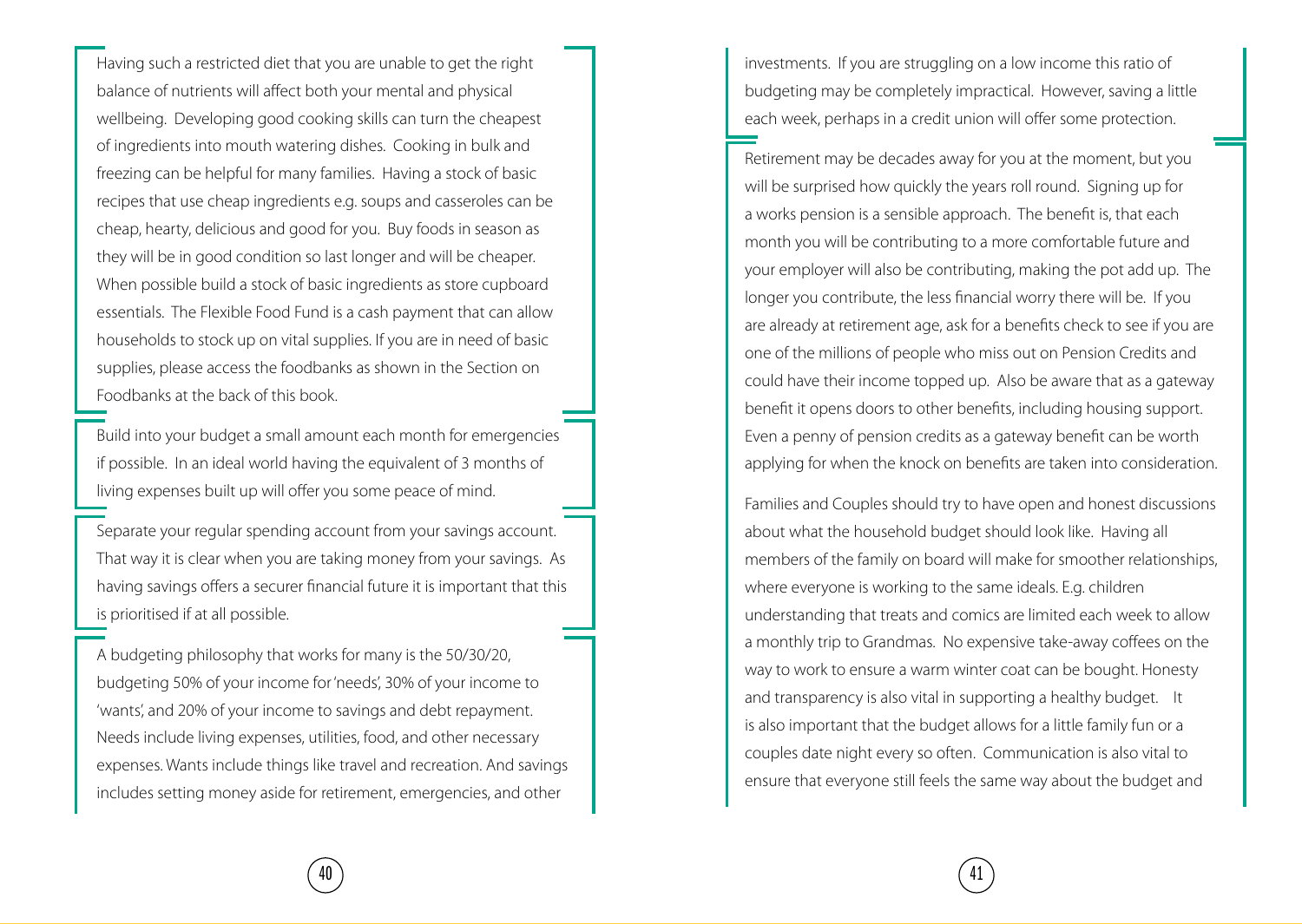Having such a restricted diet that you are unable to get the right balance of nutrients will affect both your mental and physical wellbeing. Developing good cooking skills can turn the cheapest of ingredients into mouth watering dishes. Cooking in bulk and freezing can be helpful for many families. Having a stock of basic recipes that use cheap ingredients e.g. soups and casseroles can be cheap, hearty, delicious and good for you. Buy foods in season as they will be in good condition so last longer and will be cheaper. When possible build a stock of basic ingredients as store cupboard essentials. The Flexible Food Fund is a cash payment that can allow households to stock up on vital supplies. If you are in need of basic supplies, please access the foodbanks as shown in the Section on Foodbanks at the back of this book.

Build into your budget a small amount each month for emergencies if possible. In an ideal world having the equivalent of 3 months of living expenses built up will offer you some peace of mind.

Separate your regular spending account from your savings account. That way it is clear when you are taking money from your savings. As having savings offers a securer financial future it is important that this is prioritised if at all possible.

A budgeting philosophy that works for many is the 50/30/20, budgeting 50% of your income for 'needs', 30% of your income to 'wants', and 20% of your income to savings and debt repayment. Needs include living expenses, utilities, food, and other necessary expenses. Wants include things like travel and recreation. And savings includes setting money aside for retirement, emergencies, and other

investments. If you are struggling on a low income this ratio of budgeting may be completely impractical. However, saving a little each week, perhaps in a credit union will offer some protection.

Retirement may be decades away for you at the moment, but you will be surprised how quickly the years roll round. Signing up for a works pension is a sensible approach. The benefit is, that each month you will be contributing to a more comfortable future and your employer will also be contributing, making the pot add up. The longer you contribute, the less financial worry there will be. If you are already at retirement age, ask for a benefits check to see if you are one of the millions of people who miss out on Pension Credits and could have their income topped up. Also be aware that as a gateway benefit it opens doors to other benefits, including housing support. Even a penny of pension credits as a gateway benefit can be worth applying for when the knock on benefits are taken into consideration.

Families and Couples should try to have open and honest discussions about what the household budget should look like. Having all members of the family on board will make for smoother relationships, where everyone is working to the same ideals. E.g. children understanding that treats and comics are limited each week to allow a monthly trip to Grandmas. No expensive take-away coffees on the way to work to ensure a warm winter coat can be bought. Honesty and transparency is also vital in supporting a healthy budget. It is also important that the budget allows for a little family fun or a couples date night every so often. Communication is also vital to ensure that everyone still feels the same way about the budget and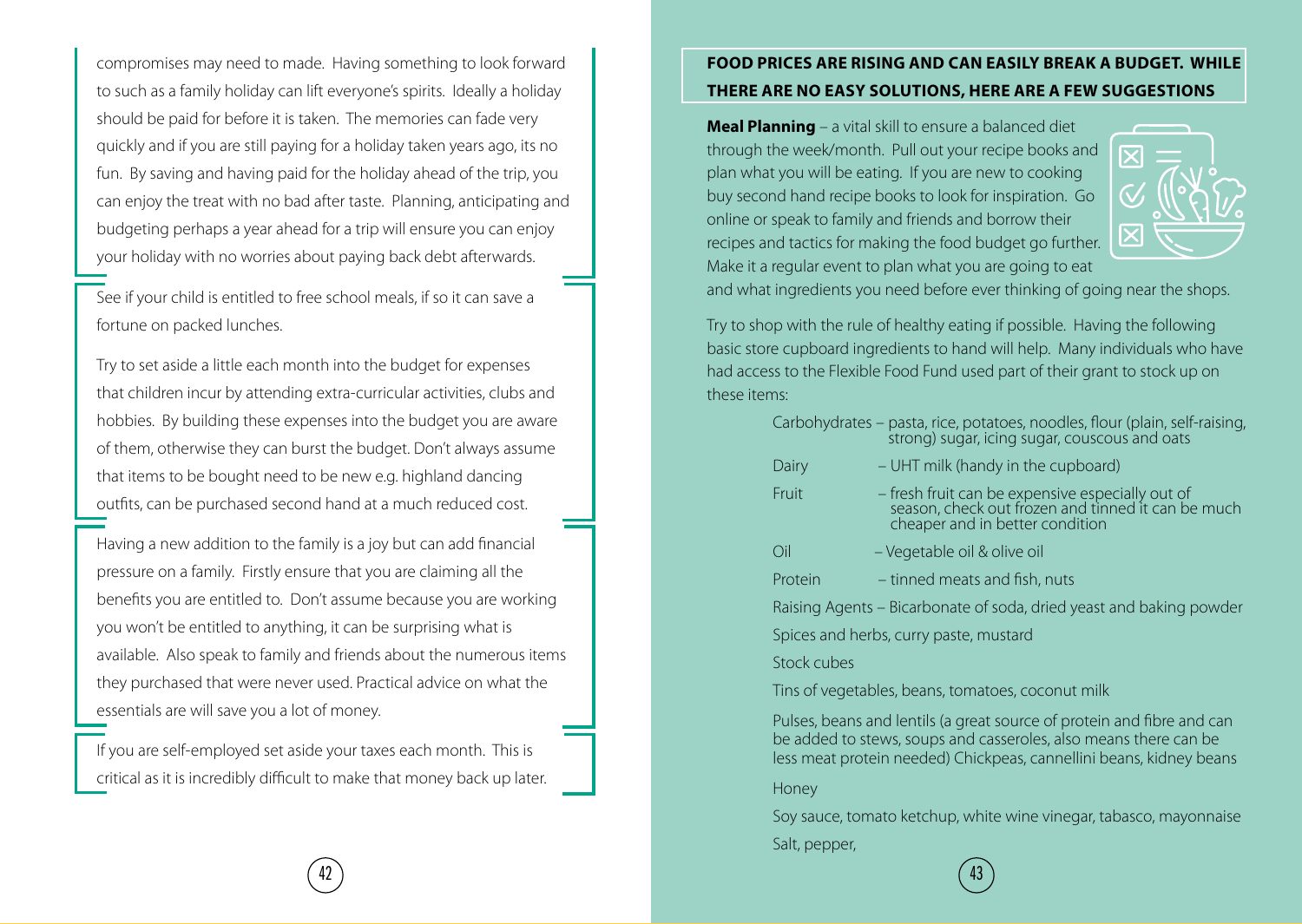compromises may need to made. Having something to look forward to such as a family holiday can lift everyone's spirits. Ideally a holiday should be paid for before it is taken. The memories can fade very quickly and if you are still paying for a holiday taken years ago, its no fun. By saving and having paid for the holiday ahead of the trip, you can enjoy the treat with no bad after taste. Planning, anticipating and budgeting perhaps a year ahead for a trip will ensure you can enjoy your holiday with no worries about paying back debt afterwards.

See if your child is entitled to free school meals, if so it can save a fortune on packed lunches.

Try to set aside a little each month into the budget for expenses that children incur by attending extra-curricular activities, clubs and hobbies. By building these expenses into the budget you are aware of them, otherwise they can burst the budget. Don't always assume that items to be bought need to be new e.g. highland dancing outfits, can be purchased second hand at a much reduced cost.

Having a new addition to the family is a joy but can add financial pressure on a family. Firstly ensure that you are claiming all the benefits you are entitled to. Don't assume because you are working you won't be entitled to anything, it can be surprising what is available. Also speak to family and friends about the numerous items they purchased that were never used. Practical advice on what the essentials are will save you a lot of money.

If you are self-employed set aside your taxes each month. This is critical as it is incredibly difficult to make that money back up later.

#### **FOOD PRICES ARE RISING AND CAN EASILY BREAK A BUDGET. WHILE THERE ARE NO EASY SOLUTIONS, HERE ARE A FEW SUGGESTIONS**

**Meal Planning** – a vital skill to ensure a balanced diet through the week/month. Pull out your recipe books and plan what you will be eating. If you are new to cooking buy second hand recipe books to look for inspiration. Go online or speak to family and friends and borrow their recipes and tactics for making the food budget go further. Make it a regular event to plan what you are going to eat



and what ingredients you need before ever thinking of going near the shops.

Try to shop with the rule of healthy eating if possible. Having the following basic store cupboard ingredients to hand will help. Many individuals who have had access to the Flexible Food Fund used part of their grant to stock up on these items:

|                                                                     | Carbohydrates – pasta, rice, potatoes, noodles, flour (plain, self-raising,<br>strong) sugar, icing sugar, couscous and oats                                                              |  |  |
|---------------------------------------------------------------------|-------------------------------------------------------------------------------------------------------------------------------------------------------------------------------------------|--|--|
| Dairy                                                               | – UHT milk (handy in the cupboard)                                                                                                                                                        |  |  |
| Fruit                                                               | - fresh fruit can be expensive especially out of<br>season, check out frozen and tinned it can be much<br>cheaper and in better condition                                                 |  |  |
| Oil                                                                 | - Vegetable oil & olive oil                                                                                                                                                               |  |  |
| Protein                                                             | - tinned meats and fish, nuts                                                                                                                                                             |  |  |
| Raising Agents – Bicarbonate of soda, dried yeast and baking powder |                                                                                                                                                                                           |  |  |
|                                                                     | Spices and herbs, curry paste, mustard                                                                                                                                                    |  |  |
| Stock cubes                                                         |                                                                                                                                                                                           |  |  |
| Tins of vegetables, beans, tomatoes, coconut milk                   |                                                                                                                                                                                           |  |  |
|                                                                     | Pulses, beans and lentils (a great source of protein and fibre and can<br>the contract of the contract of the contract of the contract of the contract of the contract of the contract of |  |  |

be added to stews, soups and casseroles, also means there can be less meat protein needed) Chickpeas, cannellini beans, kidney beans

Honey

Soy sauce, tomato ketchup, white wine vinegar, tabasco, mayonnaise Salt, pepper,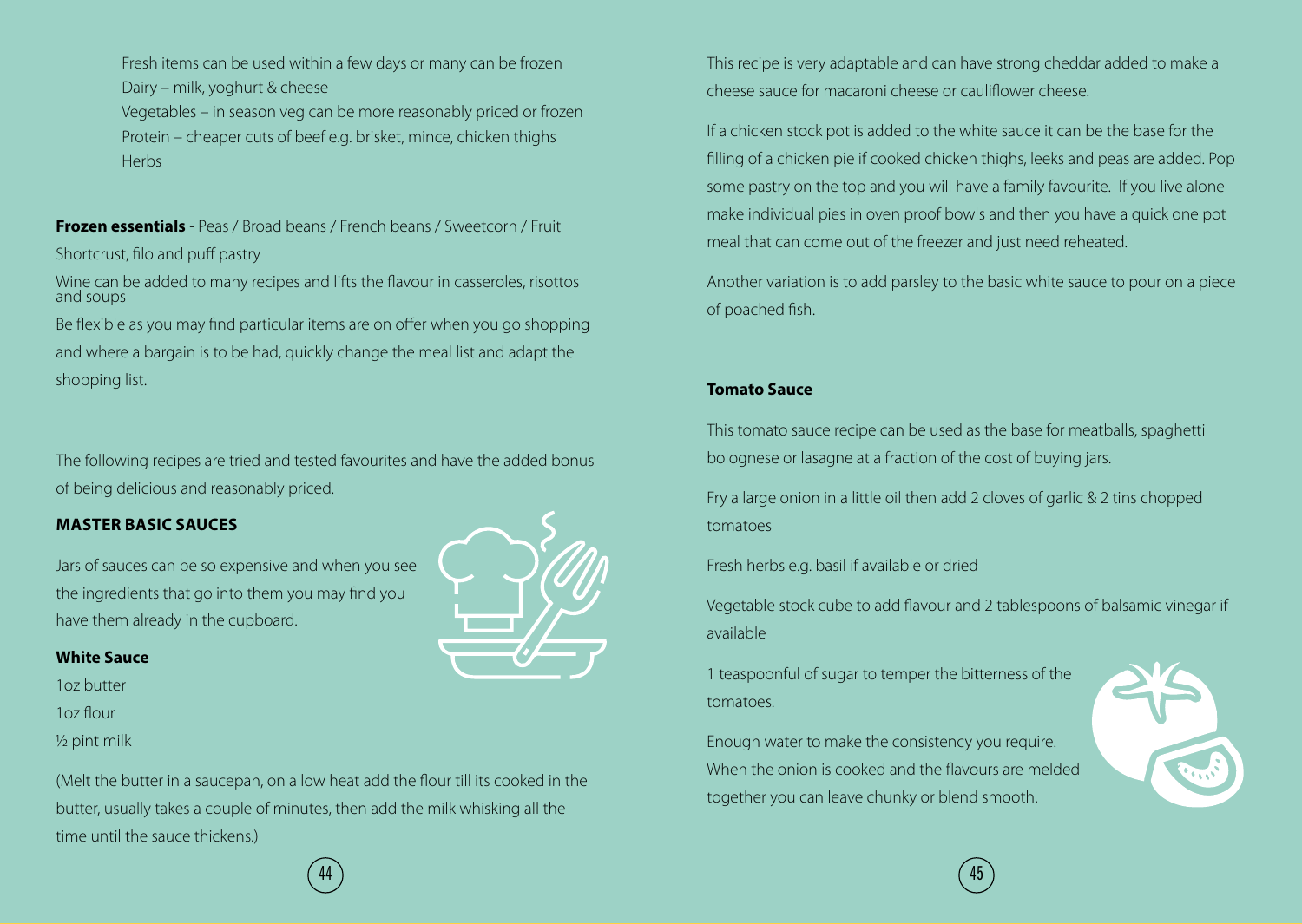Fresh items can be used within a few days or many can be frozen Dairy – milk, yoghurt & cheese

Vegetables – in season veg can be more reasonably priced or frozen Protein – cheaper cuts of beef e.g. brisket, mince, chicken thighs **Herbs** 

**Frozen essentials** - Peas / Broad beans / French beans / Sweetcorn / Fruit

Shortcrust, filo and puff pastry

Wine can be added to many recipes and lifts the flavour in casseroles, risottos and soups

Be flexible as you may find particular items are on offer when you go shopping and where a bargain is to be had, quickly change the meal list and adapt the shopping list.

The following recipes are tried and tested favourites and have the added bonus of being delicious and reasonably priced.

#### **MASTER BASIC SAUCES**

Jars of sauces can be so expensive and when you see the ingredients that go into them you may find you have them already in the cupboard.

#### **White Sauce**

1oz butter

- 1oz flour
- ½ pint milk

(Melt the butter in a saucepan, on a low heat add the flour till its cooked in the butter, usually takes a couple of minutes, then add the milk whisking all the time until the sauce thickens.)



This recipe is very adaptable and can have strong cheddar added to make a cheese sauce for macaroni cheese or cauliflower cheese.

If a chicken stock pot is added to the white sauce it can be the base for the filling of a chicken pie if cooked chicken thighs, leeks and peas are added. Pop some pastry on the top and you will have a family favourite. If you live alone make individual pies in oven proof bowls and then you have a quick one pot meal that can come out of the freezer and just need reheated.

Another variation is to add parsley to the basic white sauce to pour on a piece of poached fish.

#### **Tomato Sauce**

This tomato sauce recipe can be used as the base for meatballs, spaghetti bolognese or lasagne at a fraction of the cost of buying jars.

Fry a large onion in a little oil then add 2 cloves of garlic & 2 tins chopped tomatoes

Fresh herbs e.g. basil if available or dried

Vegetable stock cube to add flavour and 2 tablespoons of balsamic vinegar if available

1 teaspoonful of sugar to temper the bitterness of the tomatoes.

Enough water to make the consistency you require. When the onion is cooked and the flavours are melded together you can leave chunky or blend smooth.



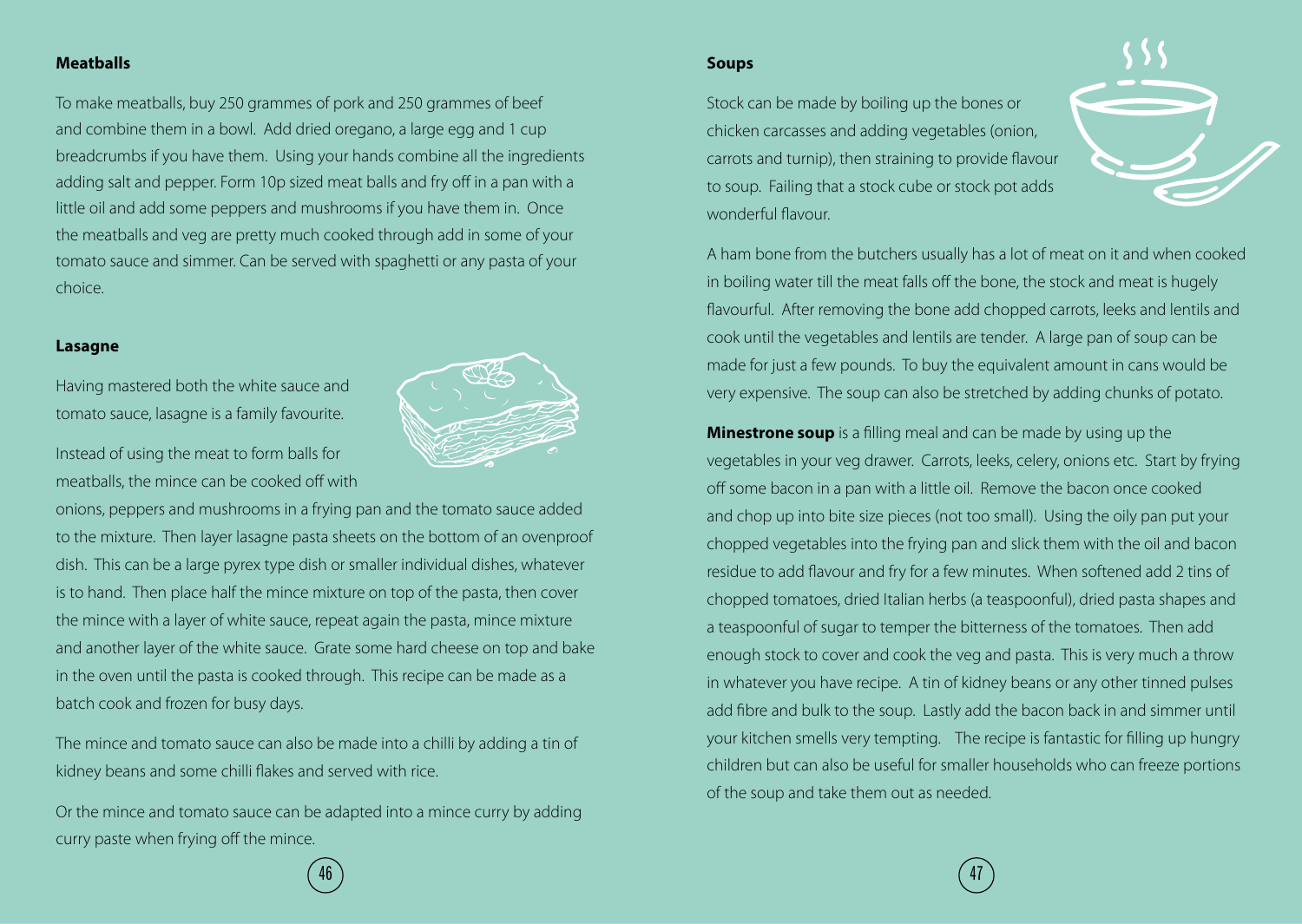#### **Meatballs**

To make meatballs, buy 250 grammes of pork and 250 grammes of beef and combine them in a bowl. Add dried oregano, a large egg and 1 cup breadcrumbs if you have them. Using your hands combine all the ingredients adding salt and pepper. Form 10p sized meat balls and fry off in a pan with a little oil and add some peppers and mushrooms if you have them in. Once the meatballs and veg are pretty much cooked through add in some of your tomato sauce and simmer. Can be served with spaghetti or any pasta of your choice.

#### **Lasagne**

Having mastered both the white sauce and tomato sauce, lasagne is a family favourite.

Instead of using the meat to form balls for meatballs, the mince can be cooked off with

onions, peppers and mushrooms in a frying pan and the tomato sauce added to the mixture. Then layer lasagne pasta sheets on the bottom of an ovenproof dish. This can be a large pyrex type dish or smaller individual dishes, whatever is to hand. Then place half the mince mixture on top of the pasta, then cover the mince with a layer of white sauce, repeat again the pasta, mince mixture and another layer of the white sauce. Grate some hard cheese on top and bake in the oven until the pasta is cooked through. This recipe can be made as a batch cook and frozen for busy days.

The mince and tomato sauce can also be made into a chilli by adding a tin of kidney beans and some chilli flakes and served with rice.

Or the mince and tomato sauce can be adapted into a mince curry by adding curry paste when frying off the mince.

#### **Soups**

Stock can be made by boiling up the bones or chicken carcasses and adding vegetables (onion, carrots and turnip), then straining to provide flavour to soup. Failing that a stock cube or stock pot adds wonderful flavour.



A ham bone from the butchers usually has a lot of meat on it and when cooked in boiling water till the meat falls off the bone, the stock and meat is hugely flavourful. After removing the bone add chopped carrots, leeks and lentils and cook until the vegetables and lentils are tender. A large pan of soup can be made for just a few pounds. To buy the equivalent amount in cans would be very expensive. The soup can also be stretched by adding chunks of potato.

**Minestrone soup** is a filling meal and can be made by using up the vegetables in your veg drawer. Carrots, leeks, celery, onions etc. Start by frying off some bacon in a pan with a little oil. Remove the bacon once cooked and chop up into bite size pieces (not too small). Using the oily pan put your chopped vegetables into the frying pan and slick them with the oil and bacon residue to add flavour and fry for a few minutes. When softened add 2 tins of chopped tomatoes, dried Italian herbs (a teaspoonful), dried pasta shapes and a teaspoonful of sugar to temper the bitterness of the tomatoes. Then add enough stock to cover and cook the veg and pasta. This is very much a throw in whatever you have recipe. A tin of kidney beans or any other tinned pulses add fibre and bulk to the soup. Lastly add the bacon back in and simmer until your kitchen smells very tempting. The recipe is fantastic for filling up hungry children but can also be useful for smaller households who can freeze portions of the soup and take them out as needed.

 $\hspace{.1cm}$  46 ) (47 and 46 ) (47 and 46 ) (47 and 47 and 47 and 47 and 47 and 47 and 47 and 47 and 47 and 47 and 47 and 47 and 47 and 47 and 47 and 47 and 47 and 47 and 47 and 47 and 47 and 47 and 47 and 47 and 47 and 47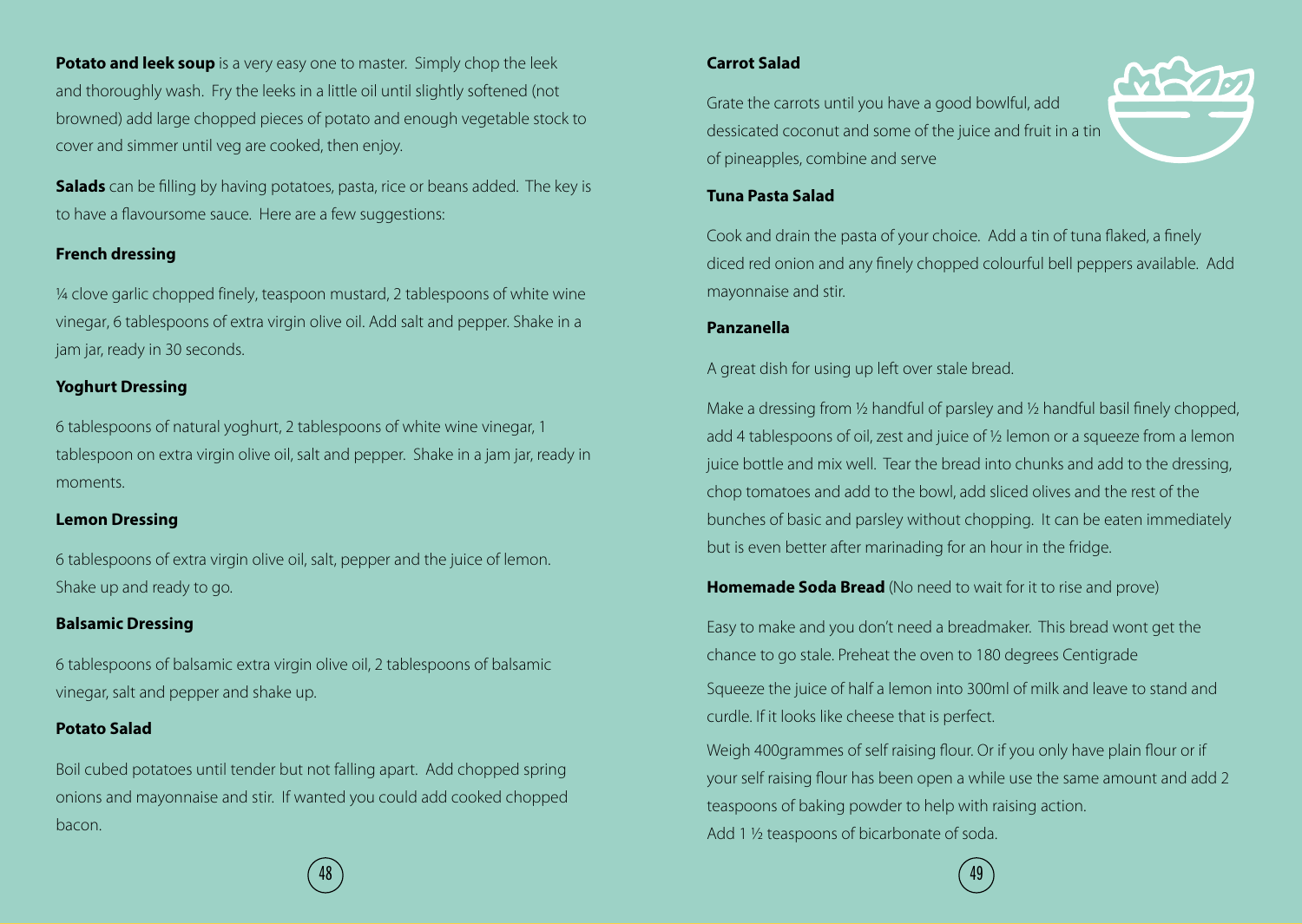**Potato and leek soup** is a very easy one to master. Simply chop the leek and thoroughly wash. Fry the leeks in a little oil until slightly softened (not browned) add large chopped pieces of potato and enough vegetable stock to cover and simmer until veg are cooked, then enjoy.

**Salads** can be filling by having potatoes, pasta, rice or beans added. The key is to have a flavoursome sauce. Here are a few suggestions:

#### **French dressing**

¼ clove garlic chopped finely, teaspoon mustard, 2 tablespoons of white wine vinegar, 6 tablespoons of extra virgin olive oil. Add salt and pepper. Shake in a jam jar, ready in 30 seconds.

#### **Yoghurt Dressing**

6 tablespoons of natural yoghurt, 2 tablespoons of white wine vinegar, 1 tablespoon on extra virgin olive oil, salt and pepper. Shake in a jam jar, ready in moments.

#### **Lemon Dressing**

6 tablespoons of extra virgin olive oil, salt, pepper and the juice of lemon. Shake up and ready to go.

#### **Balsamic Dressing**

6 tablespoons of balsamic extra virgin olive oil, 2 tablespoons of balsamic vinegar, salt and pepper and shake up.

#### **Potato Salad**

Boil cubed potatoes until tender but not falling apart. Add chopped spring onions and mayonnaise and stir. If wanted you could add cooked chopped bacon.

#### **Carrot Salad**

Grate the carrots until you have a good bowlful, add dessicated coconut and some of the juice and fruit in a tin of pineapples, combine and serve



#### **Tuna Pasta Salad**

Cook and drain the pasta of your choice. Add a tin of tuna flaked, a finely diced red onion and any finely chopped colourful bell peppers available. Add mayonnaise and stir.

#### **Panzanella**

A great dish for using up left over stale bread.

Make a dressing from 1/2 handful of parsley and 1/2 handful basil finely chopped, add 4 tablespoons of oil, zest and juice of ½ lemon or a squeeze from a lemon juice bottle and mix well. Tear the bread into chunks and add to the dressing, chop tomatoes and add to the bowl, add sliced olives and the rest of the bunches of basic and parsley without chopping. It can be eaten immediately but is even better after marinading for an hour in the fridge.

**Homemade Soda Bread** (No need to wait for it to rise and prove)

Easy to make and you don't need a breadmaker. This bread wont get the chance to go stale. Preheat the oven to 180 degrees Centigrade

Squeeze the juice of half a lemon into 300ml of milk and leave to stand and curdle. If it looks like cheese that is perfect.

Weigh 400grammes of self raising flour. Or if you only have plain flour or if your self raising flour has been open a while use the same amount and add 2 teaspoons of baking powder to help with raising action. Add 1 ½ teaspoons of bicarbonate of soda.

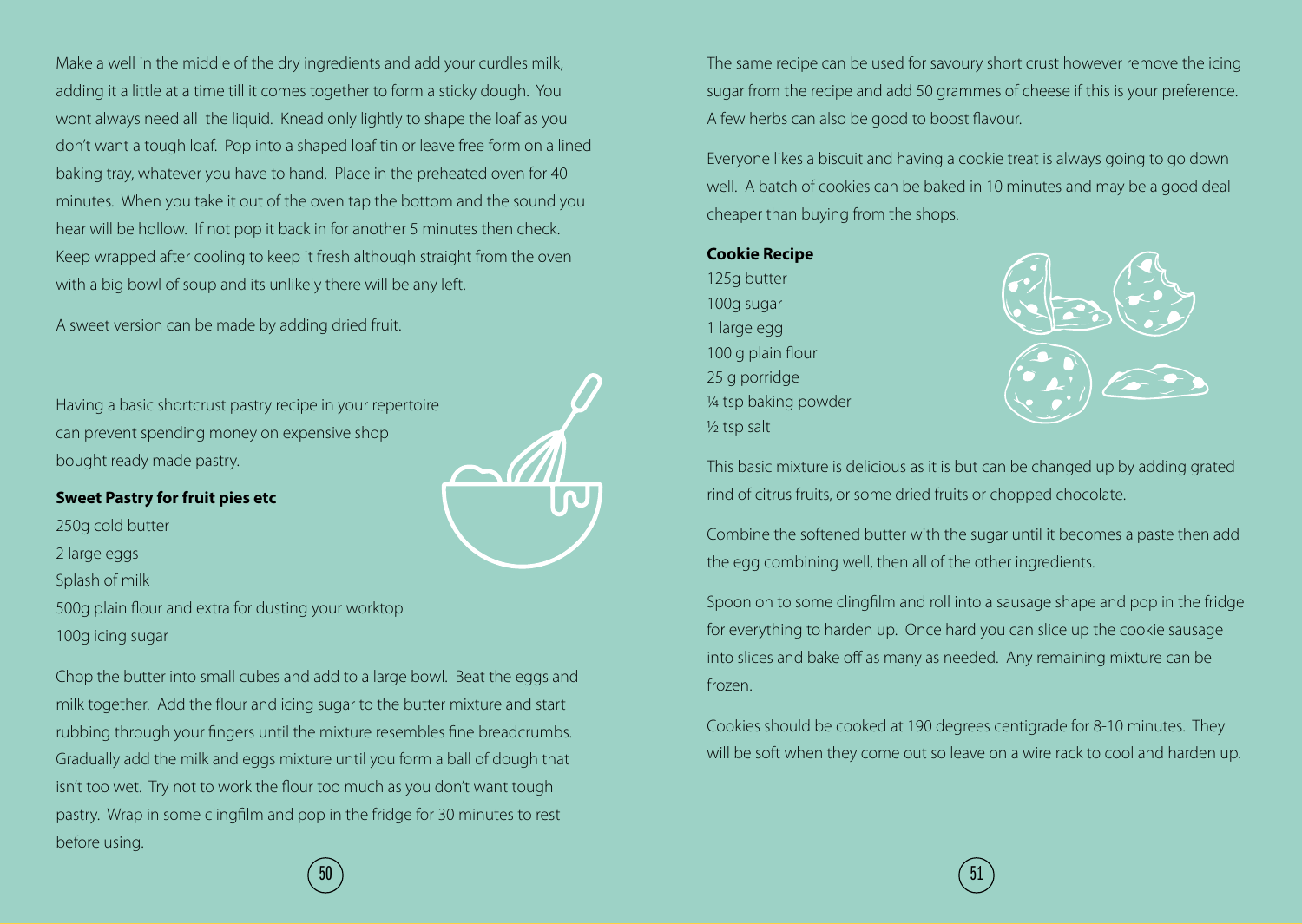Make a well in the middle of the dry ingredients and add your curdles milk, adding it a little at a time till it comes together to form a sticky dough. You wont always need all the liquid. Knead only lightly to shape the loaf as you don't want a tough loaf. Pop into a shaped loaf tin or leave free form on a lined baking tray, whatever you have to hand. Place in the preheated oven for 40 minutes. When you take it out of the oven tap the bottom and the sound you hear will be hollow. If not pop it back in for another 5 minutes then check. Keep wrapped after cooling to keep it fresh although straight from the oven with a big bowl of soup and its unlikely there will be any left.

A sweet version can be made by adding dried fruit.

Having a basic shortcrust pastry recipe in your repertoire can prevent spending money on expensive shop bought ready made pastry.



#### **Sweet Pastry for fruit pies etc**

250g cold butter 2 large eggs Splash of milk 500g plain flour and extra for dusting your worktop 100g icing sugar

Chop the butter into small cubes and add to a large bowl. Beat the eggs and milk together. Add the flour and icing sugar to the butter mixture and start rubbing through your fingers until the mixture resembles fine breadcrumbs. Gradually add the milk and eggs mixture until you form a ball of dough that isn't too wet. Try not to work the flour too much as you don't want tough pastry. Wrap in some clingfilm and pop in the fridge for 30 minutes to rest before using.

The same recipe can be used for savoury short crust however remove the icing sugar from the recipe and add 50 grammes of cheese if this is your preference. A few herbs can also be good to boost flavour.

Everyone likes a biscuit and having a cookie treat is always going to go down well. A batch of cookies can be baked in 10 minutes and may be a good deal cheaper than buying from the shops.

#### **Cookie Recipe**

125g butter 100g sugar 1 large egg 100 g plain flour 25 g porridge ¼ tsp baking powder ½ tsp salt



This basic mixture is delicious as it is but can be changed up by adding grated rind of citrus fruits, or some dried fruits or chopped chocolate.

Combine the softened butter with the sugar until it becomes a paste then add the egg combining well, then all of the other ingredients.

Spoon on to some clingfilm and roll into a sausage shape and pop in the fridge for everything to harden up. Once hard you can slice up the cookie sausage into slices and bake off as many as needed. Any remaining mixture can be frozen.

Cookies should be cooked at 190 degrees centigrade for 8-10 minutes. They will be soft when they come out so leave on a wire rack to cool and harden up.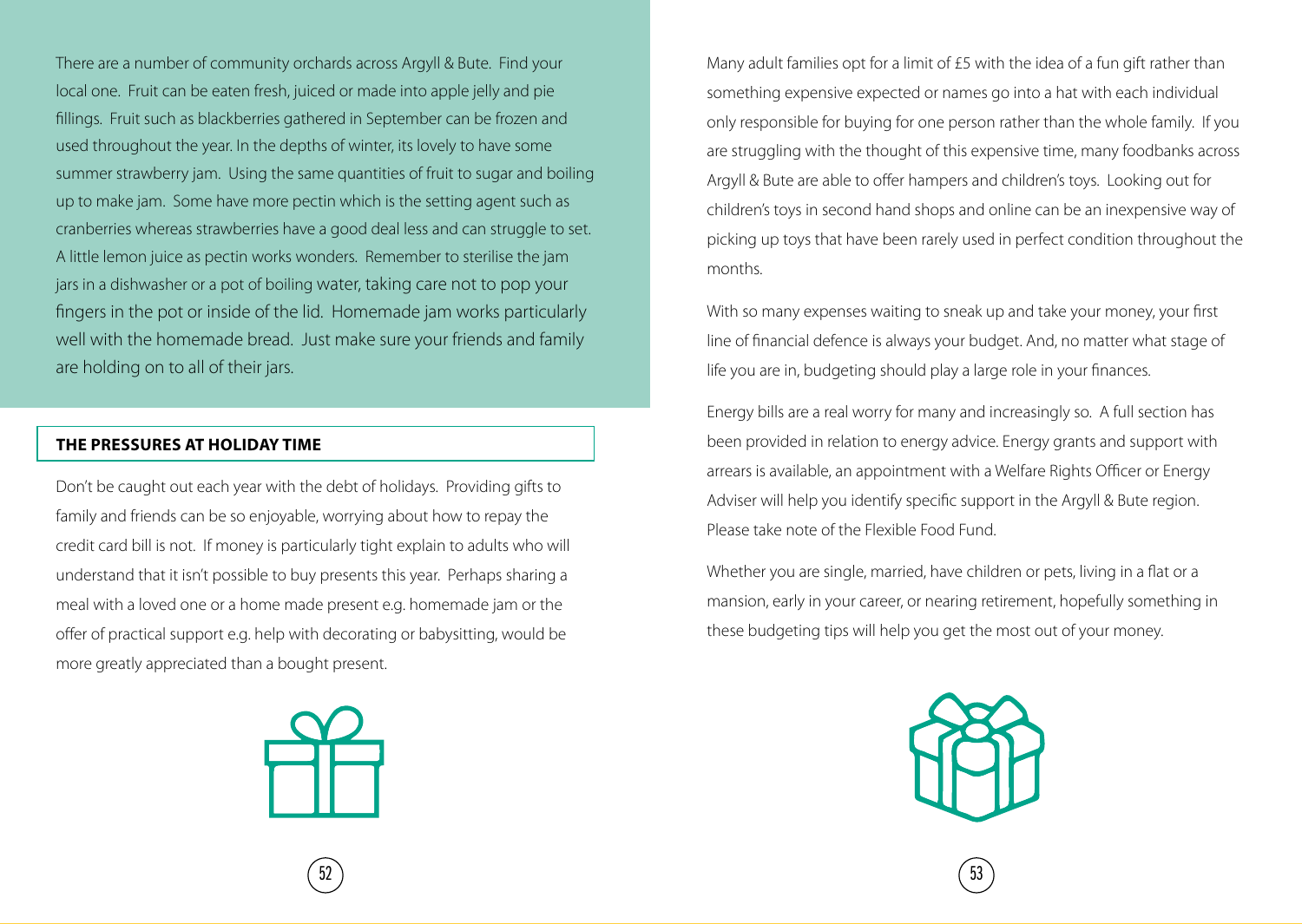There are a number of community orchards across Argyll & Bute. Find your local one. Fruit can be eaten fresh, juiced or made into apple jelly and pie fillings. Fruit such as blackberries gathered in September can be frozen and used throughout the year. In the depths of winter, its lovely to have some summer strawberry jam. Using the same quantities of fruit to sugar and boiling up to make jam. Some have more pectin which is the setting agent such as cranberries whereas strawberries have a good deal less and can struggle to set. A little lemon juice as pectin works wonders. Remember to sterilise the jam jars in a dishwasher or a pot of boiling water, taking care not to pop your fingers in the pot or inside of the lid. Homemade jam works particularly well with the homemade bread. Just make sure your friends and family are holding on to all of their jars.

#### **THE PRESSURES AT HOLIDAY TIME**

Don't be caught out each year with the debt of holidays. Providing gifts to family and friends can be so enjoyable, worrying about how to repay the credit card bill is not. If money is particularly tight explain to adults who will understand that it isn't possible to buy presents this year. Perhaps sharing a meal with a loved one or a home made present e.g. homemade jam or the offer of practical support e.g. help with decorating or babysitting, would be more greatly appreciated than a bought present.



Many adult families opt for a limit of £5 with the idea of a fun gift rather than something expensive expected or names go into a hat with each individual only responsible for buying for one person rather than the whole family. If you are struggling with the thought of this expensive time, many foodbanks across Argyll & Bute are able to offer hampers and children's toys. Looking out for children's toys in second hand shops and online can be an inexpensive way of picking up toys that have been rarely used in perfect condition throughout the months.

With so many expenses waiting to sneak up and take your money, your first line of financial defence is always your budget. And, no matter what stage of life you are in, budgeting should play a large role in your finances.

Energy bills are a real worry for many and increasingly so. A full section has been provided in relation to energy advice. Energy grants and support with arrears is available, an appointment with a Welfare Rights Officer or Energy Adviser will help you identify specific support in the Argyll & Bute region. Please take note of the Flexible Food Fund.

Whether you are single, married, have children or pets, living in a flat or a mansion, early in your career, or nearing retirement, hopefully something in these budgeting tips will help you get the most out of your money.

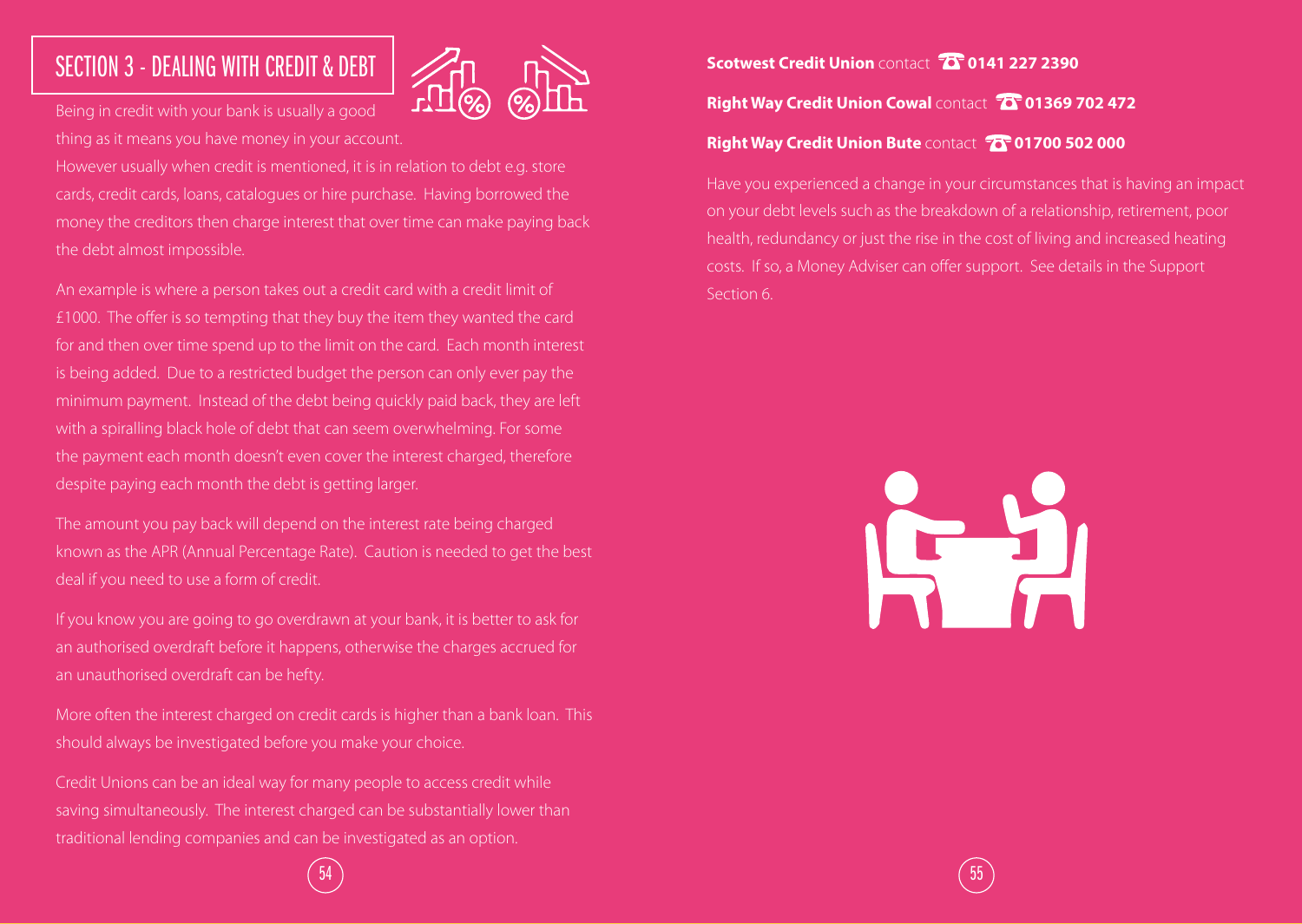# SECTION 3 - DEALING WITH CREDIT & DEBT



Being in credit with your bank is usually a good thing as it means you have money in your account.

However usually when credit is mentioned, it is in relation to debt e.g. store cards, credit cards, loans, catalogues or hire purchase. Having borrowed the money the creditors then charge interest that over time can make paying back the debt almost impossible.

An example is where a person takes out a credit card with a credit limit of £1000. The offer is so tempting that they buy the item they wanted the card for and then over time spend up to the limit on the card. Each month interest is being added. Due to a restricted budget the person can only ever pay the minimum payment. Instead of the debt being quickly paid back, they are left with a spiralling black hole of debt that can seem overwhelming. For some the payment each month doesn't even cover the interest charged, therefore despite paying each month the debt is getting larger.

The amount you pay back will depend on the interest rate being charged known as the APR (Annual Percentage Rate). Caution is needed to get the best deal if you need to use a form of credit.

If you know you are going to go overdrawn at your bank, it is better to ask for an authorised overdraft before it happens, otherwise the charges accrued for an unauthorised overdraft can be hefty.

More often the interest charged on credit cards is higher than a bank loan. This should always be investigated before you make your choice.

Credit Unions can be an ideal way for many people to access credit while saving simultaneously. The interest charged can be substantially lower than traditional lending companies and can be investigated as an option.

**Scotwest Credit Union** contact **0141 227 2390 Right Way Credit Union Cowal Contact <sup>7</sup>0 01369 702 472 Right Way Credit Union Bute <b>contact 75** 01700 502 000

Have you experienced a change in your circumstances that is having an impact on your debt levels such as the breakdown of a relationship, retirement, poor health, redundancy or just the rise in the cost of living and increased heating costs. If so, a Money Adviser can offer support. See details in the Support Section 6.



 $\hspace{.1cm}$  54  $\hspace{.1cm}$   $\hspace{.1cm}$  55  $\hspace{.1cm}$  55  $\hspace{.1cm}$  55  $\hspace{.1cm}$  55  $\hspace{.1cm}$  55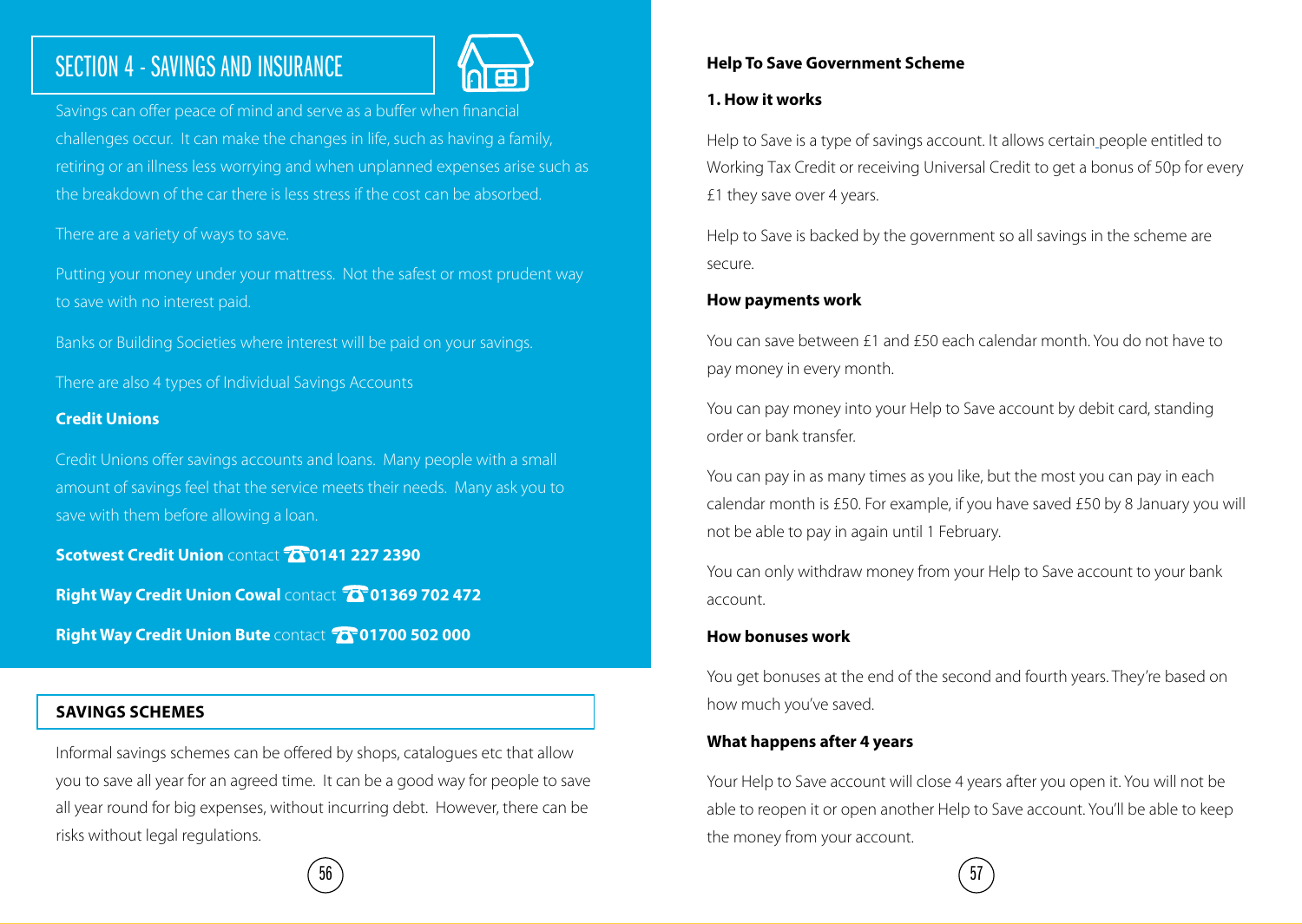# SECTION 4 - SAVINGS AND INSURANCE



Savings can offer peace of mind and serve as a buffer when financial challenges occur. It can make the changes in life, such as having a family, retiring or an illness less worrying and when unplanned expenses arise such as the breakdown of the car there is less stress if the cost can be absorbed.

There are a variety of ways to save.

Putting your money under your mattress. Not the safest or most prudent way to save with no interest paid.

Banks or Building Societies where interest will be paid on your savings.

There are also 4 types of Individual Savings Accounts

#### **Credit Unions**

Credit Unions offer savings accounts and loans. Many people with a small amount of savings feel that the service meets their needs. Many ask you to save with them before allowing a loan.

**Scotwest Credit Union contact 76 0141 227 2390** 

**Right Way Credit Union Cowal <b>contact 10 01369 702 472** 

**Right Way Credit Union Bute <b>contact** 77 01700 502 000

#### **SAVINGS SCHEMES**

Informal savings schemes can be offered by shops, catalogues etc that allow you to save all year for an agreed time. It can be a good way for people to save all year round for big expenses, without incurring debt. However, there can be risks without legal regulations.

#### **Help To Save Government Scheme**

#### **1. How it works**

Help to Save is a type of savings account. It allows certain people entitled to Working Tax Credit or receiving Universal Credit to get a bonus of 50p for every £1 they save over 4 years.

Help to Save is backed by the government so all savings in the scheme are secure.

#### **How payments work**

You can save between £1 and £50 each calendar month. You do not have to pay money in every month.

You can pay money into your Help to Save account by debit card, standing order or bank transfer.

You can pay in as many times as you like, but the most you can pay in each calendar month is £50. For example, if you have saved £50 by 8 January you will not be able to pay in again until 1 February.

You can only withdraw money from your Help to Save account to your bank account.

#### **How bonuses work**

You get bonuses at the end of the second and fourth years. They're based on how much you've saved.

#### **What happens after 4 years**

Your Help to Save account will close 4 years after you open it. You will not be able to reopen it or open another Help to Save account. You'll be able to keep the money from your account.

 $56$ ) (57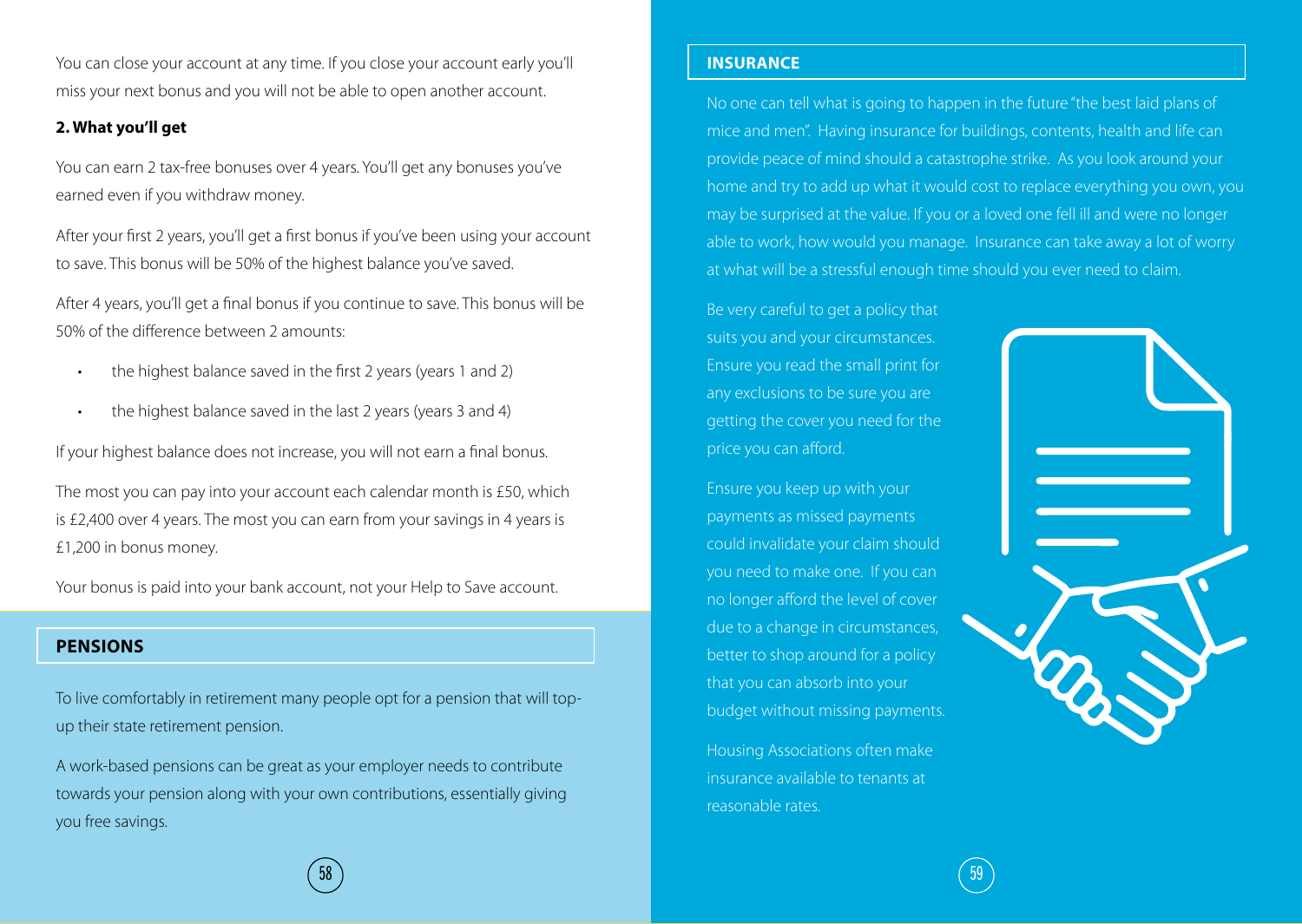You can close your account at any time. If you close your account early you'll miss your next bonus and you will not be able to open another account.

#### **2. What you'll get**

You can earn 2 tax-free bonuses over 4 years. You'll get any bonuses you've earned even if you withdraw money.

After your first 2 years, you'll get a first bonus if you've been using your account to save. This bonus will be 50% of the highest balance you've saved.

After 4 years, you'll get a final bonus if you continue to save. This bonus will be 50% of the difference between 2 amounts:

- the highest balance saved in the first 2 years (years 1 and 2)
- the highest balance saved in the last 2 years (years 3 and 4)

If your highest balance does not increase, you will not earn a final bonus.

The most you can pay into your account each calendar month is £50, which is £2,400 over 4 years. The most you can earn from your savings in 4 years is £1,200 in bonus money.

Your bonus is paid into your bank account, not your Help to Save account.

#### **PENSIONS**

To live comfortably in retirement many people opt for a pension that will topup their state retirement pension.

A work-based pensions can be great as your employer needs to contribute towards your pension along with your own contributions, essentially giving you free savings.

#### **INSURANCE**

No one can tell what is going to happen in the future "the best laid plans of mice and men". Having insurance for buildings, contents, health and life can provide peace of mind should a catastrophe strike. As you look around your home and try to add up what it would cost to replace everything you own, you may be surprised at the value. If you or a loved one fell ill and were no longer able to work, how would you manage. Insurance can take away a lot of worry at what will be a stressful enough time should you ever need to claim.

Be very careful to get a policy that suits you and your circumstances. Ensure you read the small print for any exclusions to be sure you are getting the cover you need for the price you can afford.

Ensure you keep up with your payments as missed payments could invalidate your claim should you need to make one. If you can no longer afford the level of cover due to a change in circumstances, better to shop around for a policy that you can absorb into your budget without missing payments.

Housing Associations often make insurance available to tenants at reasonable rates.



 $\hspace{.1cm}$  58 )  $\hspace{.1cm}$  59 )  $\hspace{.1cm}$  59  $\hspace{.1cm}$  59  $\hspace{.1cm}$  59  $\hspace{.1cm}$  59  $\hspace{.1cm}$  59  $\hspace{.1cm}$  59  $\hspace{.1cm}$  59  $\hspace{.1cm}$  59  $\hspace{.1cm}$  59  $\hspace{.1cm}$  59  $\hspace{.1cm}$  59  $\hspace{.1cm}$  59  $\hspace{.1cm}$  59  $\hspace{.1$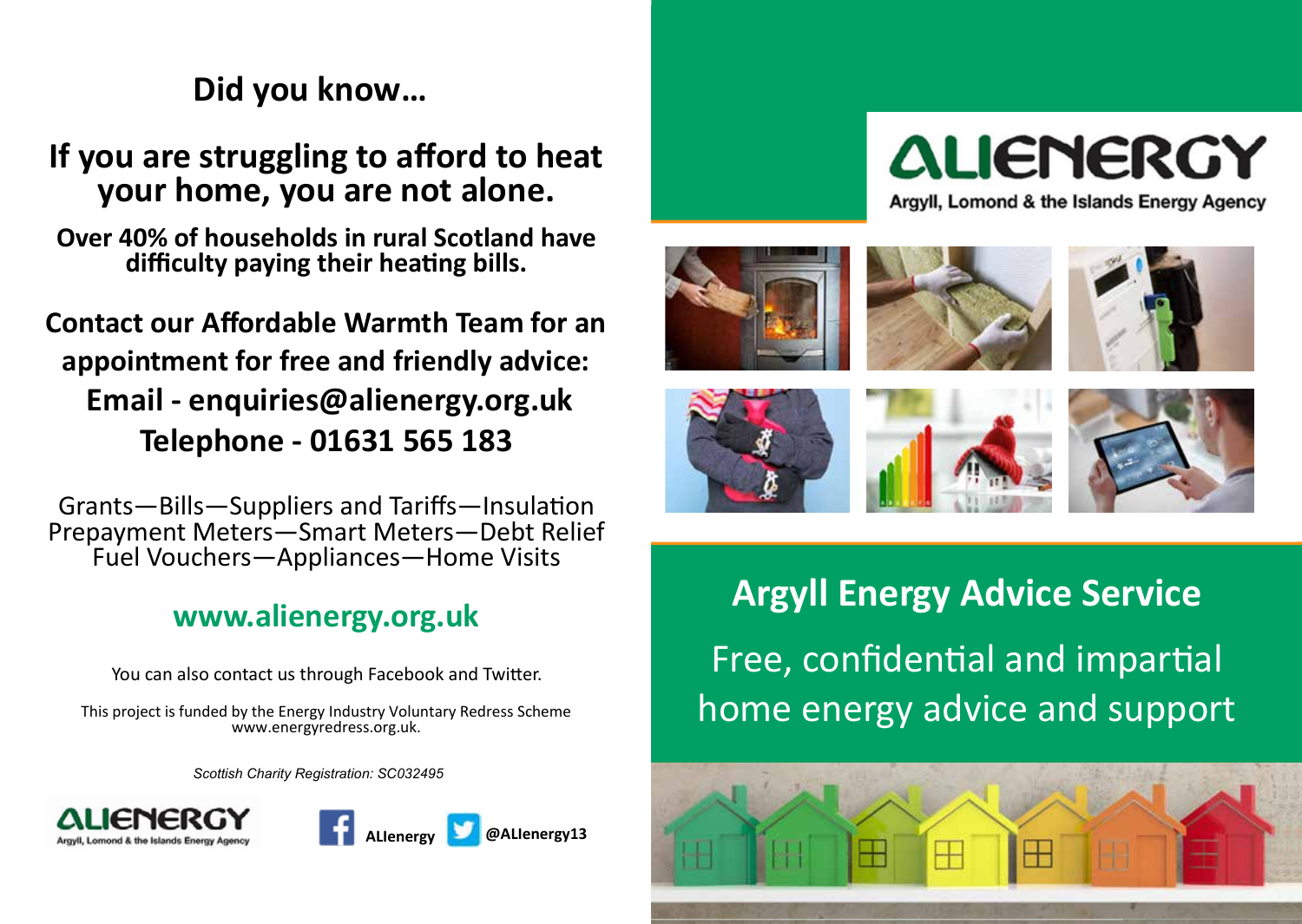#### **Get Involved Did you know…**  $\mathsf{Did}$  you know... **Get Involved Did you know… Get Involved Did you know… Get Involved Did you know**

**If you are struggling to afford to heat your home, you are not alone. If you are struggling to afford to heat your home, you are not alone. your home, you are not alone. your home, you are not alone. If you are struggling to afford to heat your home, you are not alone. If you are struggling to afford to heat**  *you are struggling to aπord to heal*<br>Wour home, you are not alone. **If you are struggling to afford to heat** 

**Over 40% of households in rural Scotland have difficulty paying their heating bills. difficulty paying their heating bills. difficulty paying their heating bills. difficulty paying their heating bills. Over 40% of households in rural Scotland have Over 40% of households in rural Scotland have Over 40% of households in rural Scotland have Over 40% of households in rural Scotland have Over 40% of households in rural Scotland have difficulty paying their heating bills. difficulty paying their heating bills.**

#### **Contact our Affordable Warmth Team for an Contact our Affordable Warmth Team for an Contact our Affordable Warmth Team for an Contact our Affordable Warmth Team for an appointment for free and friendly advice: appointment for free and friendly advice: appointment for free and friendly advice: appointment for free and friendly advice:** Email - enquiries@alienergy.org.uk **Telephone - 01631 565 183 Telephone - 01631 565 183 Telephone - 01631 565 183 Telephone - 01631 565 183 Contact our Affordable Warmth Team for an Contact our Affordable Warmth Team for an appointment for free and friendly advice: appointment for free and friendly advice: Email - enquiries@alienergy.org.uk Email - enquiries@alienergy.org.uk Telephone - 01631 565 183**

Grants—Bills—Suppliers and Tariffs—Insulation<br>Prepayment Meters—Smart Meters—Debt Relief Prepayment Meters—Smart Meters—Debt Relief Fuel Vouchers—Appliances—Home Visits Grants—Bills—Suppliers and Tariffs—Insulation Fuel Vouchers—Appliances—Home Visits Prepayment Meters—Smart Meters—Debt Relief Fuel Vouchers—Appliances—Home Visits Prepayment Meters—Smart Meters—Debt Relief Fuel Vouchers—Appliances—Home Visits<br>Prepayment Meters Prepayment Meters—Smart Meters—Debt Relief

#### **www.alienergy.org.uk www.alienergy.org.uk www.alienergy.org.uk www.alienergy.org.uk** Fuel Vouchers—Appliances—Home Visits

**You can also contact us through Facebook and Twitter.** 

This project is funded by the Energy Industry Voluntary Redress Scheme rins project is funded by the Energy mudstry voluntary nearess Schen<br>www.energyredress.org.uk.

Scottish Charity Registration: SC032495 ww.cnarity Registration: SC0324





Arayll, Lomond & the Islands Energy Agency













**Argyll Energy Advice Service** Free, confidential and impartial home energy advice and support home energy advice and support home energy advice and support **Argyll Energy Advice Service** Free, confidential and impartial  $\Gamma$ rice, comiqential and impo **Argyll Energy Advice Service** Free, confidential and impartial Free, confidential and impartial **Argyll Energy Advice Service** Free, confidential and impartial Free, confidential and impartial ndustry Voluntary Redress Scheme **And also contact us the Contact of Twitter.**<br>dress.org.uk. Fuel Vouchers—Argyll **ARGYLIE SERVICE** 

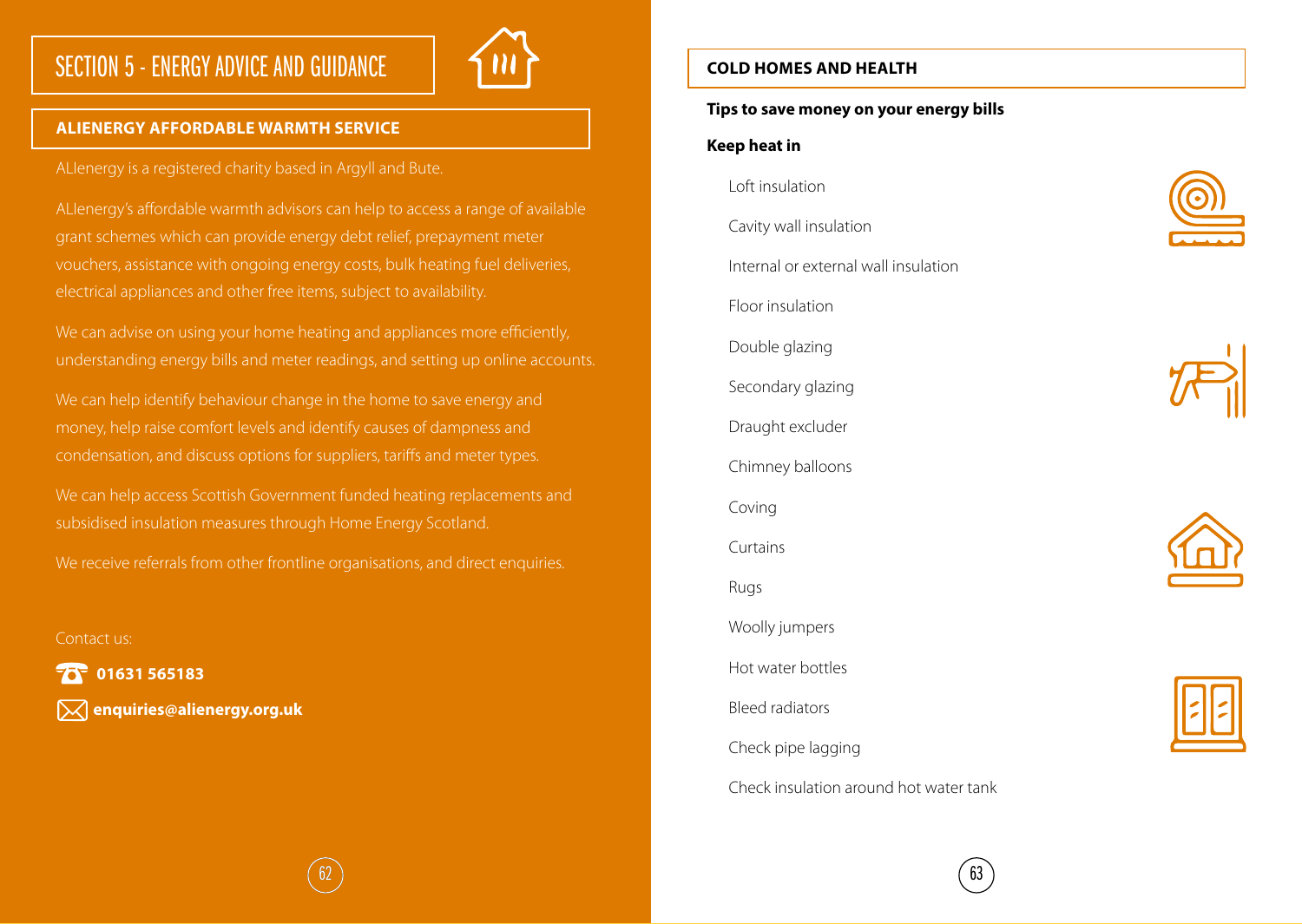# SECTION 5 - ENERGY ADVICE AND GUIDANCE



#### **ALIENERGY AFFORDABLE WARMTH SERVICE**

ALIenergy is a registered charity based in Argyll and Bute.

ALIenergy's affordable warmth advisors can help to access a range of available grant schemes which can provide energy debt relief, prepayment meter vouchers, assistance with ongoing energy costs, bulk heating fuel deliveries, electrical appliances and other free items, subject to availability.

We can advise on using your home heating and appliances more efficiently, understanding energy bills and meter readings, and setting up online accounts.

We can help identify behaviour change in the home to save energy and money, help raise comfort levels and identify causes of dampness and condensation, and discuss options for suppliers, tariffs and meter types.

We can help access Scottish Government funded heating replacements and subsidised insulation measures through Home Energy Scotland.

We receive referrals from other frontline organisations, and direct enquiries.

Contact us:

**10** 01631 565183

**enquiries@alienergy.org.uk**

#### **COLD HOMES AND HEALTH**

#### **Tips to save money on your energy bills**

#### **Keep heat in**

Loft insulation Cavity wall insulation Internal or external wall insulation Floor insulation Double glazing Secondary glazing Draught excluder Chimney balloons Coving Curtains Rugs Woolly jumpers Hot water bottles Bleed radiators Check pipe lagging Check insulation around hot water tank







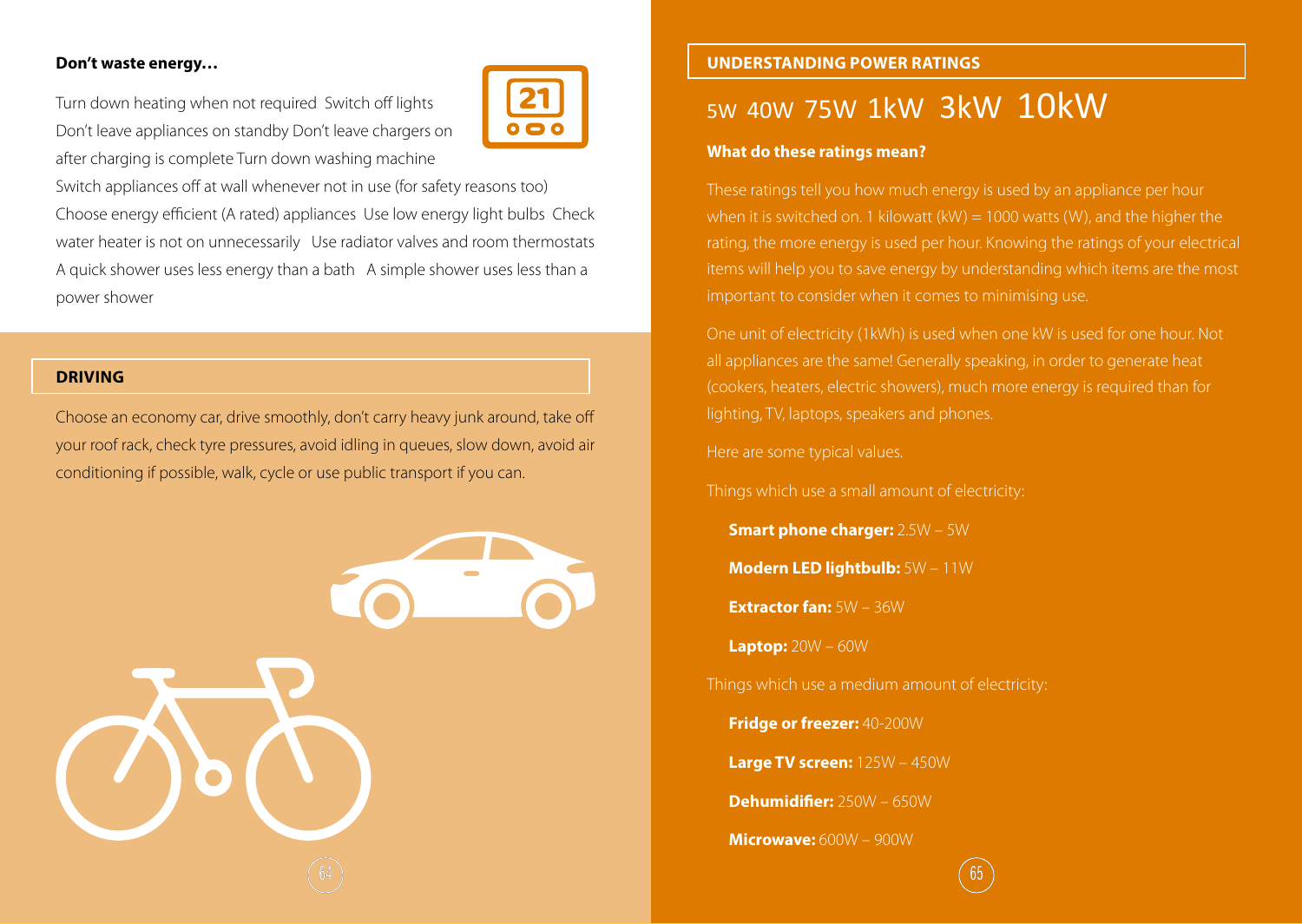#### **Don't waste energy…**

Turn down heating when not required Switch off lights Don't leave appliances on standby Don't leave chargers on after charging is complete Turn down washing machine



Switch appliances off at wall whenever not in use (for safety reasons too) Choose energy efficient (A rated) appliances Use low energy light bulbs Check water heater is not on unnecessarily Use radiator valves and room thermostats A quick shower uses less energy than a bath A simple shower uses less than a power shower

#### **DRIVING**

Choose an economy car, drive smoothly, don't carry heavy junk around, take off your roof rack, check tyre pressures, avoid idling in queues, slow down, avoid air conditioning if possible, walk, cycle or use public transport if you can.



#### **UNDERSTANDING POWER RATINGS**

# 5W 40W 75W 1kW 3kW 10kW

#### **What do these ratings mean?**

These ratings tell you how much energy is used by an appliance per hour when it is switched on. 1 kilowatt (kW) = 1000 watts (W), and the higher the rating, the more energy is used per hour. Knowing the ratings of your electrical items will help you to save energy by understanding which items are the most important to consider when it comes to minimising use.

One unit of electricity (1kWh) is used when one kW is used for one hour. Not all appliances are the same! Generally speaking, in order to generate heat (cookers, heaters, electric showers), much more energy is required than for lighting, TV, laptops, speakers and phones.

Here are some typical values.

Things which use a small amount of electricity:

**Smart phone charger:** 2.5W – 5W

**Modern LED lightbulb:** 5W – 11W

**Extractor fan:** 5W – 36W

**Laptop:** 20W – 60W

Things which use a medium amount of electricity:

**Fridge or freezer:** 40-200W

**Large TV screen:** 125W – 450W

**Dehumidifier:** 250W – 650W

**Microwave:** 600W – 900W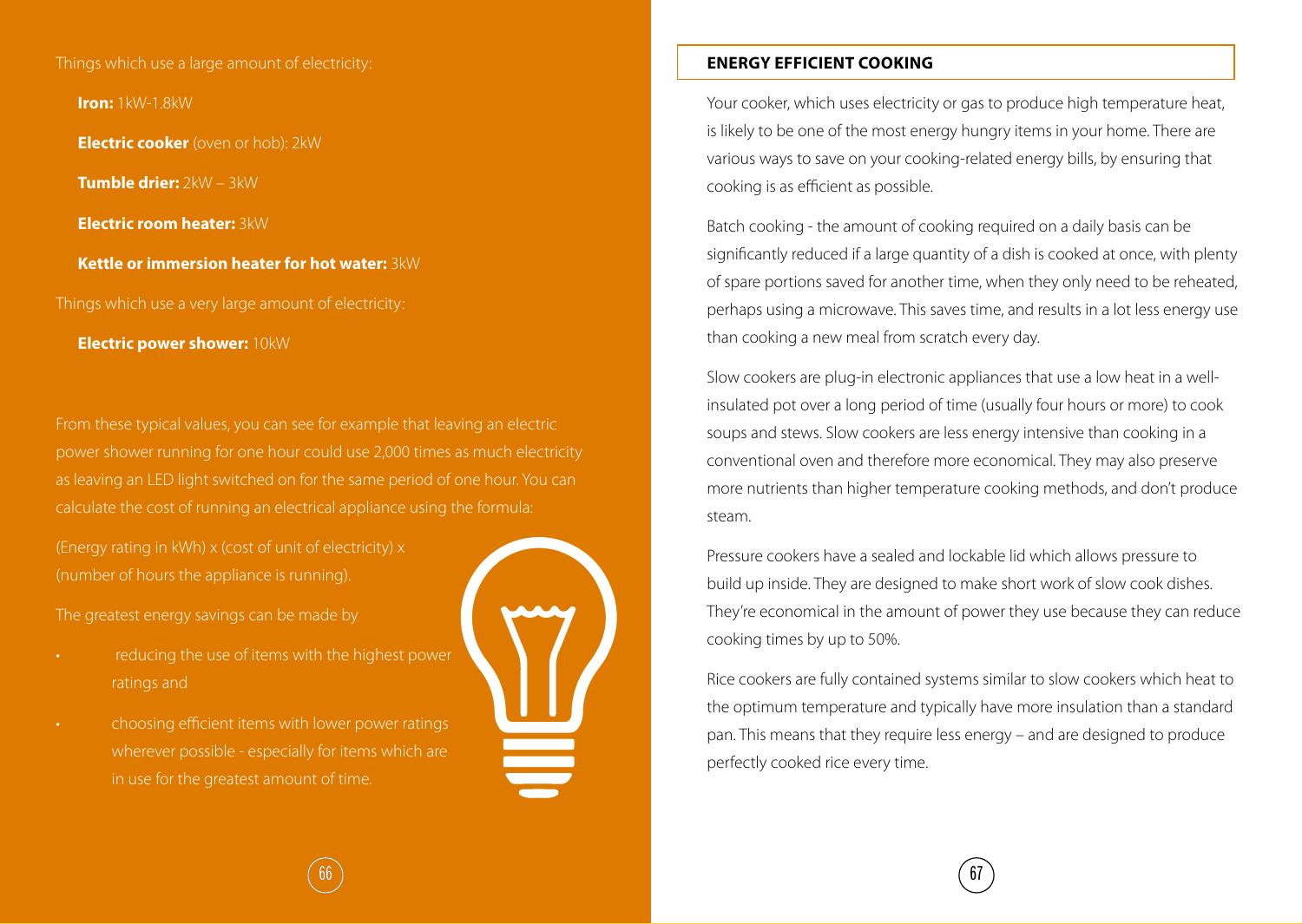Things which use a large amount of electricity:

**Iron:** 1kW-1.8kW

**Electric cooker** (oven or hob): 2kW

**Tumble drier:** 2kW – 3kW

**Electric room heater:** 3kW

**Kettle or immersion heater for hot water:** 3kW

Things which use a very large amount of electricity:

**Electric power shower:** 10kW

From these typical values, you can see for example that leaving an electric power shower running for one hour could use 2,000 times as much electricity as leaving an LED light switched on for the same period of one hour. You can calculate the cost of running an electrical appliance using the formula:

(Energy rating in kWh) x (cost of unit of electricity) x (number of hours the appliance is running).

The greatest energy savings can be made by

- reducing the use of items with the highest power ratings and
- choosing efficient items with lower power ratings wherever possible - especially for items which are in use for the greatest amount of time.



#### **ENERGY EFFICIENT COOKING**

Your cooker, which uses electricity or gas to produce high temperature heat, is likely to be one of the most energy hungry items in your home. There are various ways to save on your cooking-related energy bills, by ensuring that cooking is as efficient as possible.

Batch cooking - the amount of cooking required on a daily basis can be significantly reduced if a large quantity of a dish is cooked at once, with plenty of spare portions saved for another time, when they only need to be reheated, perhaps using a microwave. This saves time, and results in a lot less energy use than cooking a new meal from scratch every day.

Slow cookers are plug-in electronic appliances that use a low heat in a wellinsulated pot over a long period of time (usually four hours or more) to cook soups and stews. Slow cookers are less energy intensive than cooking in a conventional oven and therefore more economical. They may also preserve more nutrients than higher temperature cooking methods, and don't produce steam.

Pressure cookers have a sealed and lockable lid which allows pressure to build up inside. They are designed to make short work of slow cook dishes. They're economical in the amount of power they use because they can reduce cooking times by up to 50%.

Rice cookers are fully contained systems similar to slow cookers which heat to the optimum temperature and typically have more insulation than a standard pan. This means that they require less energy – and are designed to produce perfectly cooked rice every time.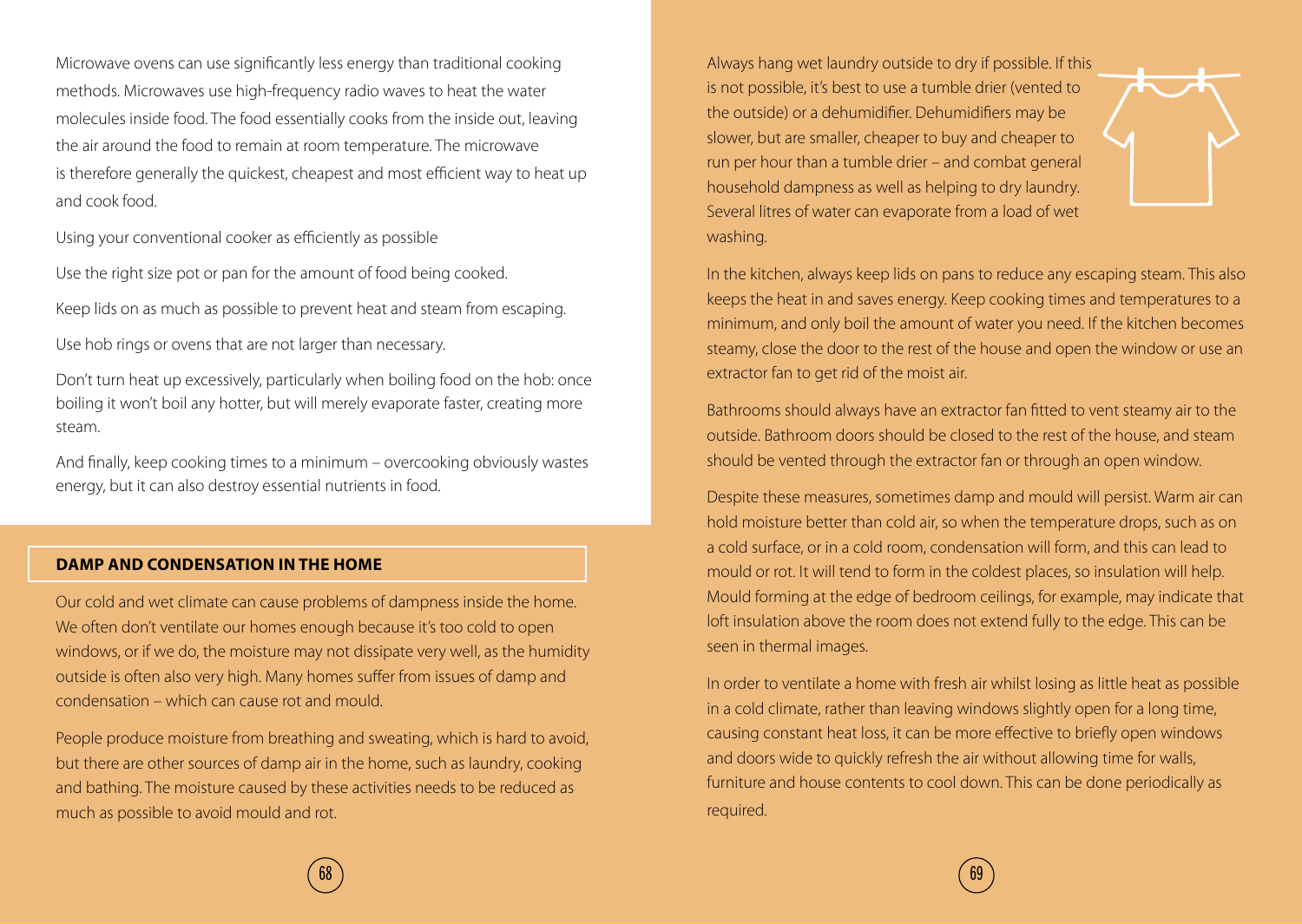Microwave ovens can use significantly less energy than traditional cooking methods. Microwaves use high-frequency radio waves to heat the water molecules inside food. The food essentially cooks from the inside out, leaving the air around the food to remain at room temperature. The microwave is therefore generally the quickest, cheapest and most efficient way to heat up and cook food.

Using your conventional cooker as efficiently as possible

Use the right size pot or pan for the amount of food being cooked.

Keep lids on as much as possible to prevent heat and steam from escaping.

Use hob rings or ovens that are not larger than necessary.

Don't turn heat up excessively, particularly when boiling food on the hob: once boiling it won't boil any hotter, but will merely evaporate faster, creating more steam.

And finally, keep cooking times to a minimum – overcooking obviously wastes energy, but it can also destroy essential nutrients in food.

#### **DAMP AND CONDENSATION IN THE HOME**

Our cold and wet climate can cause problems of dampness inside the home. We often don't ventilate our homes enough because it's too cold to open windows, or if we do, the moisture may not dissipate very well, as the humidity outside is often also very high. Many homes suffer from issues of damp and condensation – which can cause rot and mould.

People produce moisture from breathing and sweating, which is hard to avoid, but there are other sources of damp air in the home, such as laundry, cooking and bathing. The moisture caused by these activities needs to be reduced as much as possible to avoid mould and rot.

Always hang wet laundry outside to dry if possible. If this is not possible, it's best to use a tumble drier (vented to the outside) or a dehumidifier. Dehumidifiers may be slower, but are smaller, cheaper to buy and cheaper to run per hour than a tumble drier – and combat general household dampness as well as helping to dry laundry. Several litres of water can evaporate from a load of wet washing.



In the kitchen, always keep lids on pans to reduce any escaping steam. This also keeps the heat in and saves energy. Keep cooking times and temperatures to a minimum, and only boil the amount of water you need. If the kitchen becomes steamy, close the door to the rest of the house and open the window or use an extractor fan to get rid of the moist air.

Bathrooms should always have an extractor fan fitted to vent steamy air to the outside. Bathroom doors should be closed to the rest of the house, and steam should be vented through the extractor fan or through an open window.

Despite these measures, sometimes damp and mould will persist. Warm air can hold moisture better than cold air, so when the temperature drops, such as on a cold surface, or in a cold room, condensation will form, and this can lead to mould or rot. It will tend to form in the coldest places, so insulation will help. Mould forming at the edge of bedroom ceilings, for example, may indicate that loft insulation above the room does not extend fully to the edge. This can be seen in thermal images.

In order to ventilate a home with fresh air whilst losing as little heat as possible in a cold climate, rather than leaving windows slightly open for a long time, causing constant heat loss, it can be more effective to briefly open windows and doors wide to quickly refresh the air without allowing time for walls, furniture and house contents to cool down. This can be done periodically as required.

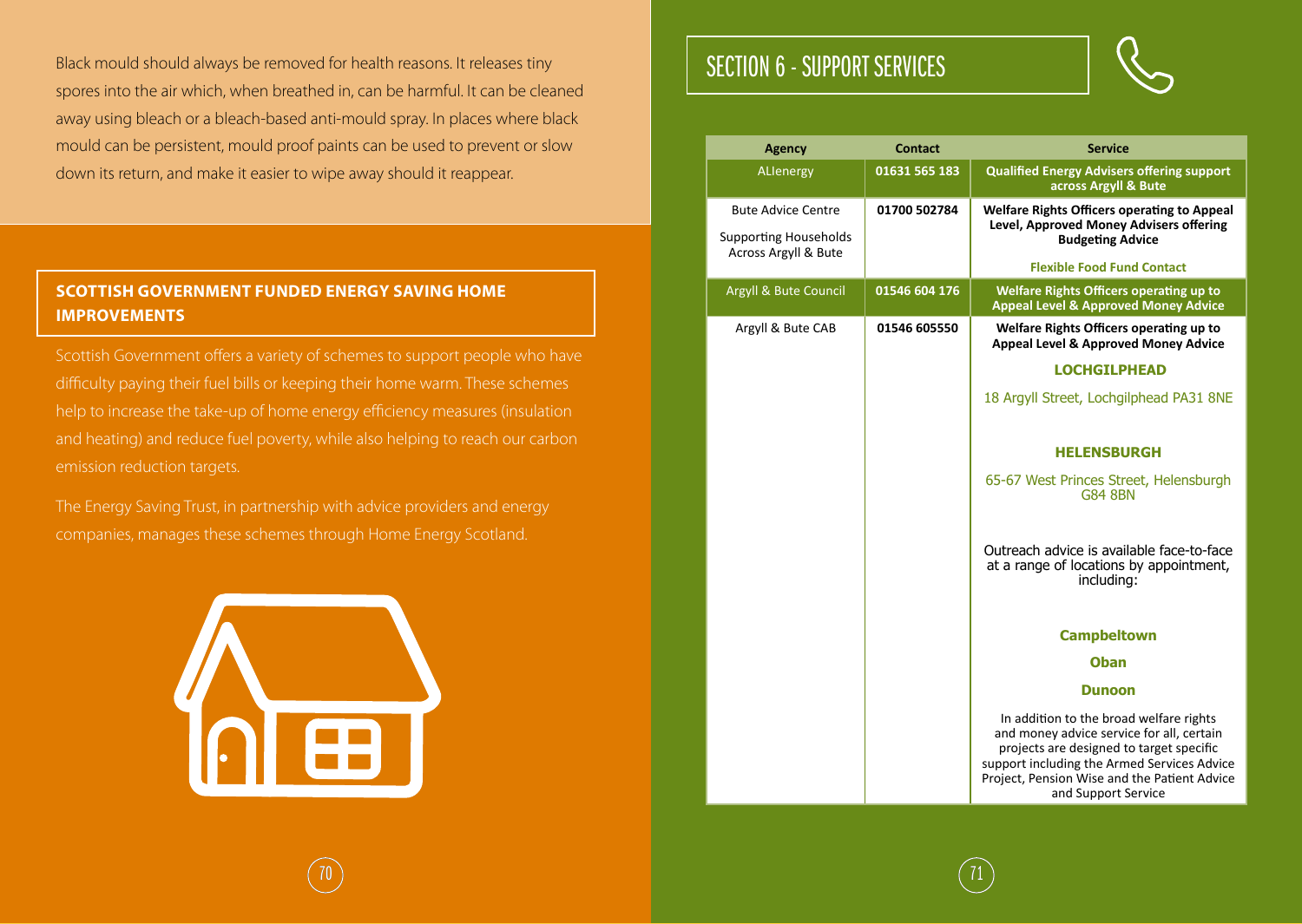Black mould should always be removed for health reasons. It releases tiny spores into the air which, when breathed in, can be harmful. It can be cleaned away using bleach or a bleach-based anti-mould spray. In places where black mould can be persistent, mould proof paints can be used to prevent or slow down its return, and make it easier to wipe away should it reappear.

#### **SCOTTISH GOVERNMENT FUNDED ENERGY SAVING HOME IMPROVEMENTS**

Scottish Government offers a variety of schemes to support people who have difficulty paying their fuel bills or keeping their home warm. These schemes help to increase the take-up of home energy efficiency measures (insulation and heating) and reduce fuel poverty, while also helping to reach our carbon emission reduction targets.

The Energy Saving Trust, in partnership with advice providers and energy companies, manages these schemes through Home Energy Scotland.



# SECTION 6 - SUPPORT SERVICES

 $\begin{array}{|c|c|c|c|c|}\hline \hspace{.1in} & & & \hspace{.1in} & & \hspace{.1in} & \hspace{.1in} & \hspace{.1in} & \hspace{.1in} & \hspace{.1in} & \hspace{.1in} & \hspace{.1in} & \hspace{.1in} & \hspace{.1in} & \hspace{.1in} & \hspace{.1in} & \hspace{.1in} & \hspace{.1in} & \hspace{.1in} & \hspace{.1in} & \hspace{.1in} & \hspace{.1in} & \hspace{.1in} & \hspace{.1in} & \hspace{.1in} &$ 



| <b>Agency</b>                                        | <b>Contact</b> | <b>Service</b>                                                                                                                                                                                                                                         |
|------------------------------------------------------|----------------|--------------------------------------------------------------------------------------------------------------------------------------------------------------------------------------------------------------------------------------------------------|
| ALlenergy                                            | 01631 565 183  | <b>Qualified Energy Advisers offering support</b><br>across Argyll & Bute                                                                                                                                                                              |
| <b>Bute Advice Centre</b>                            | 01700 502784   | <b>Welfare Rights Officers operating to Appeal</b><br>Level, Approved Money Advisers offering                                                                                                                                                          |
| <b>Supporting Households</b><br>Across Argyll & Bute |                | <b>Budgeting Advice</b>                                                                                                                                                                                                                                |
|                                                      |                | <b>Flexible Food Fund Contact</b>                                                                                                                                                                                                                      |
| Argyll & Bute Council                                | 01546 604 176  | <b>Welfare Rights Officers operating up to</b><br><b>Appeal Level &amp; Approved Money Advice</b>                                                                                                                                                      |
| Argyll & Bute CAB                                    | 01546 605550   | Welfare Rights Officers operating up to<br>Appeal Level & Approved Money Advice                                                                                                                                                                        |
|                                                      |                | <b>LOCHGILPHEAD</b>                                                                                                                                                                                                                                    |
|                                                      |                | 18 Argyll Street, Lochgilphead PA31 8NE                                                                                                                                                                                                                |
|                                                      |                | <b>HELENSBURGH</b>                                                                                                                                                                                                                                     |
|                                                      |                | 65-67 West Princes Street, Helensburgh<br><b>G84 8BN</b>                                                                                                                                                                                               |
|                                                      |                | Outreach advice is available face-to-face<br>at a range of locations by appointment,<br>including:                                                                                                                                                     |
|                                                      |                | <b>Campbeltown</b>                                                                                                                                                                                                                                     |
|                                                      |                | <b>Oban</b>                                                                                                                                                                                                                                            |
|                                                      |                | <b>Dunoon</b>                                                                                                                                                                                                                                          |
|                                                      |                | In addition to the broad welfare rights<br>and money advice service for all, certain<br>projects are designed to target specific<br>support including the Armed Services Advice<br>Project, Pension Wise and the Patient Advice<br>and Support Service |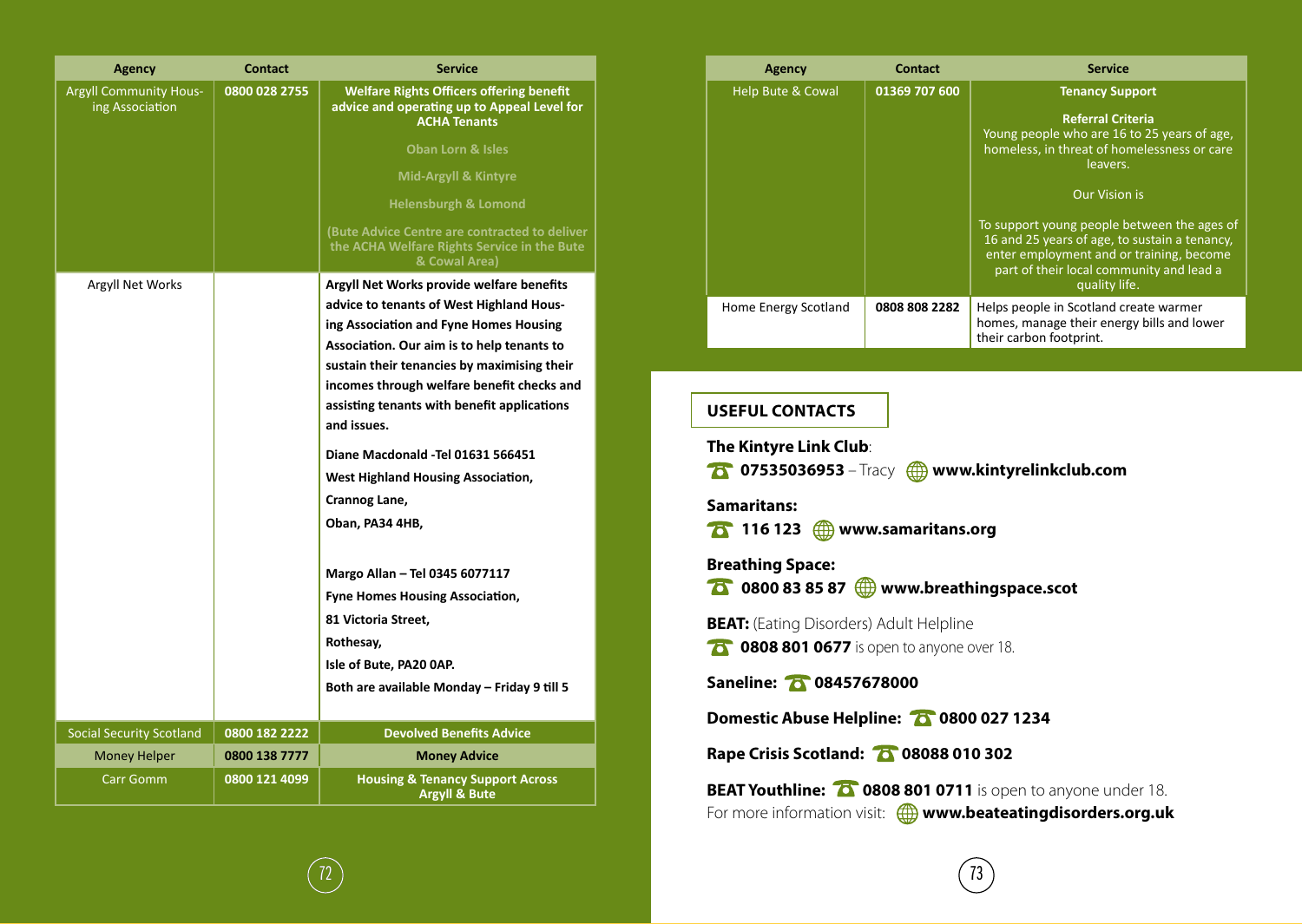| <b>Agency</b>                                    | <b>Contact</b> | <b>Service</b>                                                                                                        |
|--------------------------------------------------|----------------|-----------------------------------------------------------------------------------------------------------------------|
| <b>Argyll Community Hous-</b><br>ing Association | 0800 028 2755  | <b>Welfare Rights Officers offering benefit</b><br>advice and operating up to Appeal Level for<br><b>ACHA Tenants</b> |
|                                                  |                | <b>Oban Lorn &amp; Isles</b>                                                                                          |
|                                                  |                | Mid-Argyll & Kintyre                                                                                                  |
|                                                  |                | Helensburgh & Lomond                                                                                                  |
|                                                  |                | (Bute Advice Centre are contracted to deliver<br>the ACHA Welfare Rights Service in the Bute<br>& Cowal Area)         |
| Argyll Net Works                                 |                | Argyll Net Works provide welfare benefits                                                                             |
|                                                  |                | advice to tenants of West Highland Hous-                                                                              |
|                                                  |                | ing Association and Fyne Homes Housing                                                                                |
|                                                  |                | Association. Our aim is to help tenants to                                                                            |
|                                                  |                | sustain their tenancies by maximising their                                                                           |
|                                                  |                | incomes through welfare benefit checks and                                                                            |
|                                                  |                | assisting tenants with benefit applications<br>and issues.                                                            |
|                                                  |                | Diane Macdonald - Tel 01631 566451                                                                                    |
|                                                  |                | <b>West Highland Housing Association,</b>                                                                             |
|                                                  |                | Crannog Lane,                                                                                                         |
|                                                  |                | Oban, PA34 4HB,                                                                                                       |
|                                                  |                |                                                                                                                       |
|                                                  |                | Margo Allan - Tel 0345 6077117                                                                                        |
|                                                  |                | <b>Fyne Homes Housing Association,</b>                                                                                |
|                                                  |                | 81 Victoria Street,                                                                                                   |
|                                                  |                | Rothesay,                                                                                                             |
|                                                  |                | Isle of Bute, PA20 0AP.                                                                                               |
|                                                  |                | Both are available Monday - Friday 9 till 5                                                                           |
| <b>Social Security Scotland</b>                  | 0800 182 2222  | <b>Devolved Benefits Advice</b>                                                                                       |
| <b>Money Helper</b>                              | 0800 138 7777  | <b>Money Advice</b>                                                                                                   |
| <b>Carr Gomm</b>                                 | 0800 121 4099  | <b>Housing &amp; Tenancy Support Across</b><br><b>Argyll &amp; Bute</b>                                               |

| <b>Agency</b>        | <b>Contact</b> | <b>Service</b>                                                                                                                                                                                        |
|----------------------|----------------|-------------------------------------------------------------------------------------------------------------------------------------------------------------------------------------------------------|
| Help Bute & Cowal    | 01369 707 600  | <b>Tenancy Support</b>                                                                                                                                                                                |
|                      |                | <b>Referral Criteria</b><br>Young people who are 16 to 25 years of age,<br>homeless, in threat of homelessness or care<br>leavers.                                                                    |
|                      |                | <b>Our Vision is</b>                                                                                                                                                                                  |
|                      |                | To support young people between the ages of<br>16 and 25 years of age, to sustain a tenancy,<br>enter employment and or training, become<br>part of their local community and lead a<br>quality life. |
| Home Energy Scotland | 0808 808 2282  | Helps people in Scotland create warmer<br>homes, manage their energy bills and lower<br>their carbon footprint.                                                                                       |

#### **USEFUL CONTACTS**

**The Kintyre Link Club**: **10 07535036953** – Tracy **the www.kintyrelinkclub.com Samaritans: 116 123 www.samaritans.org**

**Breathing Space: 1** 0800 83 85 87 **(a)** www.breathingspace.scot

**BEAT:** (Eating Disorders) Adult Helpline

**10 0808 801 0677** is open to anyone over 18.

**Saneline: 08457678000**

**Domestic Abuse Helpline: 0800 027 1234** 

**Rape Crisis Scotland: 08088 010 302**

**BEAT Youthline: 0808 801 0711** is open to anyone under 18. For more information visit:  $\bigoplus$  www.beateatingdisorders.org.uk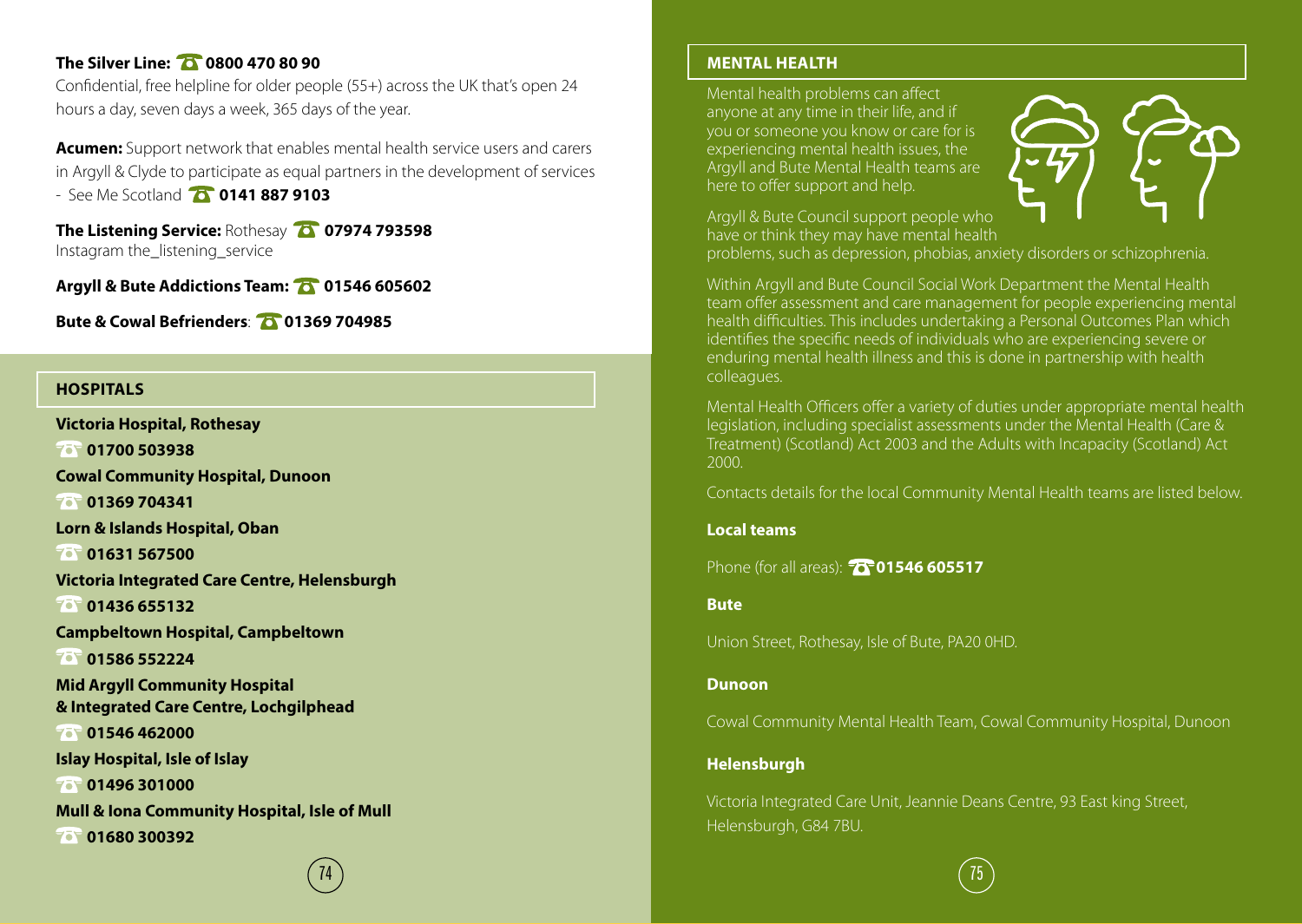#### **The Silver Line: 20 0800 470 80 90**

Confidential, free helpline for older people (55+) across the UK that's open 24 hours a day, seven days a week, 365 days of the year.

**Acumen:** Support network that enables mental health service users and carers in Argyll & Clyde to participate as equal partners in the development of services - See Me Scotland **0141 887 9103**

**The Listening Service:** Rothesay **07974 793598** Instagram the\_listening\_service

**Argyll & Bute Addictions Team: 01546 605602**

**Bute & Cowal Befrienders**: **01369 704985**

#### **HOSPITALS**

**Victoria Hospital, Rothesay 01700 503938 Cowal Community Hospital, Dunoon 01369 704341 Lorn & Islands Hospital, Oban 01631 567500 Victoria Integrated Care Centre, Helensburgh 01436 655132 Campbeltown Hospital, Campbeltown 01586 552224 Mid Argyll Community Hospital & Integrated Care Centre, Lochgilphead 01546 462000 Islay Hospital, Isle of Islay 01496 301000 Mull & Iona Community Hospital, Isle of Mull 01680 300392**

#### **MENTAL HEALTH**

Mental health problems can affect anyone at any time in their life, and if you or someone you know or care for is experiencing mental health issues, the Argyll and Bute Mental Health teams are here to offer support and help.



Argyll & Bute Council support people who have or think they may have mental health

problems, such as depression, phobias, anxiety disorders or schizophrenia.

Within Argyll and Bute Council Social Work Department the Mental Health team offer assessment and care management for people experiencing mental health difficulties. This includes undertaking a Personal Outcomes Plan which identifies the specific needs of individuals who are experiencing severe or enduring mental health illness and this is done in partnership with health colleagues.

Mental Health Officers offer a variety of duties under appropriate mental health legislation, including specialist assessments under the Mental Health (Care & Treatment) (Scotland) Act 2003 and the Adults with Incapacity (Scotland) Act 2000.

Contacts details for the local Community Mental Health teams are listed below.

#### **Local teams**

Phone (for all areas): **01546 605517** 

**Bute**

Union Street, Rothesay, Isle of Bute, PA20 0HD.

#### **Dunoon**

Cowal Community Mental Health Team, Cowal Community Hospital, Dunoon

#### **Helensburgh**

Victoria Integrated Care Unit, Jeannie Deans Centre, 93 East king Street, Helensburgh, G84 7BU.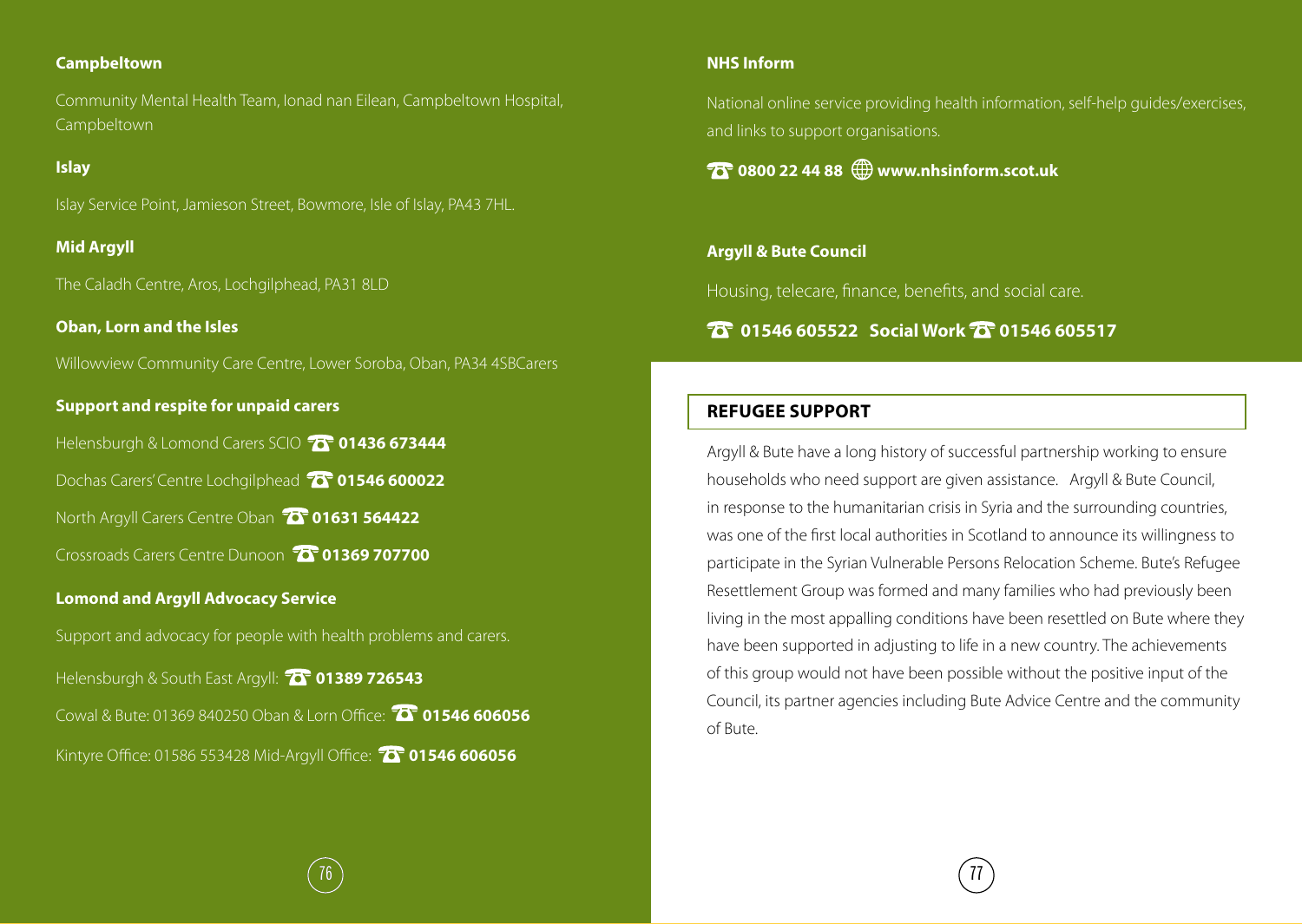#### **Campbeltown**

Community Mental Health Team, Ionad nan Eilean, Campbeltown Hospital, Campbeltown

#### **Islay**

Islay Service Point, Jamieson Street, Bowmore, Isle of Islay, PA43 7HL.

#### **Mid Argyll**

The Caladh Centre, Aros, Lochgilphead, PA31 8LD

#### **Oban, Lorn and the Isles**

Willowview Community Care Centre, Lower Soroba, Oban, PA34 4SBCarers

#### **Support and respite for unpaid carers**

Helensburgh & Lomond Carers SCIO **10 1436 673444** 

Dochas Carers' Centre Lochgilphead **10<sup>-</sup>01546 600022** 

North Argyll Carers Centre Oban **01631 564422**

Crossroads Carers Centre Dunoon **01369 707700**

#### **Lomond and Argyll Advocacy Service**

Support and advocacy for people with health problems and carers.

Helensburgh & South East Argyll: **1389 726543** Cowal & Bute: 01369 840250 Oban & Lorn Office: **01546 606056**

Kintyre Office: 01586 553428 Mid-Argyll Office: **01546 606056**

#### **NHS Inform**

National online service providing health information, self-help guides/exercises, and links to support organisations.

#### **0800 22 44 88 www.nhsinform.scot.uk**

#### **Argyll & Bute Council**

Housing, telecare, finance, benefits, and social care.

#### *<b>6* 01546 605522 Social Work **6** 01546 605517

#### **REFUGEE SUPPORT**

Argyll & Bute have a long history of successful partnership working to ensure households who need support are given assistance. Argyll & Bute Council, in response to the humanitarian crisis in Syria and the surrounding countries, was one of the first local authorities in Scotland to announce its willingness to participate in the Syrian Vulnerable Persons Relocation Scheme. Bute's Refugee Resettlement Group was formed and many families who had previously been living in the most appalling conditions have been resettled on Bute where they have been supported in adjusting to life in a new country. The achievements of this group would not have been possible without the positive input of the Council, its partner agencies including Bute Advice Centre and the community of Bute.

 $76$ ) ( $77$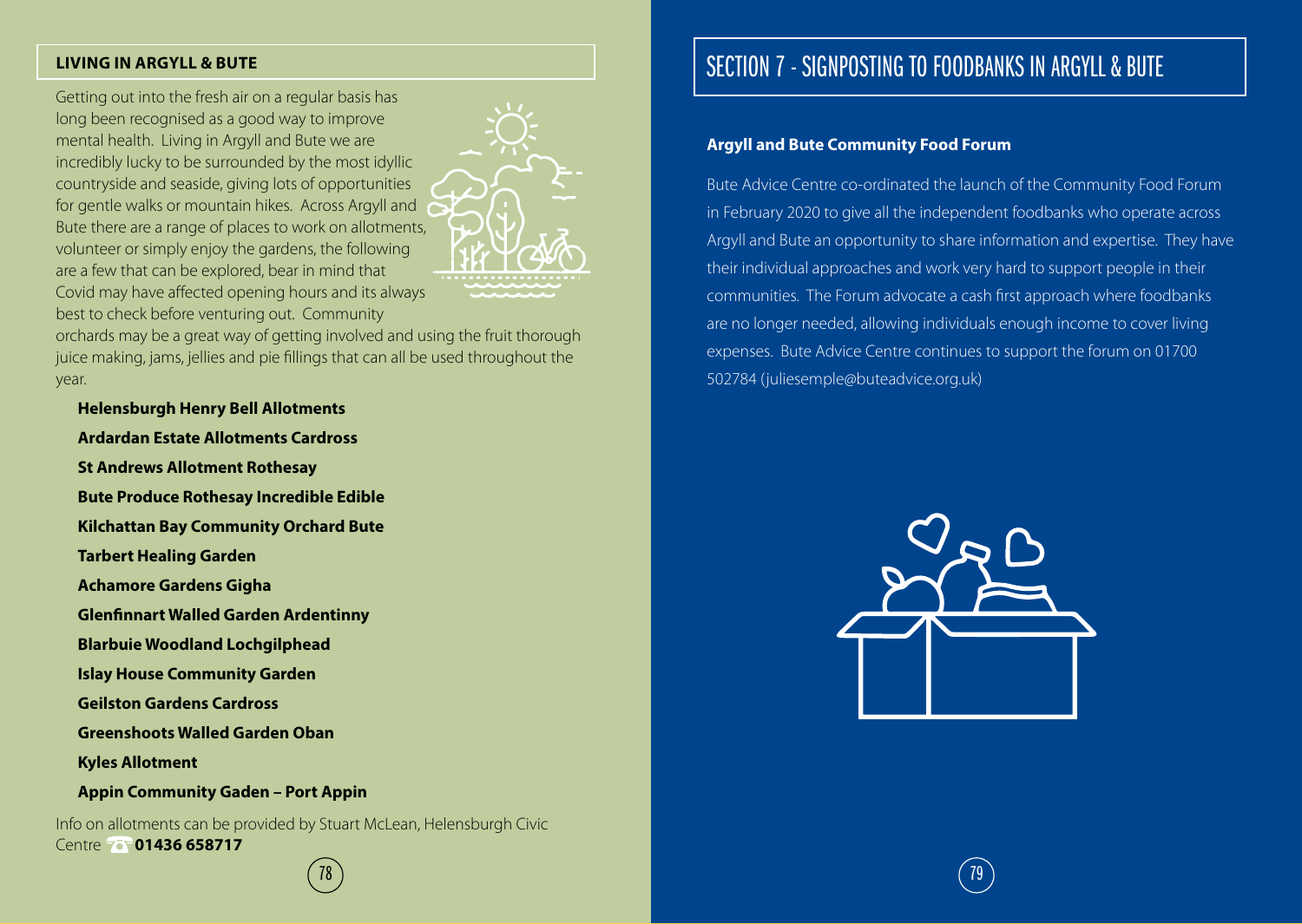#### **LIVING IN ARGYLL & BUTE**

Getting out into the fresh air on a regular basis has long been recognised as a good way to improve mental health. Living in Argyll and Bute we are incredibly lucky to be surrounded by the most idyllic countryside and seaside, giving lots of opportunities for gentle walks or mountain hikes. Across Argyll and Bute there are a range of places to work on allotments, volunteer or simply enjoy the gardens, the following are a few that can be explored, bear in mind that Covid may have affected opening hours and its always best to check before venturing out. Community



orchards may be a great way of getting involved and using the fruit thorough juice making, jams, jellies and pie fillings that can all be used throughout the year.

**Helensburgh Henry Bell Allotments Ardardan Estate Allotments Cardross St Andrews Allotment Rothesay Bute Produce Rothesay Incredible Edible Kilchattan Bay Community Orchard Bute Tarbert Healing Garden Achamore Gardens Gigha Glenfinnart Walled Garden Ardentinny Blarbuie Woodland Lochgilphead Islay House Community Garden Geilston Gardens Cardross Greenshoots Walled Garden Oban Kyles Allotment Appin Community Gaden – Port Appin**

Info on allotments can be provided by Stuart McLean, Helensburgh Civic Centre **75 01436 658717** 

# SECTION 7 - SIGNPOSTING TO FOODBANKS IN ARGYLL & BUTE

#### **Argyll and Bute Community Food Forum**

Bute Advice Centre co-ordinated the launch of the Community Food Forum in February 2020 to give all the independent foodbanks who operate across Argyll and Bute an opportunity to share information and expertise. They have their individual approaches and work very hard to support people in their communities. The Forum advocate a cash first approach where foodbanks are no longer needed, allowing individuals enough income to cover living expenses. Bute Advice Centre continues to support the forum on 01700 502784 (juliesemple@buteadvice.org.uk)



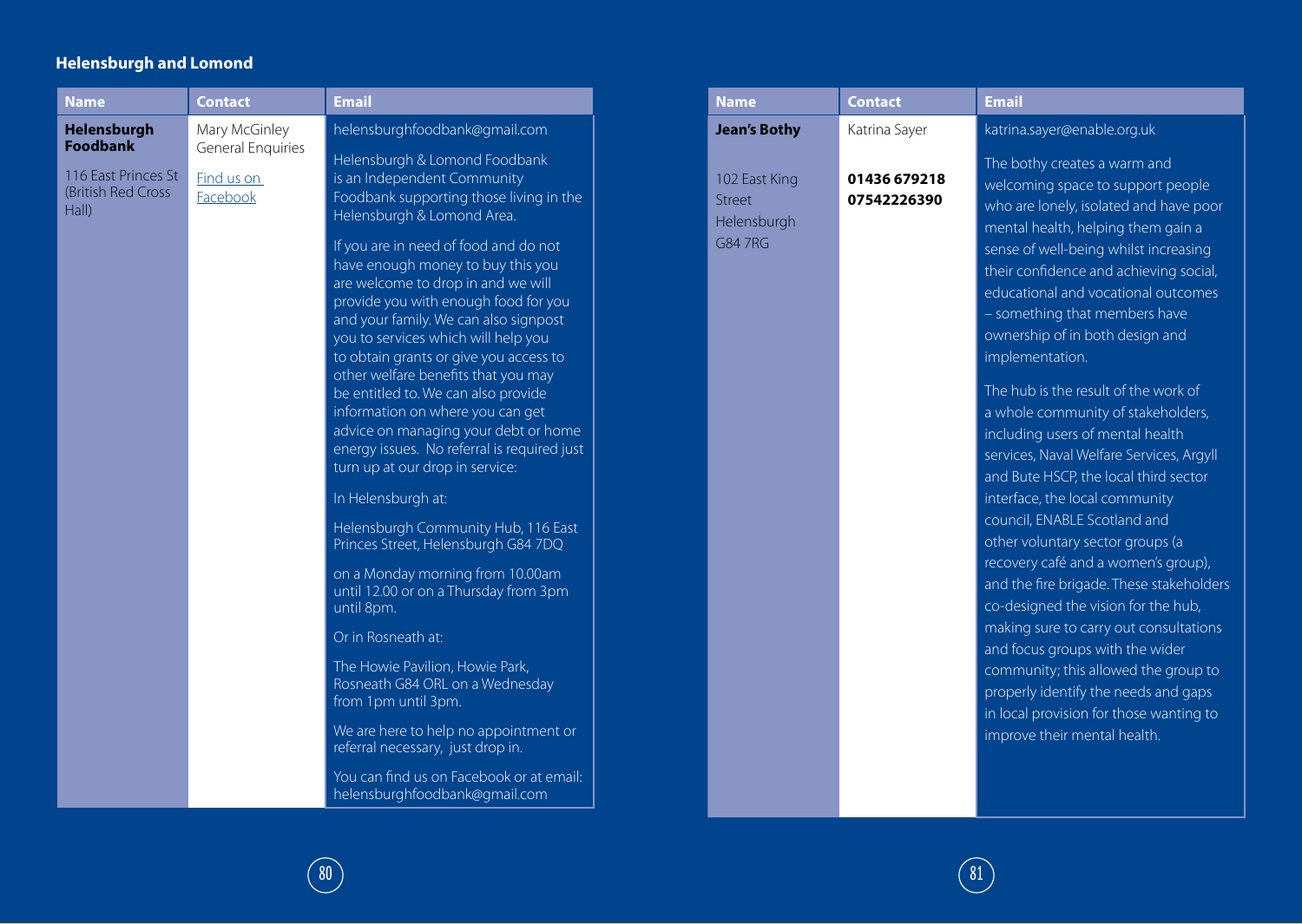#### **Helensburgh and Lomond**

| <b>Name</b>                                        | <b>Contact</b>                     | <b>Email</b>                                                                                                                                                                                                                                                                                                                                                                                                                                                                                                                   |
|----------------------------------------------------|------------------------------------|--------------------------------------------------------------------------------------------------------------------------------------------------------------------------------------------------------------------------------------------------------------------------------------------------------------------------------------------------------------------------------------------------------------------------------------------------------------------------------------------------------------------------------|
| Helensburgh<br><b>Foodbank</b>                     | Mary McGinley<br>General Enquiries | helensburghfoodbank@gmail.com                                                                                                                                                                                                                                                                                                                                                                                                                                                                                                  |
| 116 East Princes St<br>(British Red Cross<br>Hall) | Find us on<br>Facebook             | Helensburgh & Lomond Foodbank<br>is an Independent Community<br>Foodbank supporting those living in the<br>Helensburgh & Lomond Area.                                                                                                                                                                                                                                                                                                                                                                                          |
|                                                    |                                    | If you are in need of food and do not<br>have enough money to buy this you<br>are welcome to drop in and we will<br>provide you with enough food for you<br>and your family. We can also signpost<br>you to services which will help you<br>to obtain grants or give you access to<br>other welfare benefits that you may<br>be entitled to. We can also provide<br>information on where you can get<br>advice on managing your debt or home<br>energy issues. No referral is required just<br>turn up at our drop in service: |
|                                                    |                                    | In Helensburgh at:                                                                                                                                                                                                                                                                                                                                                                                                                                                                                                             |
|                                                    |                                    | Helensburgh Community Hub, 116 East<br>Princes Street, Helensburgh G84 7DQ                                                                                                                                                                                                                                                                                                                                                                                                                                                     |
|                                                    |                                    | on a Monday morning from 10.00am<br>until 12.00 or on a Thursday from 3pm<br>until 8pm.                                                                                                                                                                                                                                                                                                                                                                                                                                        |
|                                                    |                                    | Or in Rosneath at:                                                                                                                                                                                                                                                                                                                                                                                                                                                                                                             |
|                                                    |                                    | The Howie Pavilion, Howie Park,<br>Rosneath G84 ORL on a Wednesday<br>from 1pm until 3pm.                                                                                                                                                                                                                                                                                                                                                                                                                                      |
|                                                    |                                    | We are here to help no appointment or<br>referral necessary, just drop in.                                                                                                                                                                                                                                                                                                                                                                                                                                                     |
|                                                    |                                    | You can find us on Facebook or at email:<br>helensburghfoodbank@gmail.com                                                                                                                                                                                                                                                                                                                                                                                                                                                      |

| <b>Name</b>                                              | <b>Contact</b>              | <b>Email</b>                                                                                                                                                                                                                                                                                                                                                                                                                                                                                                                                                                                                                                                                |
|----------------------------------------------------------|-----------------------------|-----------------------------------------------------------------------------------------------------------------------------------------------------------------------------------------------------------------------------------------------------------------------------------------------------------------------------------------------------------------------------------------------------------------------------------------------------------------------------------------------------------------------------------------------------------------------------------------------------------------------------------------------------------------------------|
| <b>Jean's Bothy</b>                                      | Katrina Sayer               | katrina.sayer@enable.org.uk                                                                                                                                                                                                                                                                                                                                                                                                                                                                                                                                                                                                                                                 |
| 102 East King<br><b>Street</b><br>Helensburgh<br>G84 7RG | 01436 679218<br>07542226390 | The bothy creates a warm and<br>welcoming space to support people<br>who are lonely, isolated and have poor<br>mental health, helping them gain a<br>sense of well-being whilst increasing<br>their confidence and achieving social,<br>educational and vocational outcomes<br>- something that members have<br>ownership of in both design and<br>implementation.                                                                                                                                                                                                                                                                                                          |
|                                                          |                             | The hub is the result of the work of<br>a whole community of stakeholders,<br>including users of mental health<br>services, Naval Welfare Services, Argyll<br>and Bute HSCP, the local third sector<br>interface, the local community<br>council, ENABLE Scotland and<br>other voluntary sector groups (a<br>recovery café and a women's group),<br>and the fire brigade. These stakeholders<br>co-designed the vision for the hub,<br>making sure to carry out consultations<br>and focus groups with the wider<br>community; this allowed the group to<br>properly identify the needs and gaps<br>in local provision for those wanting to<br>improve their mental health. |

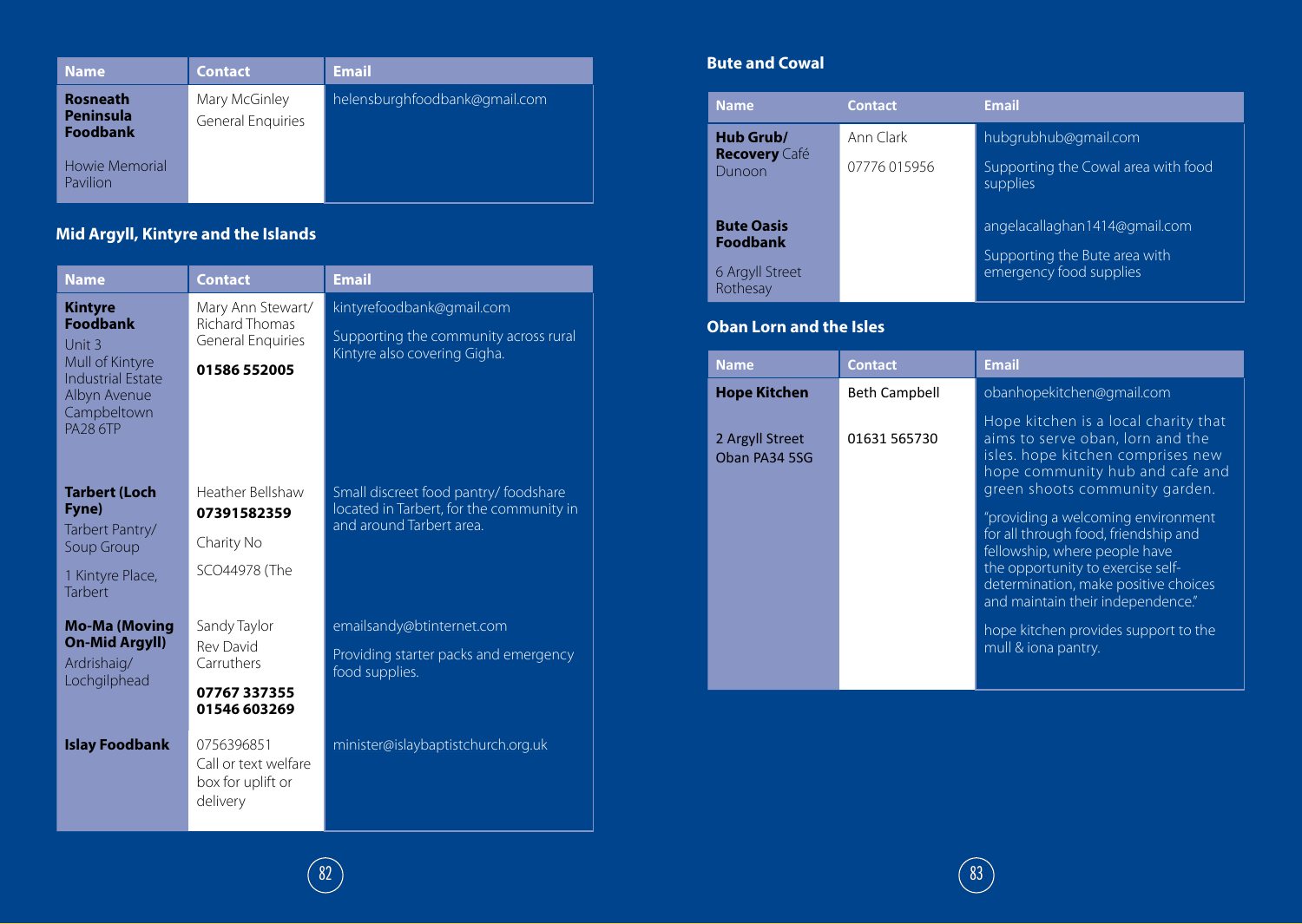| <b>Name</b>                                     | Contact                            | <b>Email</b>                  |
|-------------------------------------------------|------------------------------------|-------------------------------|
| <b>Rosneath</b><br>Peninsula<br><b>Foodbank</b> | Mary McGinley<br>General Enquiries | helensburghfoodbank@gmail.com |
| Howie Memorial<br>Pavilion                      |                                    |                               |

### **Mid Argyll, Kintyre and the Islands**

| <b>Name</b>                                                                                                                                  | <b>Contact</b>                                                                         | <b>Email</b>                                                                                                  |
|----------------------------------------------------------------------------------------------------------------------------------------------|----------------------------------------------------------------------------------------|---------------------------------------------------------------------------------------------------------------|
| <b>Kintyre</b><br><b>Foodbank</b><br>Unit 3<br>Mull of Kintyre<br><b>Industrial Estate</b><br>Albyn Avenue<br>Campbeltown<br><b>PA28 6TP</b> | Mary Ann Stewart/<br><b>Richard Thomas</b><br><b>General Enquiries</b><br>01586 552005 | kintyrefoodbank@gmail.com<br>Supporting the community across rural<br>Kintyre also covering Gigha.            |
| <b>Tarbert (Loch</b><br>Fyne)<br>Tarbert Pantry/<br>Soup Group<br>1 Kintyre Place,<br><b>Tarbert</b>                                         | Heather Bellshaw<br>07391582359<br>Charity No<br>SCO44978 (The                         | Small discreet food pantry/ foodshare<br>located in Tarbert, for the community in<br>and around Tarbert area. |
| <b>Mo-Ma (Moving</b><br><b>On-Mid Argyll)</b><br>Ardrishaig/<br>Lochgilphead                                                                 | Sandy Taylor<br><b>Rev David</b><br>Carruthers<br>07767337355<br>01546 603269          | emailsandy@btinternet.com<br>Providing starter packs and emergency<br>food supplies.                          |
| <b>Islay Foodbank</b>                                                                                                                        | 0756396851<br>Call or text welfare<br>box for uplift or<br>delivery                    | minister@islaybaptistchurch.org.uk                                                                            |

#### **Bute and Cowal**

| <b>Name</b>                          | <b>Contact</b> | <b>Email</b>                                             |
|--------------------------------------|----------------|----------------------------------------------------------|
| Hub Grub/<br><b>Recovery</b> Café    | Ann Clark      | hubgrubhub@gmail.com                                     |
| Dunoon                               | 07776 015956   | Supporting the Cowal area with food<br>supplies          |
| <b>Bute Oasis</b><br><b>Foodbank</b> |                | angelacallaghan1414@gmail.com                            |
| 6 Argyll Street<br>Rothesay          |                | Supporting the Bute area with<br>emergency food supplies |

#### **Oban Lorn and the Isles**

| <b>Name</b>                      | <b>Contact</b>       | <b>Email</b>                                                                                                                                                                                                                                                                                 |
|----------------------------------|----------------------|----------------------------------------------------------------------------------------------------------------------------------------------------------------------------------------------------------------------------------------------------------------------------------------------|
| <b>Hope Kitchen</b>              | <b>Beth Campbell</b> | obanhopekitchen@gmail.com                                                                                                                                                                                                                                                                    |
| 2 Argyll Street<br>Oban PA34 5SG | 01631 565730         | Hope kitchen is a local charity that<br>aims to serve oban, lorn and the<br>isles. hope kitchen comprises new<br>hope community hub and cafe and<br>green shoots community garden.                                                                                                           |
|                                  |                      | "providing a welcoming environment<br>for all through food, friendship and<br>fellowship, where people have<br>the opportunity to exercise self-<br>determination, make positive choices<br>and maintain their independence."<br>hope kitchen provides support to the<br>mull & iona pantry. |